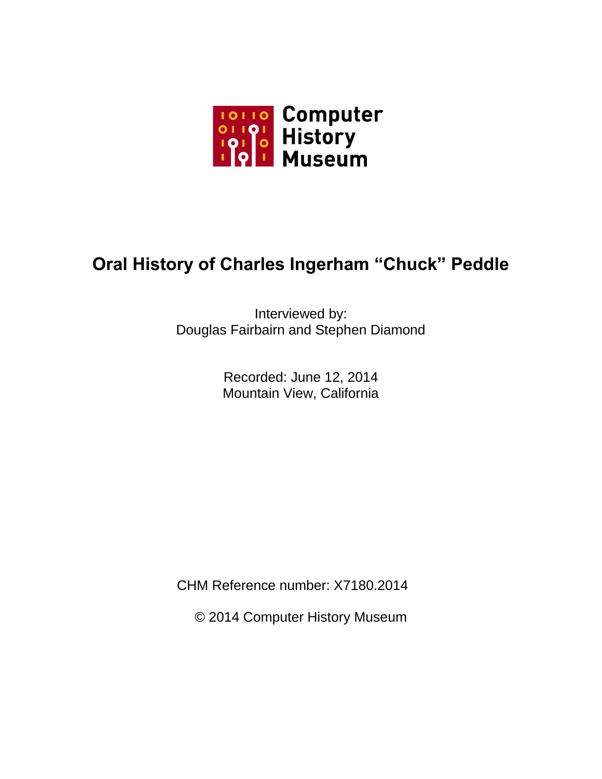

## **Oral History of Charles Ingerham "Chuck" Peddle**

Interviewed by: Douglas Fairbairn and Stephen Diamond

> Recorded: June 12, 2014 Mountain View, California

CHM Reference number: X7180.2014

© 2014 Computer History Museum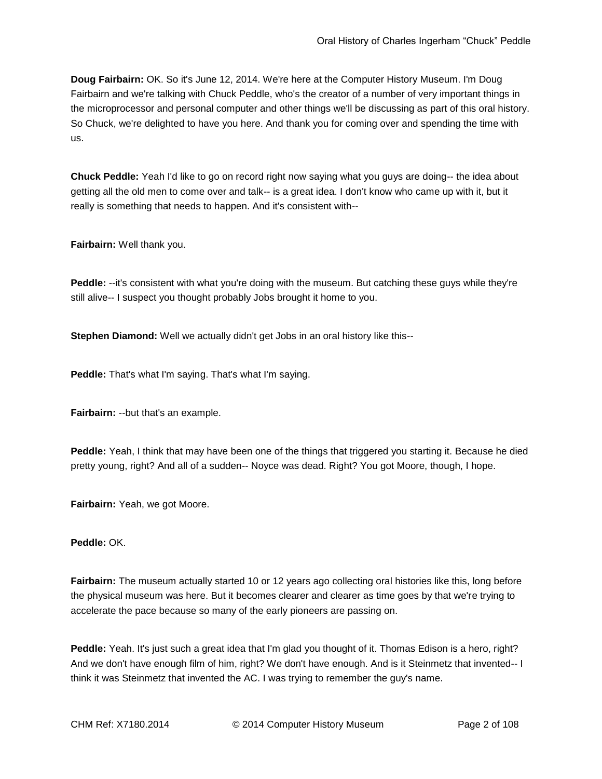**Doug Fairbairn:** OK. So it's June 12, 2014. We're here at the Computer History Museum. I'm Doug Fairbairn and we're talking with Chuck Peddle, who's the creator of a number of very important things in the microprocessor and personal computer and other things we'll be discussing as part of this oral history. So Chuck, we're delighted to have you here. And thank you for coming over and spending the time with us.

**Chuck Peddle:** Yeah I'd like to go on record right now saying what you guys are doing-- the idea about getting all the old men to come over and talk-- is a great idea. I don't know who came up with it, but it really is something that needs to happen. And it's consistent with--

**Fairbairn:** Well thank you.

**Peddle:** --it's consistent with what you're doing with the museum. But catching these guys while they're still alive-- I suspect you thought probably Jobs brought it home to you.

**Stephen Diamond:** Well we actually didn't get Jobs in an oral history like this--

**Peddle:** That's what I'm saying. That's what I'm saying.

**Fairbairn:** --but that's an example.

**Peddle:** Yeah, I think that may have been one of the things that triggered you starting it. Because he died pretty young, right? And all of a sudden-- Noyce was dead. Right? You got Moore, though, I hope.

**Fairbairn:** Yeah, we got Moore.

**Peddle:** OK.

**Fairbairn:** The museum actually started 10 or 12 years ago collecting oral histories like this, long before the physical museum was here. But it becomes clearer and clearer as time goes by that we're trying to accelerate the pace because so many of the early pioneers are passing on.

**Peddle:** Yeah. It's just such a great idea that I'm glad you thought of it. Thomas Edison is a hero, right? And we don't have enough film of him, right? We don't have enough. And is it Steinmetz that invented-- I think it was Steinmetz that invented the AC. I was trying to remember the guy's name.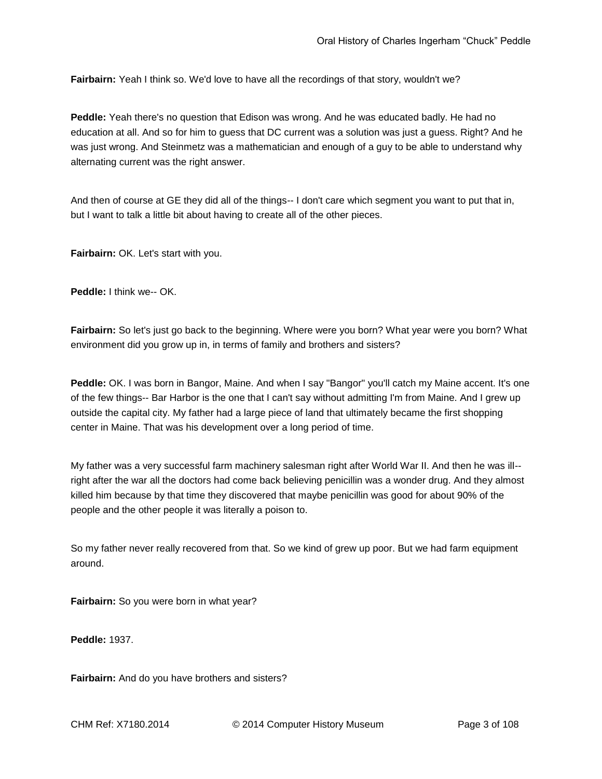**Fairbairn:** Yeah I think so. We'd love to have all the recordings of that story, wouldn't we?

**Peddle:** Yeah there's no question that Edison was wrong. And he was educated badly. He had no education at all. And so for him to guess that DC current was a solution was just a guess. Right? And he was just wrong. And Steinmetz was a mathematician and enough of a guy to be able to understand why alternating current was the right answer.

And then of course at GE they did all of the things-- I don't care which segment you want to put that in, but I want to talk a little bit about having to create all of the other pieces.

**Fairbairn:** OK. Let's start with you.

**Peddle:** I think we-- OK.

**Fairbairn:** So let's just go back to the beginning. Where were you born? What year were you born? What environment did you grow up in, in terms of family and brothers and sisters?

Peddle: OK. I was born in Bangor, Maine. And when I say "Bangor" you'll catch my Maine accent. It's one of the few things-- Bar Harbor is the one that I can't say without admitting I'm from Maine. And I grew up outside the capital city. My father had a large piece of land that ultimately became the first shopping center in Maine. That was his development over a long period of time.

My father was a very successful farm machinery salesman right after World War II. And then he was ill- right after the war all the doctors had come back believing penicillin was a wonder drug. And they almost killed him because by that time they discovered that maybe penicillin was good for about 90% of the people and the other people it was literally a poison to.

So my father never really recovered from that. So we kind of grew up poor. But we had farm equipment around.

**Fairbairn:** So you were born in what year?

**Peddle:** 1937.

**Fairbairn:** And do you have brothers and sisters?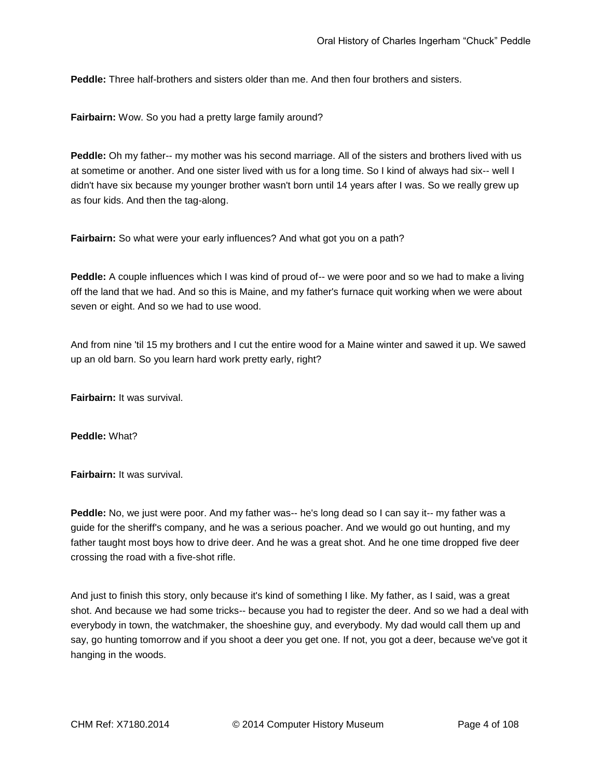**Peddle:** Three half-brothers and sisters older than me. And then four brothers and sisters.

**Fairbairn:** Wow. So you had a pretty large family around?

**Peddle:** Oh my father-- my mother was his second marriage. All of the sisters and brothers lived with us at sometime or another. And one sister lived with us for a long time. So I kind of always had six-- well I didn't have six because my younger brother wasn't born until 14 years after I was. So we really grew up as four kids. And then the tag-along.

**Fairbairn:** So what were your early influences? And what got you on a path?

**Peddle:** A couple influences which I was kind of proud of-- we were poor and so we had to make a living off the land that we had. And so this is Maine, and my father's furnace quit working when we were about seven or eight. And so we had to use wood.

And from nine 'til 15 my brothers and I cut the entire wood for a Maine winter and sawed it up. We sawed up an old barn. So you learn hard work pretty early, right?

**Fairbairn:** It was survival.

**Peddle:** What?

**Fairbairn:** It was survival.

**Peddle:** No, we just were poor. And my father was-- he's long dead so I can say it-- my father was a guide for the sheriff's company, and he was a serious poacher. And we would go out hunting, and my father taught most boys how to drive deer. And he was a great shot. And he one time dropped five deer crossing the road with a five-shot rifle.

And just to finish this story, only because it's kind of something I like. My father, as I said, was a great shot. And because we had some tricks-- because you had to register the deer. And so we had a deal with everybody in town, the watchmaker, the shoeshine guy, and everybody. My dad would call them up and say, go hunting tomorrow and if you shoot a deer you get one. If not, you got a deer, because we've got it hanging in the woods.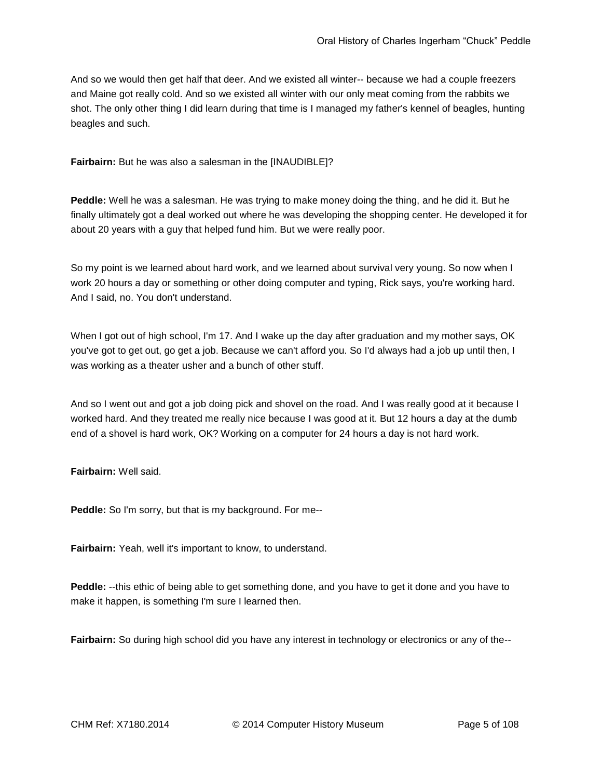And so we would then get half that deer. And we existed all winter-- because we had a couple freezers and Maine got really cold. And so we existed all winter with our only meat coming from the rabbits we shot. The only other thing I did learn during that time is I managed my father's kennel of beagles, hunting beagles and such.

**Fairbairn:** But he was also a salesman in the [INAUDIBLE]?

**Peddle:** Well he was a salesman. He was trying to make money doing the thing, and he did it. But he finally ultimately got a deal worked out where he was developing the shopping center. He developed it for about 20 years with a guy that helped fund him. But we were really poor.

So my point is we learned about hard work, and we learned about survival very young. So now when I work 20 hours a day or something or other doing computer and typing, Rick says, you're working hard. And I said, no. You don't understand.

When I got out of high school, I'm 17. And I wake up the day after graduation and my mother says, OK you've got to get out, go get a job. Because we can't afford you. So I'd always had a job up until then, I was working as a theater usher and a bunch of other stuff.

And so I went out and got a job doing pick and shovel on the road. And I was really good at it because I worked hard. And they treated me really nice because I was good at it. But 12 hours a day at the dumb end of a shovel is hard work, OK? Working on a computer for 24 hours a day is not hard work.

**Fairbairn:** Well said.

**Peddle:** So I'm sorry, but that is my background. For me--

**Fairbairn:** Yeah, well it's important to know, to understand.

**Peddle:** --this ethic of being able to get something done, and you have to get it done and you have to make it happen, is something I'm sure I learned then.

**Fairbairn:** So during high school did you have any interest in technology or electronics or any of the--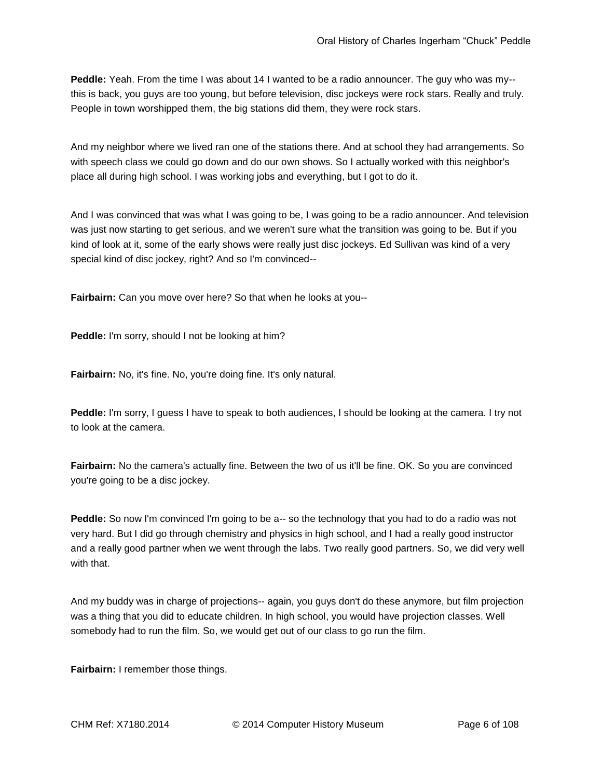**Peddle:** Yeah. From the time I was about 14 I wanted to be a radio announcer. The guy who was my- this is back, you guys are too young, but before television, disc jockeys were rock stars. Really and truly. People in town worshipped them, the big stations did them, they were rock stars.

And my neighbor where we lived ran one of the stations there. And at school they had arrangements. So with speech class we could go down and do our own shows. So I actually worked with this neighbor's place all during high school. I was working jobs and everything, but I got to do it.

And I was convinced that was what I was going to be, I was going to be a radio announcer. And television was just now starting to get serious, and we weren't sure what the transition was going to be. But if you kind of look at it, some of the early shows were really just disc jockeys. Ed Sullivan was kind of a very special kind of disc jockey, right? And so I'm convinced--

**Fairbairn:** Can you move over here? So that when he looks at you--

**Peddle:** I'm sorry, should I not be looking at him?

**Fairbairn:** No, it's fine. No, you're doing fine. It's only natural.

**Peddle:** I'm sorry, I guess I have to speak to both audiences, I should be looking at the camera. I try not to look at the camera.

**Fairbairn:** No the camera's actually fine. Between the two of us it'll be fine. OK. So you are convinced you're going to be a disc jockey.

**Peddle:** So now I'm convinced I'm going to be a-- so the technology that you had to do a radio was not very hard. But I did go through chemistry and physics in high school, and I had a really good instructor and a really good partner when we went through the labs. Two really good partners. So, we did very well with that.

And my buddy was in charge of projections-- again, you guys don't do these anymore, but film projection was a thing that you did to educate children. In high school, you would have projection classes. Well somebody had to run the film. So, we would get out of our class to go run the film.

**Fairbairn:** I remember those things.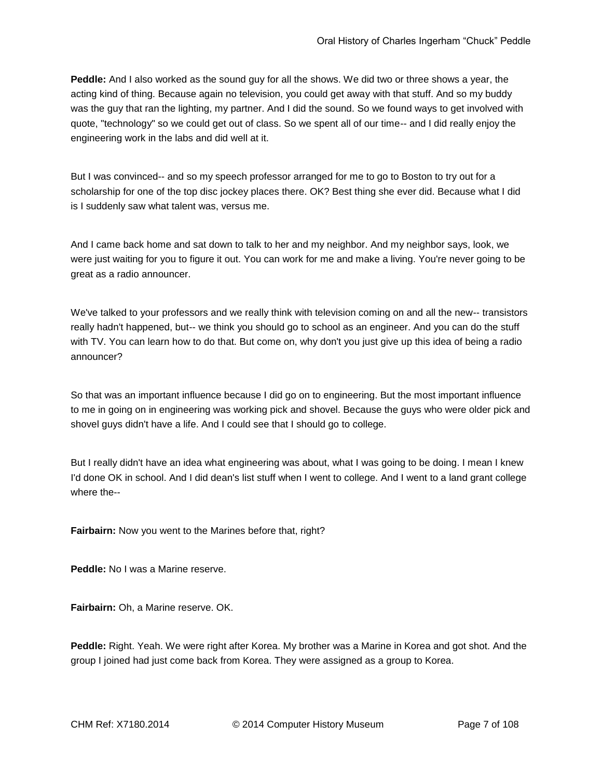**Peddle:** And I also worked as the sound guy for all the shows. We did two or three shows a year, the acting kind of thing. Because again no television, you could get away with that stuff. And so my buddy was the guy that ran the lighting, my partner. And I did the sound. So we found ways to get involved with quote, "technology" so we could get out of class. So we spent all of our time-- and I did really enjoy the engineering work in the labs and did well at it.

But I was convinced-- and so my speech professor arranged for me to go to Boston to try out for a scholarship for one of the top disc jockey places there. OK? Best thing she ever did. Because what I did is I suddenly saw what talent was, versus me.

And I came back home and sat down to talk to her and my neighbor. And my neighbor says, look, we were just waiting for you to figure it out. You can work for me and make a living. You're never going to be great as a radio announcer.

We've talked to your professors and we really think with television coming on and all the new-- transistors really hadn't happened, but-- we think you should go to school as an engineer. And you can do the stuff with TV. You can learn how to do that. But come on, why don't you just give up this idea of being a radio announcer?

So that was an important influence because I did go on to engineering. But the most important influence to me in going on in engineering was working pick and shovel. Because the guys who were older pick and shovel guys didn't have a life. And I could see that I should go to college.

But I really didn't have an idea what engineering was about, what I was going to be doing. I mean I knew I'd done OK in school. And I did dean's list stuff when I went to college. And I went to a land grant college where the--

**Fairbairn:** Now you went to the Marines before that, right?

**Peddle:** No I was a Marine reserve.

**Fairbairn:** Oh, a Marine reserve. OK.

**Peddle:** Right. Yeah. We were right after Korea. My brother was a Marine in Korea and got shot. And the group I joined had just come back from Korea. They were assigned as a group to Korea.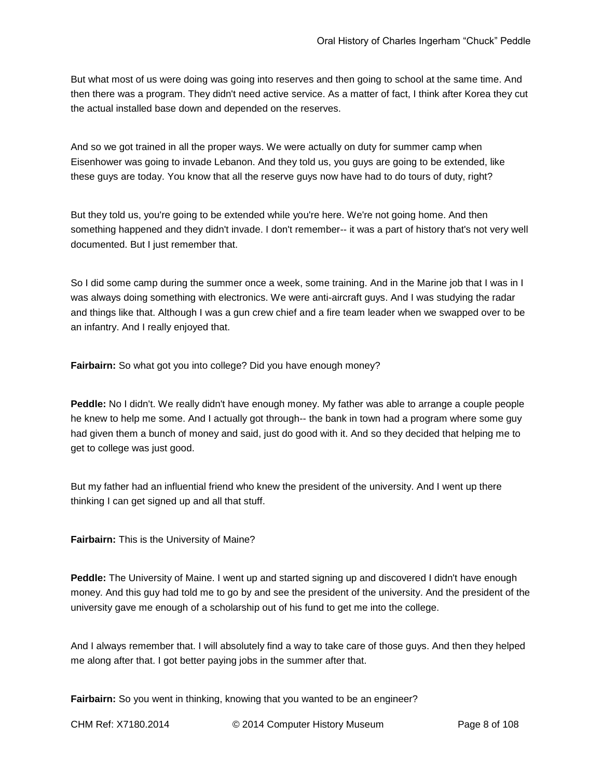But what most of us were doing was going into reserves and then going to school at the same time. And then there was a program. They didn't need active service. As a matter of fact, I think after Korea they cut the actual installed base down and depended on the reserves.

And so we got trained in all the proper ways. We were actually on duty for summer camp when Eisenhower was going to invade Lebanon. And they told us, you guys are going to be extended, like these guys are today. You know that all the reserve guys now have had to do tours of duty, right?

But they told us, you're going to be extended while you're here. We're not going home. And then something happened and they didn't invade. I don't remember-- it was a part of history that's not very well documented. But I just remember that.

So I did some camp during the summer once a week, some training. And in the Marine job that I was in I was always doing something with electronics. We were anti-aircraft guys. And I was studying the radar and things like that. Although I was a gun crew chief and a fire team leader when we swapped over to be an infantry. And I really enjoyed that.

**Fairbairn:** So what got you into college? Did you have enough money?

**Peddle:** No I didn't. We really didn't have enough money. My father was able to arrange a couple people he knew to help me some. And I actually got through-- the bank in town had a program where some guy had given them a bunch of money and said, just do good with it. And so they decided that helping me to get to college was just good.

But my father had an influential friend who knew the president of the university. And I went up there thinking I can get signed up and all that stuff.

**Fairbairn:** This is the University of Maine?

**Peddle:** The University of Maine. I went up and started signing up and discovered I didn't have enough money. And this guy had told me to go by and see the president of the university. And the president of the university gave me enough of a scholarship out of his fund to get me into the college.

And I always remember that. I will absolutely find a way to take care of those guys. And then they helped me along after that. I got better paying jobs in the summer after that.

**Fairbairn:** So you went in thinking, knowing that you wanted to be an engineer?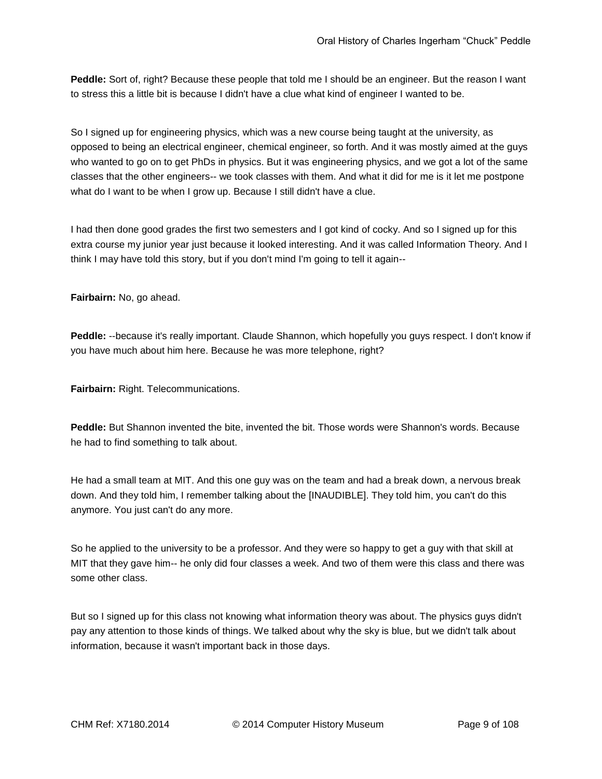**Peddle:** Sort of, right? Because these people that told me I should be an engineer. But the reason I want to stress this a little bit is because I didn't have a clue what kind of engineer I wanted to be.

So I signed up for engineering physics, which was a new course being taught at the university, as opposed to being an electrical engineer, chemical engineer, so forth. And it was mostly aimed at the guys who wanted to go on to get PhDs in physics. But it was engineering physics, and we got a lot of the same classes that the other engineers-- we took classes with them. And what it did for me is it let me postpone what do I want to be when I grow up. Because I still didn't have a clue.

I had then done good grades the first two semesters and I got kind of cocky. And so I signed up for this extra course my junior year just because it looked interesting. And it was called Information Theory. And I think I may have told this story, but if you don't mind I'm going to tell it again--

**Fairbairn:** No, go ahead.

**Peddle:** --because it's really important. Claude Shannon, which hopefully you guys respect. I don't know if you have much about him here. Because he was more telephone, right?

**Fairbairn:** Right. Telecommunications.

**Peddle:** But Shannon invented the bite, invented the bit. Those words were Shannon's words. Because he had to find something to talk about.

He had a small team at MIT. And this one guy was on the team and had a break down, a nervous break down. And they told him, I remember talking about the [INAUDIBLE]. They told him, you can't do this anymore. You just can't do any more.

So he applied to the university to be a professor. And they were so happy to get a guy with that skill at MIT that they gave him-- he only did four classes a week. And two of them were this class and there was some other class.

But so I signed up for this class not knowing what information theory was about. The physics guys didn't pay any attention to those kinds of things. We talked about why the sky is blue, but we didn't talk about information, because it wasn't important back in those days.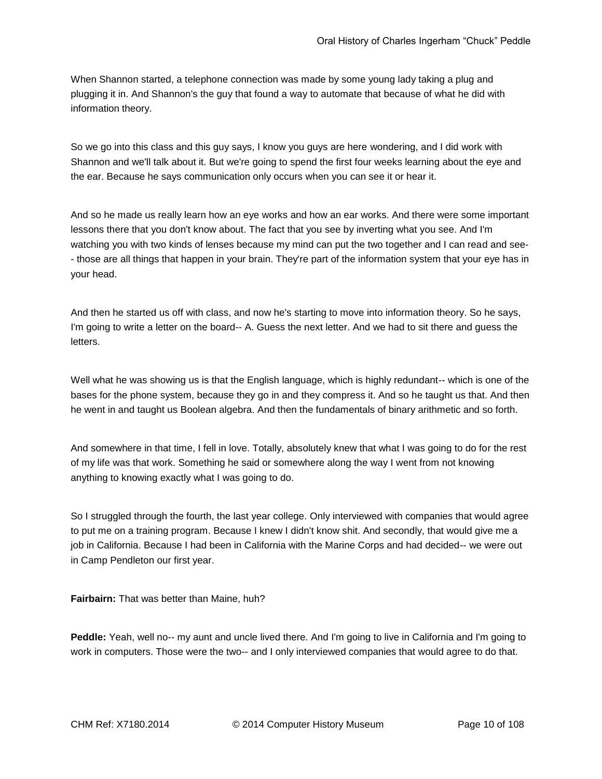When Shannon started, a telephone connection was made by some young lady taking a plug and plugging it in. And Shannon's the guy that found a way to automate that because of what he did with information theory.

So we go into this class and this guy says, I know you guys are here wondering, and I did work with Shannon and we'll talk about it. But we're going to spend the first four weeks learning about the eye and the ear. Because he says communication only occurs when you can see it or hear it.

And so he made us really learn how an eye works and how an ear works. And there were some important lessons there that you don't know about. The fact that you see by inverting what you see. And I'm watching you with two kinds of lenses because my mind can put the two together and I can read and see- - those are all things that happen in your brain. They're part of the information system that your eye has in your head.

And then he started us off with class, and now he's starting to move into information theory. So he says, I'm going to write a letter on the board-- A. Guess the next letter. And we had to sit there and guess the letters.

Well what he was showing us is that the English language, which is highly redundant-- which is one of the bases for the phone system, because they go in and they compress it. And so he taught us that. And then he went in and taught us Boolean algebra. And then the fundamentals of binary arithmetic and so forth.

And somewhere in that time, I fell in love. Totally, absolutely knew that what I was going to do for the rest of my life was that work. Something he said or somewhere along the way I went from not knowing anything to knowing exactly what I was going to do.

So I struggled through the fourth, the last year college. Only interviewed with companies that would agree to put me on a training program. Because I knew I didn't know shit. And secondly, that would give me a job in California. Because I had been in California with the Marine Corps and had decided-- we were out in Camp Pendleton our first year.

**Fairbairn:** That was better than Maine, huh?

**Peddle:** Yeah, well no-- my aunt and uncle lived there. And I'm going to live in California and I'm going to work in computers. Those were the two-- and I only interviewed companies that would agree to do that.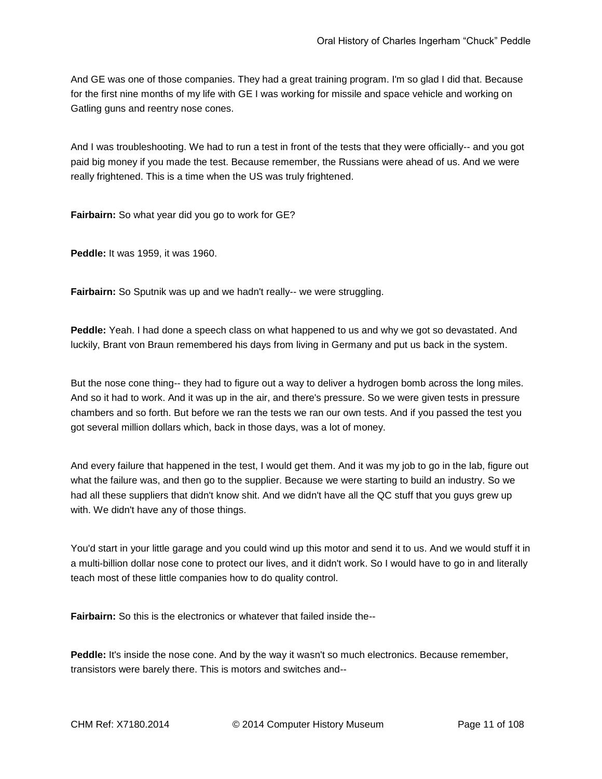And GE was one of those companies. They had a great training program. I'm so glad I did that. Because for the first nine months of my life with GE I was working for missile and space vehicle and working on Gatling guns and reentry nose cones.

And I was troubleshooting. We had to run a test in front of the tests that they were officially-- and you got paid big money if you made the test. Because remember, the Russians were ahead of us. And we were really frightened. This is a time when the US was truly frightened.

**Fairbairn:** So what year did you go to work for GE?

**Peddle:** It was 1959, it was 1960.

**Fairbairn:** So Sputnik was up and we hadn't really-- we were struggling.

**Peddle:** Yeah. I had done a speech class on what happened to us and why we got so devastated. And luckily, Brant von Braun remembered his days from living in Germany and put us back in the system.

But the nose cone thing-- they had to figure out a way to deliver a hydrogen bomb across the long miles. And so it had to work. And it was up in the air, and there's pressure. So we were given tests in pressure chambers and so forth. But before we ran the tests we ran our own tests. And if you passed the test you got several million dollars which, back in those days, was a lot of money.

And every failure that happened in the test, I would get them. And it was my job to go in the lab, figure out what the failure was, and then go to the supplier. Because we were starting to build an industry. So we had all these suppliers that didn't know shit. And we didn't have all the QC stuff that you guys grew up with. We didn't have any of those things.

You'd start in your little garage and you could wind up this motor and send it to us. And we would stuff it in a multi-billion dollar nose cone to protect our lives, and it didn't work. So I would have to go in and literally teach most of these little companies how to do quality control.

**Fairbairn:** So this is the electronics or whatever that failed inside the--

Peddle: It's inside the nose cone. And by the way it wasn't so much electronics. Because remember, transistors were barely there. This is motors and switches and--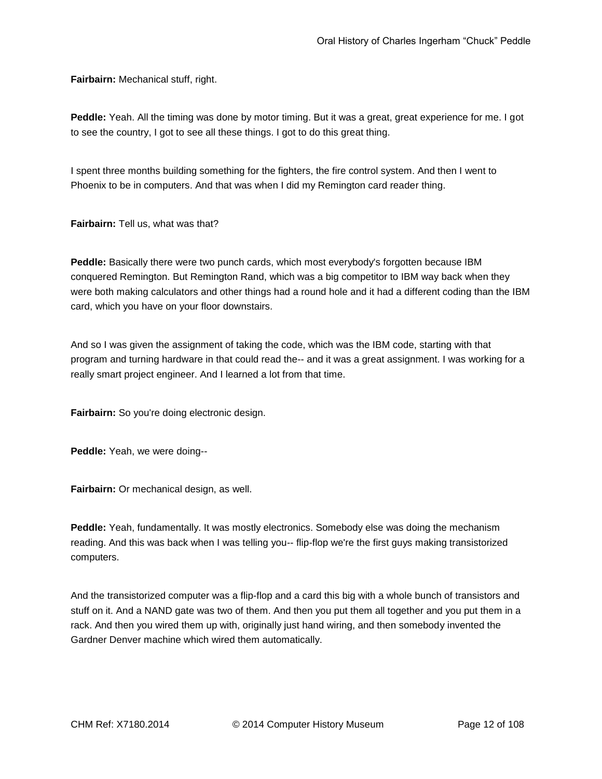**Fairbairn:** Mechanical stuff, right.

**Peddle:** Yeah. All the timing was done by motor timing. But it was a great, great experience for me. I got to see the country, I got to see all these things. I got to do this great thing.

I spent three months building something for the fighters, the fire control system. And then I went to Phoenix to be in computers. And that was when I did my Remington card reader thing.

**Fairbairn:** Tell us, what was that?

**Peddle:** Basically there were two punch cards, which most everybody's forgotten because IBM conquered Remington. But Remington Rand, which was a big competitor to IBM way back when they were both making calculators and other things had a round hole and it had a different coding than the IBM card, which you have on your floor downstairs.

And so I was given the assignment of taking the code, which was the IBM code, starting with that program and turning hardware in that could read the-- and it was a great assignment. I was working for a really smart project engineer. And I learned a lot from that time.

**Fairbairn:** So you're doing electronic design.

**Peddle:** Yeah, we were doing--

**Fairbairn:** Or mechanical design, as well.

**Peddle:** Yeah, fundamentally. It was mostly electronics. Somebody else was doing the mechanism reading. And this was back when I was telling you-- flip-flop we're the first guys making transistorized computers.

And the transistorized computer was a flip-flop and a card this big with a whole bunch of transistors and stuff on it. And a NAND gate was two of them. And then you put them all together and you put them in a rack. And then you wired them up with, originally just hand wiring, and then somebody invented the Gardner Denver machine which wired them automatically.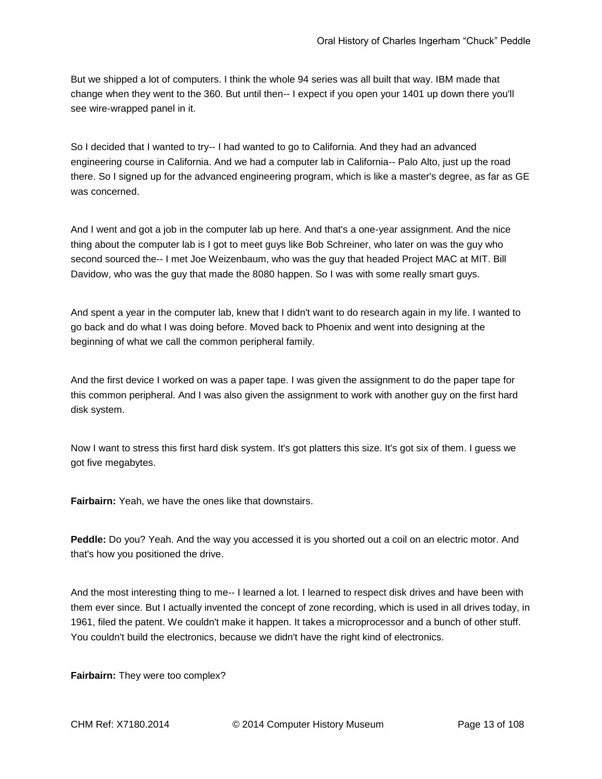But we shipped a lot of computers. I think the whole 94 series was all built that way. IBM made that change when they went to the 360. But until then-- I expect if you open your 1401 up down there you'll see wire-wrapped panel in it.

So I decided that I wanted to try-- I had wanted to go to California. And they had an advanced engineering course in California. And we had a computer lab in California-- Palo Alto, just up the road there. So I signed up for the advanced engineering program, which is like a master's degree, as far as GE was concerned.

And I went and got a job in the computer lab up here. And that's a one-year assignment. And the nice thing about the computer lab is I got to meet guys like Bob Schreiner, who later on was the guy who second sourced the-- I met Joe Weizenbaum, who was the guy that headed Project MAC at MIT. Bill Davidow, who was the guy that made the 8080 happen. So I was with some really smart guys.

And spent a year in the computer lab, knew that I didn't want to do research again in my life. I wanted to go back and do what I was doing before. Moved back to Phoenix and went into designing at the beginning of what we call the common peripheral family.

And the first device I worked on was a paper tape. I was given the assignment to do the paper tape for this common peripheral. And I was also given the assignment to work with another guy on the first hard disk system.

Now I want to stress this first hard disk system. It's got platters this size. It's got six of them. I guess we got five megabytes.

**Fairbairn:** Yeah, we have the ones like that downstairs.

**Peddle:** Do you? Yeah. And the way you accessed it is you shorted out a coil on an electric motor. And that's how you positioned the drive.

And the most interesting thing to me-- I learned a lot. I learned to respect disk drives and have been with them ever since. But I actually invented the concept of zone recording, which is used in all drives today, in 1961, filed the patent. We couldn't make it happen. It takes a microprocessor and a bunch of other stuff. You couldn't build the electronics, because we didn't have the right kind of electronics.

**Fairbairn:** They were too complex?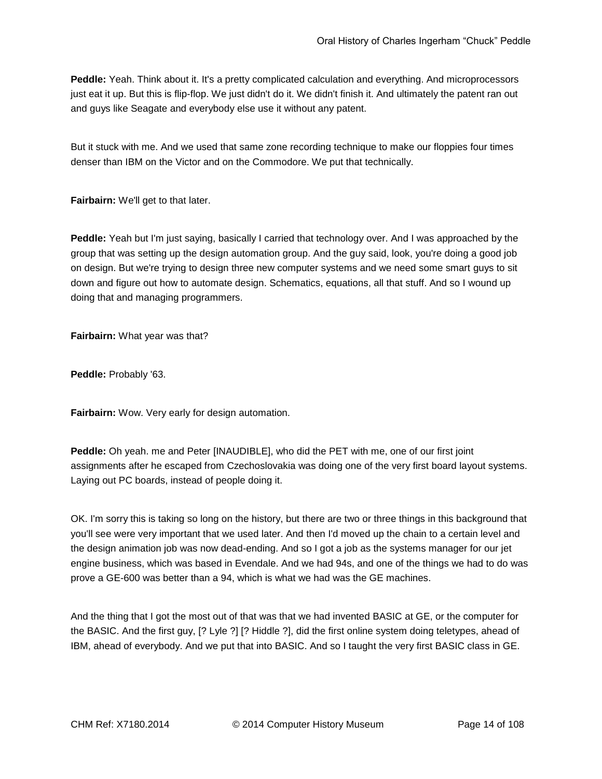**Peddle:** Yeah. Think about it. It's a pretty complicated calculation and everything. And microprocessors just eat it up. But this is flip-flop. We just didn't do it. We didn't finish it. And ultimately the patent ran out and guys like Seagate and everybody else use it without any patent.

But it stuck with me. And we used that same zone recording technique to make our floppies four times denser than IBM on the Victor and on the Commodore. We put that technically.

**Fairbairn:** We'll get to that later.

**Peddle:** Yeah but I'm just saying, basically I carried that technology over. And I was approached by the group that was setting up the design automation group. And the guy said, look, you're doing a good job on design. But we're trying to design three new computer systems and we need some smart guys to sit down and figure out how to automate design. Schematics, equations, all that stuff. And so I wound up doing that and managing programmers.

**Fairbairn:** What year was that?

**Peddle:** Probably '63.

**Fairbairn:** Wow. Very early for design automation.

**Peddle:** Oh yeah. me and Peter [INAUDIBLE], who did the PET with me, one of our first joint assignments after he escaped from Czechoslovakia was doing one of the very first board layout systems. Laying out PC boards, instead of people doing it.

OK. I'm sorry this is taking so long on the history, but there are two or three things in this background that you'll see were very important that we used later. And then I'd moved up the chain to a certain level and the design animation job was now dead-ending. And so I got a job as the systems manager for our jet engine business, which was based in Evendale. And we had 94s, and one of the things we had to do was prove a GE-600 was better than a 94, which is what we had was the GE machines.

And the thing that I got the most out of that was that we had invented BASIC at GE, or the computer for the BASIC. And the first guy, [? Lyle ?] [? Hiddle ?], did the first online system doing teletypes, ahead of IBM, ahead of everybody. And we put that into BASIC. And so I taught the very first BASIC class in GE.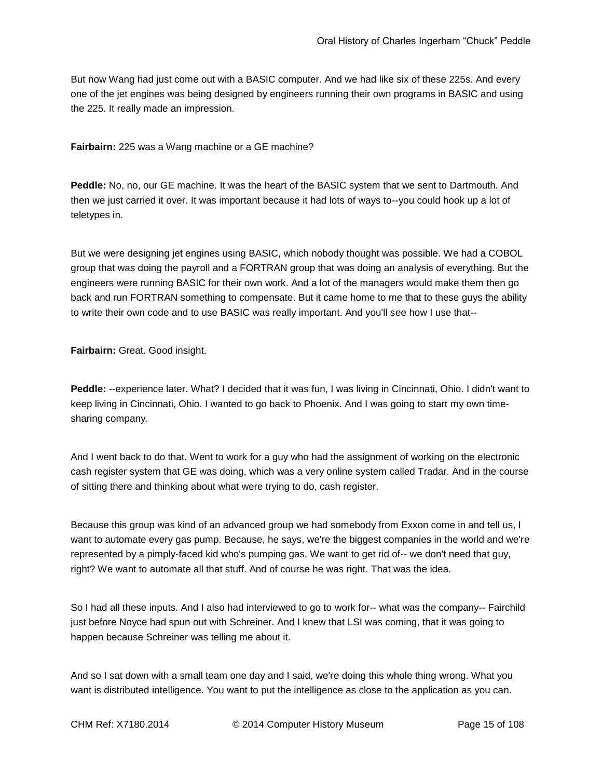But now Wang had just come out with a BASIC computer. And we had like six of these 225s. And every one of the jet engines was being designed by engineers running their own programs in BASIC and using the 225. It really made an impression.

**Fairbairn:** 225 was a Wang machine or a GE machine?

**Peddle:** No, no, our GE machine. It was the heart of the BASIC system that we sent to Dartmouth. And then we just carried it over. It was important because it had lots of ways to--you could hook up a lot of teletypes in.

But we were designing jet engines using BASIC, which nobody thought was possible. We had a COBOL group that was doing the payroll and a FORTRAN group that was doing an analysis of everything. But the engineers were running BASIC for their own work. And a lot of the managers would make them then go back and run FORTRAN something to compensate. But it came home to me that to these guys the ability to write their own code and to use BASIC was really important. And you'll see how I use that--

**Fairbairn:** Great. Good insight.

**Peddle:** --experience later. What? I decided that it was fun, I was living in Cincinnati, Ohio. I didn't want to keep living in Cincinnati, Ohio. I wanted to go back to Phoenix. And I was going to start my own timesharing company.

And I went back to do that. Went to work for a guy who had the assignment of working on the electronic cash register system that GE was doing, which was a very online system called Tradar. And in the course of sitting there and thinking about what were trying to do, cash register.

Because this group was kind of an advanced group we had somebody from Exxon come in and tell us, I want to automate every gas pump. Because, he says, we're the biggest companies in the world and we're represented by a pimply-faced kid who's pumping gas. We want to get rid of-- we don't need that guy, right? We want to automate all that stuff. And of course he was right. That was the idea.

So I had all these inputs. And I also had interviewed to go to work for-- what was the company-- Fairchild just before Noyce had spun out with Schreiner. And I knew that LSI was coming, that it was going to happen because Schreiner was telling me about it.

And so I sat down with a small team one day and I said, we're doing this whole thing wrong. What you want is distributed intelligence. You want to put the intelligence as close to the application as you can.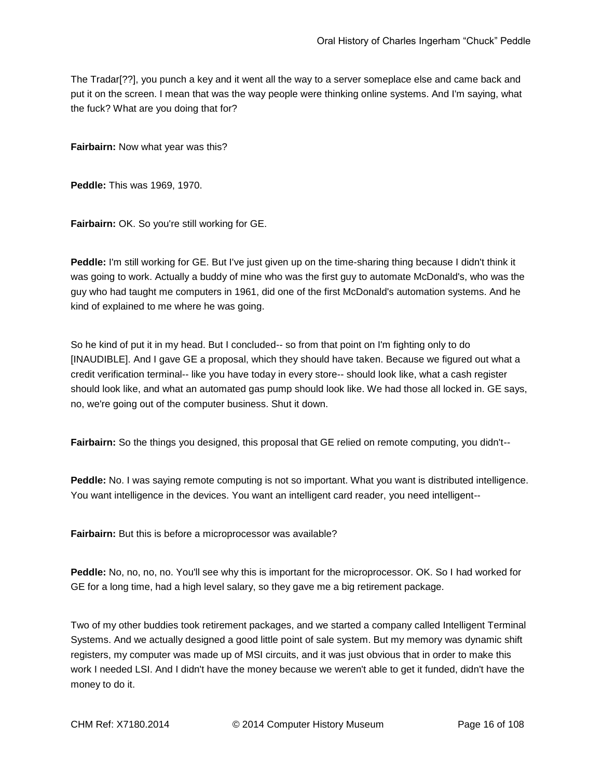The Tradar[??], you punch a key and it went all the way to a server someplace else and came back and put it on the screen. I mean that was the way people were thinking online systems. And I'm saying, what the fuck? What are you doing that for?

**Fairbairn:** Now what year was this?

**Peddle:** This was 1969, 1970.

**Fairbairn:** OK. So you're still working for GE.

**Peddle:** I'm still working for GE. But I've just given up on the time-sharing thing because I didn't think it was going to work. Actually a buddy of mine who was the first guy to automate McDonald's, who was the guy who had taught me computers in 1961, did one of the first McDonald's automation systems. And he kind of explained to me where he was going.

So he kind of put it in my head. But I concluded-- so from that point on I'm fighting only to do [INAUDIBLE]. And I gave GE a proposal, which they should have taken. Because we figured out what a credit verification terminal-- like you have today in every store-- should look like, what a cash register should look like, and what an automated gas pump should look like. We had those all locked in. GE says, no, we're going out of the computer business. Shut it down.

**Fairbairn:** So the things you designed, this proposal that GE relied on remote computing, you didn't--

**Peddle:** No. I was saying remote computing is not so important. What you want is distributed intelligence. You want intelligence in the devices. You want an intelligent card reader, you need intelligent--

**Fairbairn:** But this is before a microprocessor was available?

**Peddle:** No, no, no, no. You'll see why this is important for the microprocessor. OK. So I had worked for GE for a long time, had a high level salary, so they gave me a big retirement package.

Two of my other buddies took retirement packages, and we started a company called Intelligent Terminal Systems. And we actually designed a good little point of sale system. But my memory was dynamic shift registers, my computer was made up of MSI circuits, and it was just obvious that in order to make this work I needed LSI. And I didn't have the money because we weren't able to get it funded, didn't have the money to do it.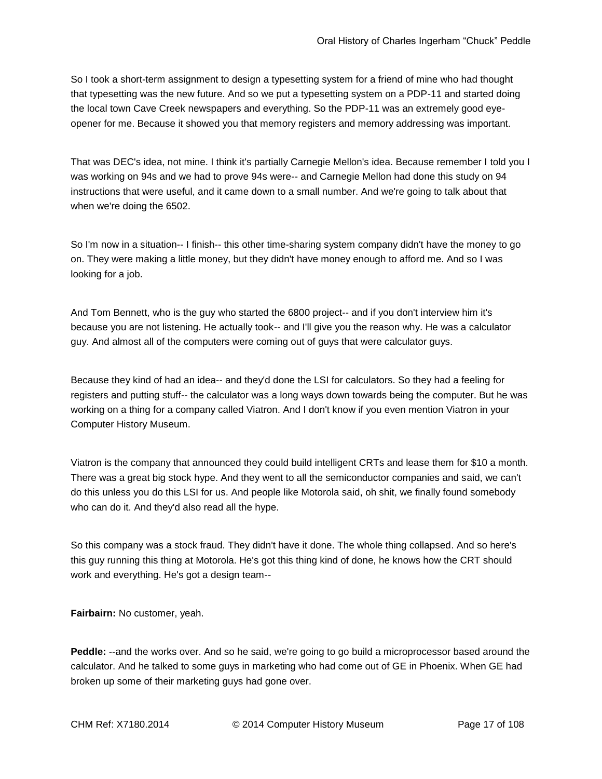So I took a short-term assignment to design a typesetting system for a friend of mine who had thought that typesetting was the new future. And so we put a typesetting system on a PDP-11 and started doing the local town Cave Creek newspapers and everything. So the PDP-11 was an extremely good eyeopener for me. Because it showed you that memory registers and memory addressing was important.

That was DEC's idea, not mine. I think it's partially Carnegie Mellon's idea. Because remember I told you I was working on 94s and we had to prove 94s were-- and Carnegie Mellon had done this study on 94 instructions that were useful, and it came down to a small number. And we're going to talk about that when we're doing the 6502.

So I'm now in a situation-- I finish-- this other time-sharing system company didn't have the money to go on. They were making a little money, but they didn't have money enough to afford me. And so I was looking for a job.

And Tom Bennett, who is the guy who started the 6800 project-- and if you don't interview him it's because you are not listening. He actually took-- and I'll give you the reason why. He was a calculator guy. And almost all of the computers were coming out of guys that were calculator guys.

Because they kind of had an idea-- and they'd done the LSI for calculators. So they had a feeling for registers and putting stuff-- the calculator was a long ways down towards being the computer. But he was working on a thing for a company called Viatron. And I don't know if you even mention Viatron in your Computer History Museum.

Viatron is the company that announced they could build intelligent CRTs and lease them for \$10 a month. There was a great big stock hype. And they went to all the semiconductor companies and said, we can't do this unless you do this LSI for us. And people like Motorola said, oh shit, we finally found somebody who can do it. And they'd also read all the hype.

So this company was a stock fraud. They didn't have it done. The whole thing collapsed. And so here's this guy running this thing at Motorola. He's got this thing kind of done, he knows how the CRT should work and everything. He's got a design team--

**Fairbairn:** No customer, yeah.

**Peddle:** --and the works over. And so he said, we're going to go build a microprocessor based around the calculator. And he talked to some guys in marketing who had come out of GE in Phoenix. When GE had broken up some of their marketing guys had gone over.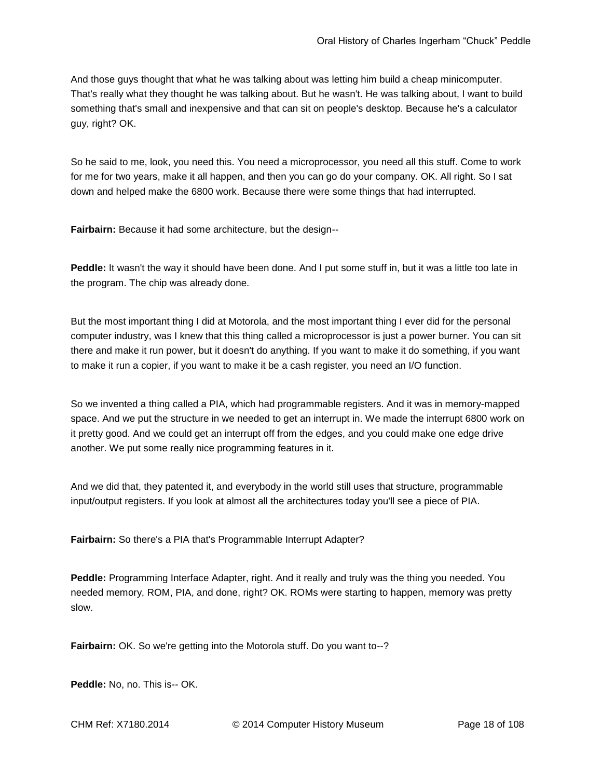And those guys thought that what he was talking about was letting him build a cheap minicomputer. That's really what they thought he was talking about. But he wasn't. He was talking about, I want to build something that's small and inexpensive and that can sit on people's desktop. Because he's a calculator guy, right? OK.

So he said to me, look, you need this. You need a microprocessor, you need all this stuff. Come to work for me for two years, make it all happen, and then you can go do your company. OK. All right. So I sat down and helped make the 6800 work. Because there were some things that had interrupted.

**Fairbairn:** Because it had some architecture, but the design--

**Peddle:** It wasn't the way it should have been done. And I put some stuff in, but it was a little too late in the program. The chip was already done.

But the most important thing I did at Motorola, and the most important thing I ever did for the personal computer industry, was I knew that this thing called a microprocessor is just a power burner. You can sit there and make it run power, but it doesn't do anything. If you want to make it do something, if you want to make it run a copier, if you want to make it be a cash register, you need an I/O function.

So we invented a thing called a PIA, which had programmable registers. And it was in memory-mapped space. And we put the structure in we needed to get an interrupt in. We made the interrupt 6800 work on it pretty good. And we could get an interrupt off from the edges, and you could make one edge drive another. We put some really nice programming features in it.

And we did that, they patented it, and everybody in the world still uses that structure, programmable input/output registers. If you look at almost all the architectures today you'll see a piece of PIA.

**Fairbairn:** So there's a PIA that's Programmable Interrupt Adapter?

**Peddle:** Programming Interface Adapter, right. And it really and truly was the thing you needed. You needed memory, ROM, PIA, and done, right? OK. ROMs were starting to happen, memory was pretty slow.

**Fairbairn:** OK. So we're getting into the Motorola stuff. Do you want to--?

**Peddle: No. no. This is-- OK.**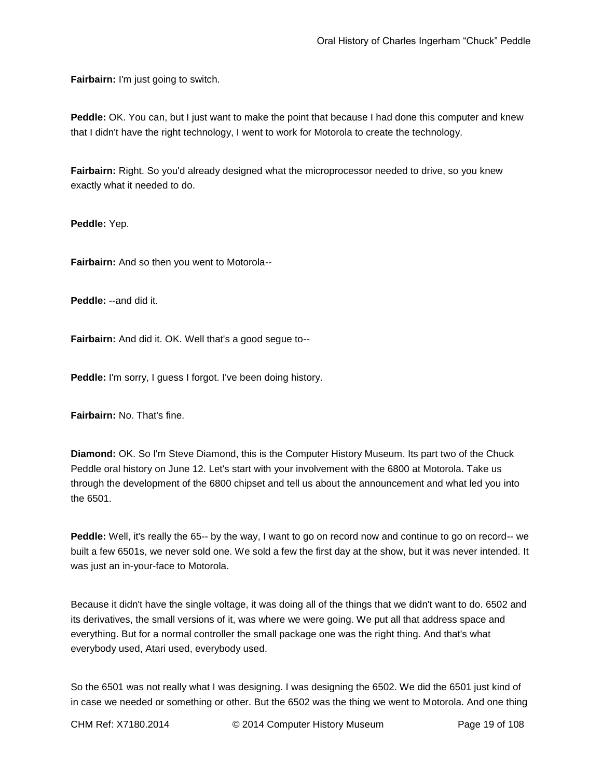**Fairbairn:** I'm just going to switch.

**Peddle:** OK. You can, but I just want to make the point that because I had done this computer and knew that I didn't have the right technology, I went to work for Motorola to create the technology.

**Fairbairn:** Right. So you'd already designed what the microprocessor needed to drive, so you knew exactly what it needed to do.

**Peddle:** Yep.

**Fairbairn:** And so then you went to Motorola--

**Peddle:** --and did it.

**Fairbairn:** And did it. OK. Well that's a good segue to--

**Peddle:** I'm sorry, I guess I forgot. I've been doing history.

**Fairbairn:** No. That's fine.

**Diamond:** OK. So I'm Steve Diamond, this is the Computer History Museum. Its part two of the Chuck Peddle oral history on June 12. Let's start with your involvement with the 6800 at Motorola. Take us through the development of the 6800 chipset and tell us about the announcement and what led you into the 6501.

**Peddle:** Well, it's really the 65-- by the way, I want to go on record now and continue to go on record-- we built a few 6501s, we never sold one. We sold a few the first day at the show, but it was never intended. It was just an in-your-face to Motorola.

Because it didn't have the single voltage, it was doing all of the things that we didn't want to do. 6502 and its derivatives, the small versions of it, was where we were going. We put all that address space and everything. But for a normal controller the small package one was the right thing. And that's what everybody used, Atari used, everybody used.

So the 6501 was not really what I was designing. I was designing the 6502. We did the 6501 just kind of in case we needed or something or other. But the 6502 was the thing we went to Motorola. And one thing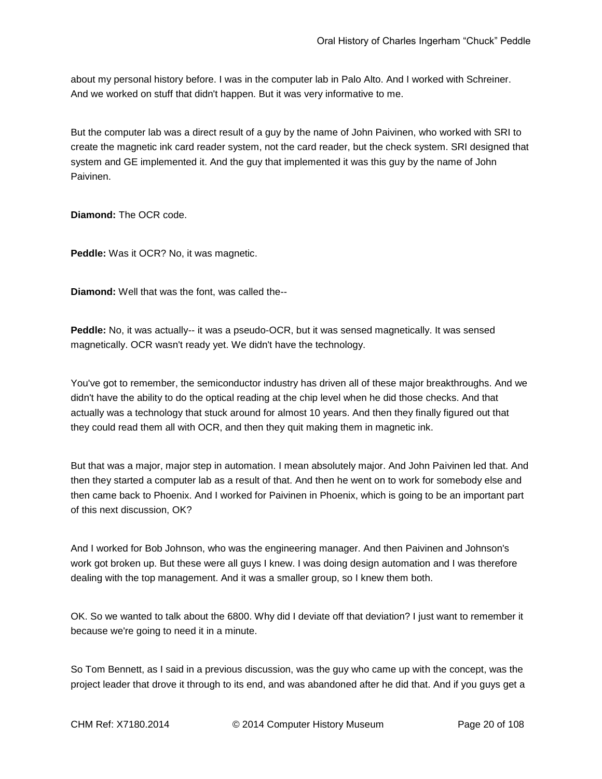about my personal history before. I was in the computer lab in Palo Alto. And I worked with Schreiner. And we worked on stuff that didn't happen. But it was very informative to me.

But the computer lab was a direct result of a guy by the name of John Paivinen, who worked with SRI to create the magnetic ink card reader system, not the card reader, but the check system. SRI designed that system and GE implemented it. And the guy that implemented it was this guy by the name of John Paivinen.

**Diamond:** The OCR code.

**Peddle:** Was it OCR? No, it was magnetic.

**Diamond:** Well that was the font, was called the--

**Peddle:** No, it was actually-- it was a pseudo-OCR, but it was sensed magnetically. It was sensed magnetically. OCR wasn't ready yet. We didn't have the technology.

You've got to remember, the semiconductor industry has driven all of these major breakthroughs. And we didn't have the ability to do the optical reading at the chip level when he did those checks. And that actually was a technology that stuck around for almost 10 years. And then they finally figured out that they could read them all with OCR, and then they quit making them in magnetic ink.

But that was a major, major step in automation. I mean absolutely major. And John Paivinen led that. And then they started a computer lab as a result of that. And then he went on to work for somebody else and then came back to Phoenix. And I worked for Paivinen in Phoenix, which is going to be an important part of this next discussion, OK?

And I worked for Bob Johnson, who was the engineering manager. And then Paivinen and Johnson's work got broken up. But these were all guys I knew. I was doing design automation and I was therefore dealing with the top management. And it was a smaller group, so I knew them both.

OK. So we wanted to talk about the 6800. Why did I deviate off that deviation? I just want to remember it because we're going to need it in a minute.

So Tom Bennett, as I said in a previous discussion, was the guy who came up with the concept, was the project leader that drove it through to its end, and was abandoned after he did that. And if you guys get a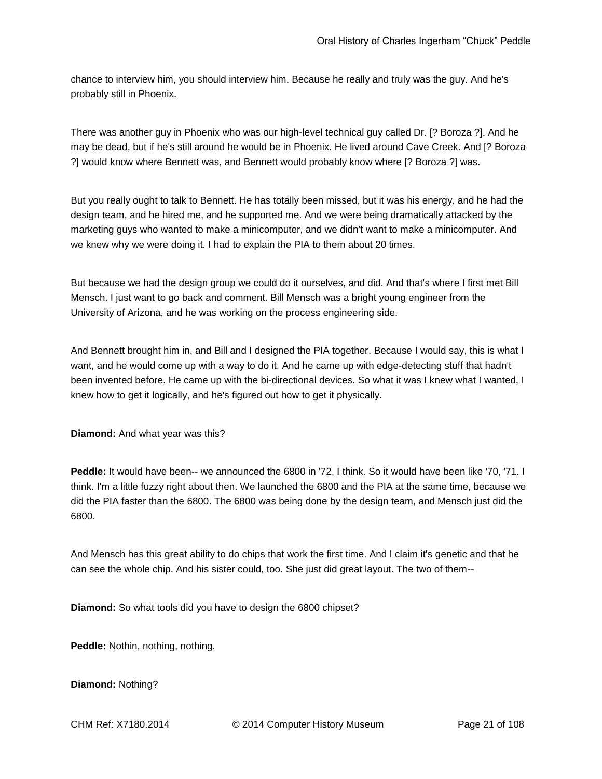chance to interview him, you should interview him. Because he really and truly was the guy. And he's probably still in Phoenix.

There was another guy in Phoenix who was our high-level technical guy called Dr. [? Boroza ?]. And he may be dead, but if he's still around he would be in Phoenix. He lived around Cave Creek. And [? Boroza ?] would know where Bennett was, and Bennett would probably know where [? Boroza ?] was.

But you really ought to talk to Bennett. He has totally been missed, but it was his energy, and he had the design team, and he hired me, and he supported me. And we were being dramatically attacked by the marketing guys who wanted to make a minicomputer, and we didn't want to make a minicomputer. And we knew why we were doing it. I had to explain the PIA to them about 20 times.

But because we had the design group we could do it ourselves, and did. And that's where I first met Bill Mensch. I just want to go back and comment. Bill Mensch was a bright young engineer from the University of Arizona, and he was working on the process engineering side.

And Bennett brought him in, and Bill and I designed the PIA together. Because I would say, this is what I want, and he would come up with a way to do it. And he came up with edge-detecting stuff that hadn't been invented before. He came up with the bi-directional devices. So what it was I knew what I wanted, I knew how to get it logically, and he's figured out how to get it physically.

**Diamond:** And what year was this?

**Peddle:** It would have been-- we announced the 6800 in '72, I think. So it would have been like '70, '71. I think. I'm a little fuzzy right about then. We launched the 6800 and the PIA at the same time, because we did the PIA faster than the 6800. The 6800 was being done by the design team, and Mensch just did the 6800.

And Mensch has this great ability to do chips that work the first time. And I claim it's genetic and that he can see the whole chip. And his sister could, too. She just did great layout. The two of them--

**Diamond:** So what tools did you have to design the 6800 chipset?

**Peddle:** Nothin, nothing, nothing.

**Diamond:** Nothing?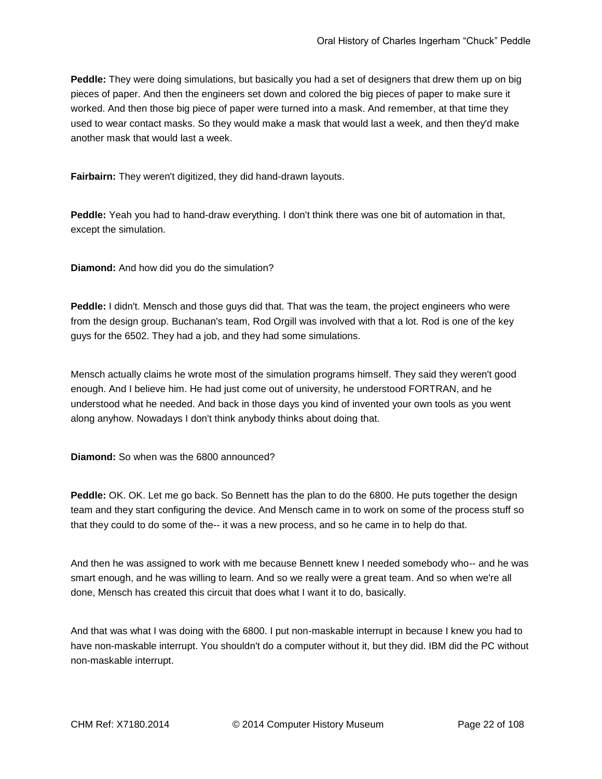**Peddle:** They were doing simulations, but basically you had a set of designers that drew them up on big pieces of paper. And then the engineers set down and colored the big pieces of paper to make sure it worked. And then those big piece of paper were turned into a mask. And remember, at that time they used to wear contact masks. So they would make a mask that would last a week, and then they'd make another mask that would last a week.

**Fairbairn:** They weren't digitized, they did hand-drawn layouts.

**Peddle:** Yeah you had to hand-draw everything. I don't think there was one bit of automation in that, except the simulation.

**Diamond:** And how did you do the simulation?

**Peddle:** I didn't. Mensch and those guys did that. That was the team, the project engineers who were from the design group. Buchanan's team, Rod Orgill was involved with that a lot. Rod is one of the key guys for the 6502. They had a job, and they had some simulations.

Mensch actually claims he wrote most of the simulation programs himself. They said they weren't good enough. And I believe him. He had just come out of university, he understood FORTRAN, and he understood what he needed. And back in those days you kind of invented your own tools as you went along anyhow. Nowadays I don't think anybody thinks about doing that.

**Diamond:** So when was the 6800 announced?

**Peddle:** OK. OK. Let me go back. So Bennett has the plan to do the 6800. He puts together the design team and they start configuring the device. And Mensch came in to work on some of the process stuff so that they could to do some of the-- it was a new process, and so he came in to help do that.

And then he was assigned to work with me because Bennett knew I needed somebody who-- and he was smart enough, and he was willing to learn. And so we really were a great team. And so when we're all done, Mensch has created this circuit that does what I want it to do, basically.

And that was what I was doing with the 6800. I put non-maskable interrupt in because I knew you had to have non-maskable interrupt. You shouldn't do a computer without it, but they did. IBM did the PC without non-maskable interrupt.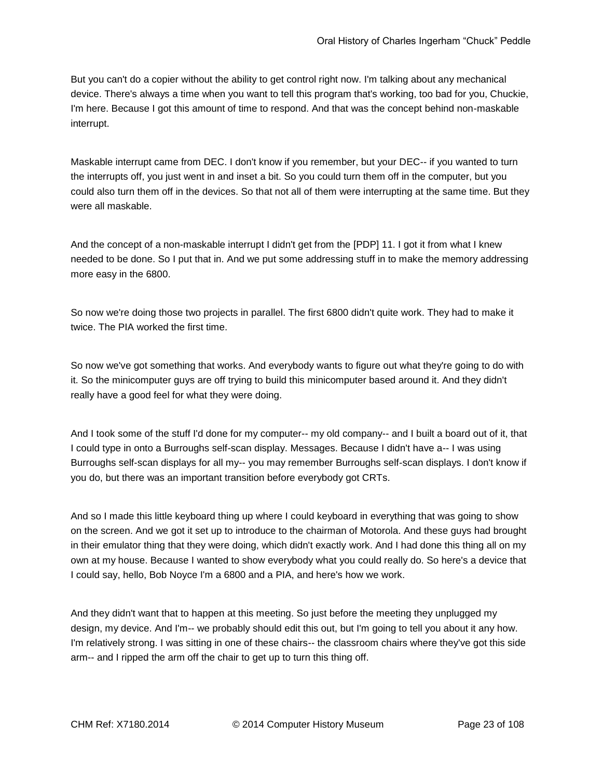But you can't do a copier without the ability to get control right now. I'm talking about any mechanical device. There's always a time when you want to tell this program that's working, too bad for you, Chuckie, I'm here. Because I got this amount of time to respond. And that was the concept behind non-maskable interrupt.

Maskable interrupt came from DEC. I don't know if you remember, but your DEC-- if you wanted to turn the interrupts off, you just went in and inset a bit. So you could turn them off in the computer, but you could also turn them off in the devices. So that not all of them were interrupting at the same time. But they were all maskable.

And the concept of a non-maskable interrupt I didn't get from the [PDP] 11. I got it from what I knew needed to be done. So I put that in. And we put some addressing stuff in to make the memory addressing more easy in the 6800.

So now we're doing those two projects in parallel. The first 6800 didn't quite work. They had to make it twice. The PIA worked the first time.

So now we've got something that works. And everybody wants to figure out what they're going to do with it. So the minicomputer guys are off trying to build this minicomputer based around it. And they didn't really have a good feel for what they were doing.

And I took some of the stuff I'd done for my computer-- my old company-- and I built a board out of it, that I could type in onto a Burroughs self-scan display. Messages. Because I didn't have a-- I was using Burroughs self-scan displays for all my-- you may remember Burroughs self-scan displays. I don't know if you do, but there was an important transition before everybody got CRTs.

And so I made this little keyboard thing up where I could keyboard in everything that was going to show on the screen. And we got it set up to introduce to the chairman of Motorola. And these guys had brought in their emulator thing that they were doing, which didn't exactly work. And I had done this thing all on my own at my house. Because I wanted to show everybody what you could really do. So here's a device that I could say, hello, Bob Noyce I'm a 6800 and a PIA, and here's how we work.

And they didn't want that to happen at this meeting. So just before the meeting they unplugged my design, my device. And I'm-- we probably should edit this out, but I'm going to tell you about it any how. I'm relatively strong. I was sitting in one of these chairs-- the classroom chairs where they've got this side arm-- and I ripped the arm off the chair to get up to turn this thing off.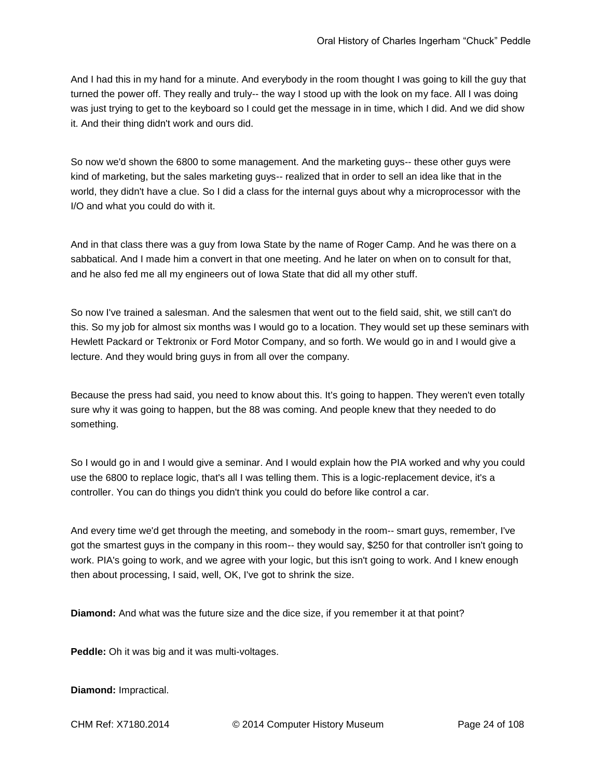And I had this in my hand for a minute. And everybody in the room thought I was going to kill the guy that turned the power off. They really and truly-- the way I stood up with the look on my face. All I was doing was just trying to get to the keyboard so I could get the message in in time, which I did. And we did show it. And their thing didn't work and ours did.

So now we'd shown the 6800 to some management. And the marketing guys-- these other guys were kind of marketing, but the sales marketing guys-- realized that in order to sell an idea like that in the world, they didn't have a clue. So I did a class for the internal guys about why a microprocessor with the I/O and what you could do with it.

And in that class there was a guy from Iowa State by the name of Roger Camp. And he was there on a sabbatical. And I made him a convert in that one meeting. And he later on when on to consult for that, and he also fed me all my engineers out of Iowa State that did all my other stuff.

So now I've trained a salesman. And the salesmen that went out to the field said, shit, we still can't do this. So my job for almost six months was I would go to a location. They would set up these seminars with Hewlett Packard or Tektronix or Ford Motor Company, and so forth. We would go in and I would give a lecture. And they would bring guys in from all over the company.

Because the press had said, you need to know about this. It's going to happen. They weren't even totally sure why it was going to happen, but the 88 was coming. And people knew that they needed to do something.

So I would go in and I would give a seminar. And I would explain how the PIA worked and why you could use the 6800 to replace logic, that's all I was telling them. This is a logic-replacement device, it's a controller. You can do things you didn't think you could do before like control a car.

And every time we'd get through the meeting, and somebody in the room-- smart guys, remember, I've got the smartest guys in the company in this room-- they would say, \$250 for that controller isn't going to work. PIA's going to work, and we agree with your logic, but this isn't going to work. And I knew enough then about processing, I said, well, OK, I've got to shrink the size.

**Diamond:** And what was the future size and the dice size, if you remember it at that point?

**Peddle:** Oh it was big and it was multi-voltages.

**Diamond:** Impractical.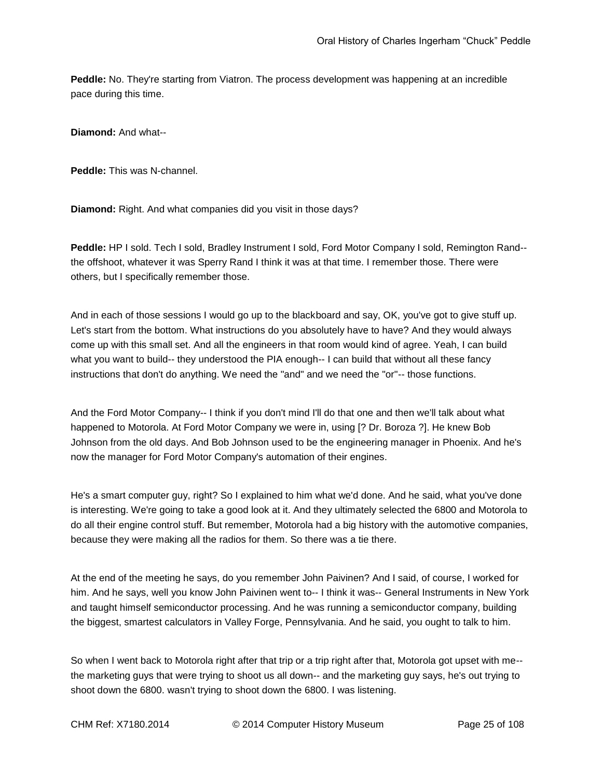**Peddle:** No. They're starting from Viatron. The process development was happening at an incredible pace during this time.

**Diamond:** And what--

**Peddle:** This was N-channel.

**Diamond:** Right. And what companies did you visit in those days?

**Peddle:** HP I sold. Tech I sold, Bradley Instrument I sold, Ford Motor Company I sold, Remington Rand- the offshoot, whatever it was Sperry Rand I think it was at that time. I remember those. There were others, but I specifically remember those.

And in each of those sessions I would go up to the blackboard and say, OK, you've got to give stuff up. Let's start from the bottom. What instructions do you absolutely have to have? And they would always come up with this small set. And all the engineers in that room would kind of agree. Yeah, I can build what you want to build-- they understood the PIA enough-- I can build that without all these fancy instructions that don't do anything. We need the "and" and we need the "or"-- those functions.

And the Ford Motor Company-- I think if you don't mind I'll do that one and then we'll talk about what happened to Motorola. At Ford Motor Company we were in, using [? Dr. Boroza ?]. He knew Bob Johnson from the old days. And Bob Johnson used to be the engineering manager in Phoenix. And he's now the manager for Ford Motor Company's automation of their engines.

He's a smart computer guy, right? So I explained to him what we'd done. And he said, what you've done is interesting. We're going to take a good look at it. And they ultimately selected the 6800 and Motorola to do all their engine control stuff. But remember, Motorola had a big history with the automotive companies, because they were making all the radios for them. So there was a tie there.

At the end of the meeting he says, do you remember John Paivinen? And I said, of course, I worked for him. And he says, well you know John Paivinen went to-- I think it was-- General Instruments in New York and taught himself semiconductor processing. And he was running a semiconductor company, building the biggest, smartest calculators in Valley Forge, Pennsylvania. And he said, you ought to talk to him.

So when I went back to Motorola right after that trip or a trip right after that, Motorola got upset with me- the marketing guys that were trying to shoot us all down-- and the marketing guy says, he's out trying to shoot down the 6800. wasn't trying to shoot down the 6800. I was listening.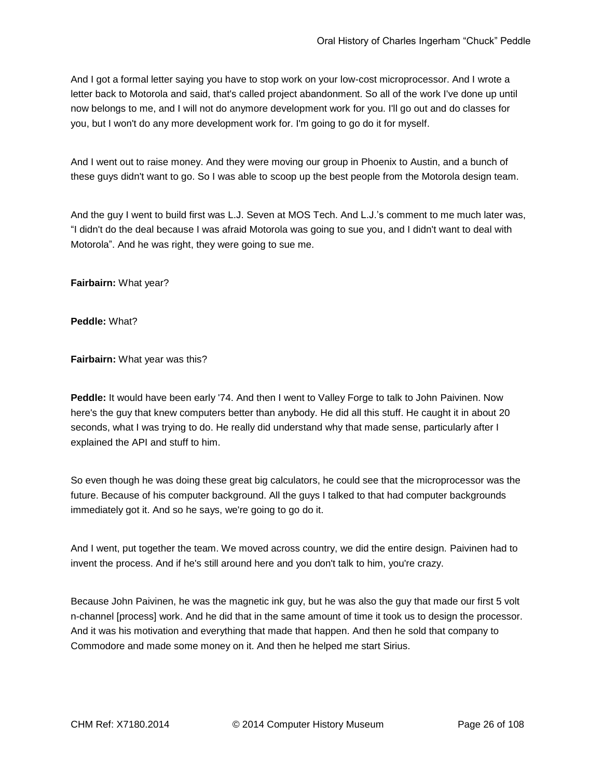And I got a formal letter saying you have to stop work on your low-cost microprocessor. And I wrote a letter back to Motorola and said, that's called project abandonment. So all of the work I've done up until now belongs to me, and I will not do anymore development work for you. I'll go out and do classes for you, but I won't do any more development work for. I'm going to go do it for myself.

And I went out to raise money. And they were moving our group in Phoenix to Austin, and a bunch of these guys didn't want to go. So I was able to scoop up the best people from the Motorola design team.

And the guy I went to build first was L.J. Seven at MOS Tech. And L.J.'s comment to me much later was, "I didn't do the deal because I was afraid Motorola was going to sue you, and I didn't want to deal with Motorola". And he was right, they were going to sue me.

**Fairbairn:** What year?

**Peddle:** What?

**Fairbairn:** What year was this?

**Peddle:** It would have been early '74. And then I went to Valley Forge to talk to John Paivinen. Now here's the guy that knew computers better than anybody. He did all this stuff. He caught it in about 20 seconds, what I was trying to do. He really did understand why that made sense, particularly after I explained the API and stuff to him.

So even though he was doing these great big calculators, he could see that the microprocessor was the future. Because of his computer background. All the guys I talked to that had computer backgrounds immediately got it. And so he says, we're going to go do it.

And I went, put together the team. We moved across country, we did the entire design. Paivinen had to invent the process. And if he's still around here and you don't talk to him, you're crazy.

Because John Paivinen, he was the magnetic ink guy, but he was also the guy that made our first 5 volt n-channel [process] work. And he did that in the same amount of time it took us to design the processor. And it was his motivation and everything that made that happen. And then he sold that company to Commodore and made some money on it. And then he helped me start Sirius.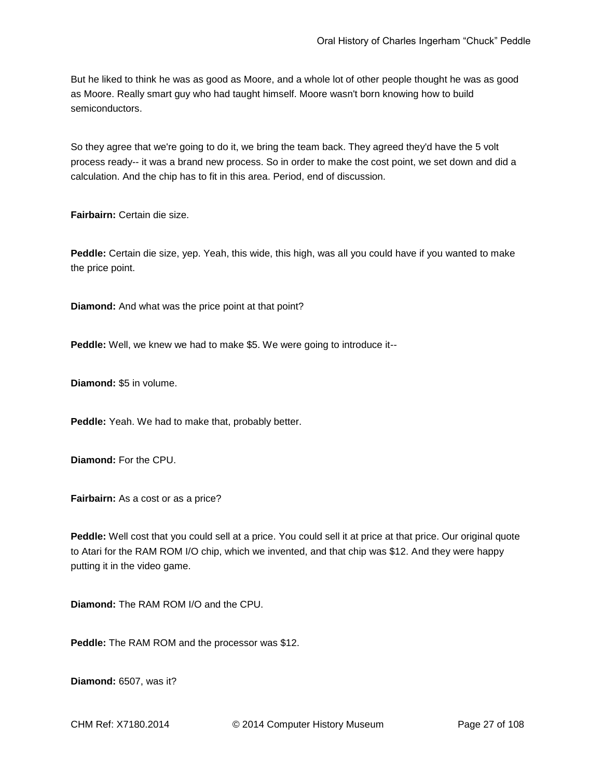But he liked to think he was as good as Moore, and a whole lot of other people thought he was as good as Moore. Really smart guy who had taught himself. Moore wasn't born knowing how to build semiconductors.

So they agree that we're going to do it, we bring the team back. They agreed they'd have the 5 volt process ready-- it was a brand new process. So in order to make the cost point, we set down and did a calculation. And the chip has to fit in this area. Period, end of discussion.

**Fairbairn:** Certain die size.

**Peddle:** Certain die size, yep. Yeah, this wide, this high, was all you could have if you wanted to make the price point.

**Diamond:** And what was the price point at that point?

**Peddle:** Well, we knew we had to make \$5. We were going to introduce it--

**Diamond:** \$5 in volume.

**Peddle:** Yeah. We had to make that, probably better.

**Diamond:** For the CPU.

**Fairbairn:** As a cost or as a price?

**Peddle:** Well cost that you could sell at a price. You could sell it at price at that price. Our original quote to Atari for the RAM ROM I/O chip, which we invented, and that chip was \$12. And they were happy putting it in the video game.

**Diamond:** The RAM ROM I/O and the CPU.

**Peddle:** The RAM ROM and the processor was \$12.

**Diamond:** 6507, was it?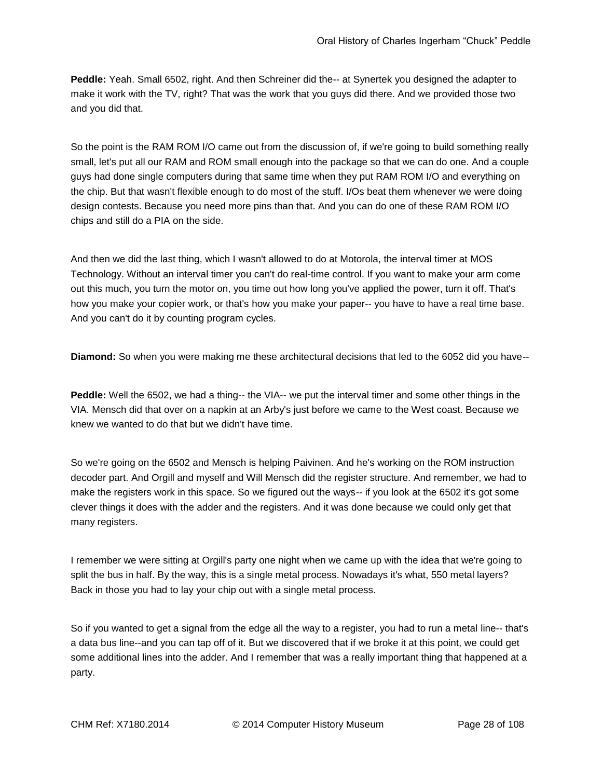**Peddle:** Yeah. Small 6502, right. And then Schreiner did the-- at Synertek you designed the adapter to make it work with the TV, right? That was the work that you guys did there. And we provided those two and you did that.

So the point is the RAM ROM I/O came out from the discussion of, if we're going to build something really small, let's put all our RAM and ROM small enough into the package so that we can do one. And a couple guys had done single computers during that same time when they put RAM ROM I/O and everything on the chip. But that wasn't flexible enough to do most of the stuff. I/Os beat them whenever we were doing design contests. Because you need more pins than that. And you can do one of these RAM ROM I/O chips and still do a PIA on the side.

And then we did the last thing, which I wasn't allowed to do at Motorola, the interval timer at MOS Technology. Without an interval timer you can't do real-time control. If you want to make your arm come out this much, you turn the motor on, you time out how long you've applied the power, turn it off. That's how you make your copier work, or that's how you make your paper-- you have to have a real time base. And you can't do it by counting program cycles.

**Diamond:** So when you were making me these architectural decisions that led to the 6052 did you have--

**Peddle:** Well the 6502, we had a thing-- the VIA-- we put the interval timer and some other things in the VIA. Mensch did that over on a napkin at an Arby's just before we came to the West coast. Because we knew we wanted to do that but we didn't have time.

So we're going on the 6502 and Mensch is helping Paivinen. And he's working on the ROM instruction decoder part. And Orgill and myself and Will Mensch did the register structure. And remember, we had to make the registers work in this space. So we figured out the ways-- if you look at the 6502 it's got some clever things it does with the adder and the registers. And it was done because we could only get that many registers.

I remember we were sitting at Orgill's party one night when we came up with the idea that we're going to split the bus in half. By the way, this is a single metal process. Nowadays it's what, 550 metal layers? Back in those you had to lay your chip out with a single metal process.

So if you wanted to get a signal from the edge all the way to a register, you had to run a metal line-- that's a data bus line--and you can tap off of it. But we discovered that if we broke it at this point, we could get some additional lines into the adder. And I remember that was a really important thing that happened at a party.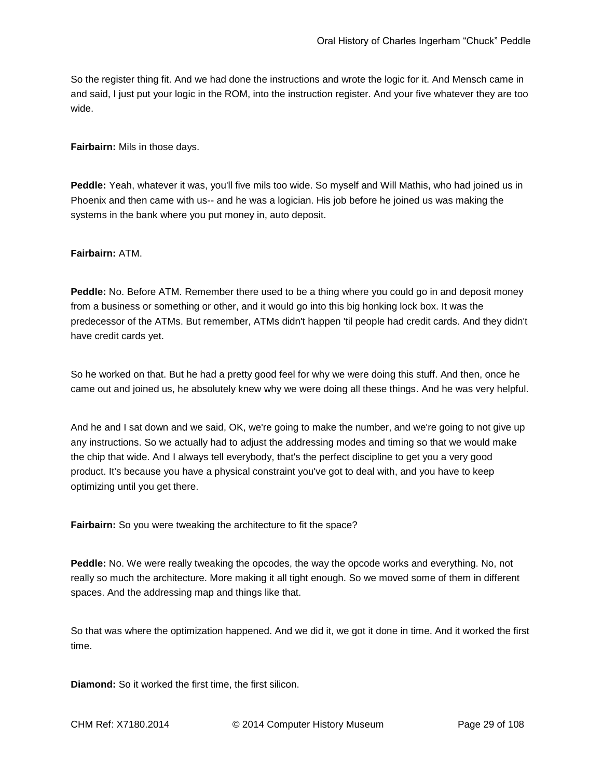So the register thing fit. And we had done the instructions and wrote the logic for it. And Mensch came in and said, I just put your logic in the ROM, into the instruction register. And your five whatever they are too wide.

**Fairbairn:** Mils in those days.

**Peddle:** Yeah, whatever it was, you'll five mils too wide. So myself and Will Mathis, who had joined us in Phoenix and then came with us-- and he was a logician. His job before he joined us was making the systems in the bank where you put money in, auto deposit.

## **Fairbairn:** ATM.

**Peddle:** No. Before ATM. Remember there used to be a thing where you could go in and deposit money from a business or something or other, and it would go into this big honking lock box. It was the predecessor of the ATMs. But remember, ATMs didn't happen 'til people had credit cards. And they didn't have credit cards yet.

So he worked on that. But he had a pretty good feel for why we were doing this stuff. And then, once he came out and joined us, he absolutely knew why we were doing all these things. And he was very helpful.

And he and I sat down and we said, OK, we're going to make the number, and we're going to not give up any instructions. So we actually had to adjust the addressing modes and timing so that we would make the chip that wide. And I always tell everybody, that's the perfect discipline to get you a very good product. It's because you have a physical constraint you've got to deal with, and you have to keep optimizing until you get there.

**Fairbairn:** So you were tweaking the architecture to fit the space?

**Peddle:** No. We were really tweaking the opcodes, the way the opcode works and everything. No, not really so much the architecture. More making it all tight enough. So we moved some of them in different spaces. And the addressing map and things like that.

So that was where the optimization happened. And we did it, we got it done in time. And it worked the first time.

**Diamond:** So it worked the first time, the first silicon.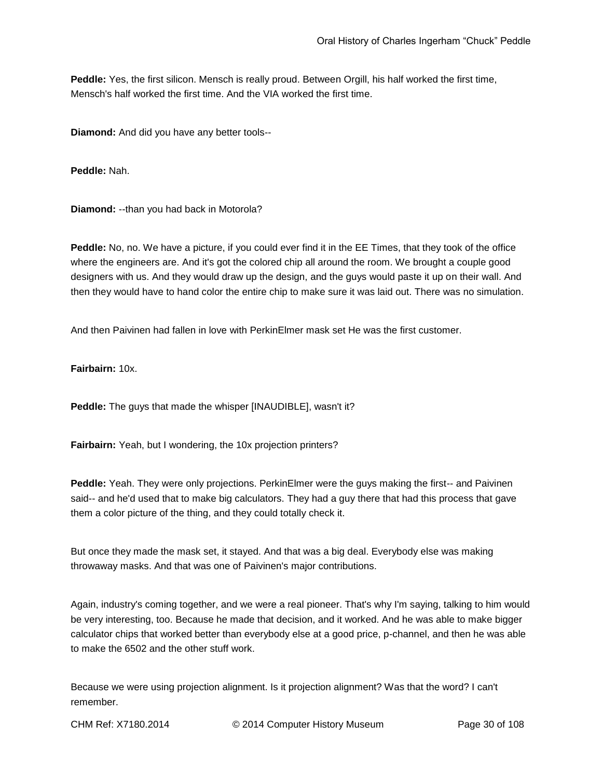**Peddle:** Yes, the first silicon. Mensch is really proud. Between Orgill, his half worked the first time, Mensch's half worked the first time. And the VIA worked the first time.

**Diamond:** And did you have any better tools--

**Peddle:** Nah.

**Diamond:** --than you had back in Motorola?

**Peddle:** No, no. We have a picture, if you could ever find it in the EE Times, that they took of the office where the engineers are. And it's got the colored chip all around the room. We brought a couple good designers with us. And they would draw up the design, and the guys would paste it up on their wall. And then they would have to hand color the entire chip to make sure it was laid out. There was no simulation.

And then Paivinen had fallen in love with PerkinElmer mask set He was the first customer.

**Fairbairn:** 10x.

**Peddle:** The guys that made the whisper [INAUDIBLE], wasn't it?

**Fairbairn:** Yeah, but I wondering, the 10x projection printers?

**Peddle:** Yeah. They were only projections. PerkinElmer were the guys making the first-- and Paivinen said-- and he'd used that to make big calculators. They had a guy there that had this process that gave them a color picture of the thing, and they could totally check it.

But once they made the mask set, it stayed. And that was a big deal. Everybody else was making throwaway masks. And that was one of Paivinen's major contributions.

Again, industry's coming together, and we were a real pioneer. That's why I'm saying, talking to him would be very interesting, too. Because he made that decision, and it worked. And he was able to make bigger calculator chips that worked better than everybody else at a good price, p-channel, and then he was able to make the 6502 and the other stuff work.

Because we were using projection alignment. Is it projection alignment? Was that the word? I can't remember.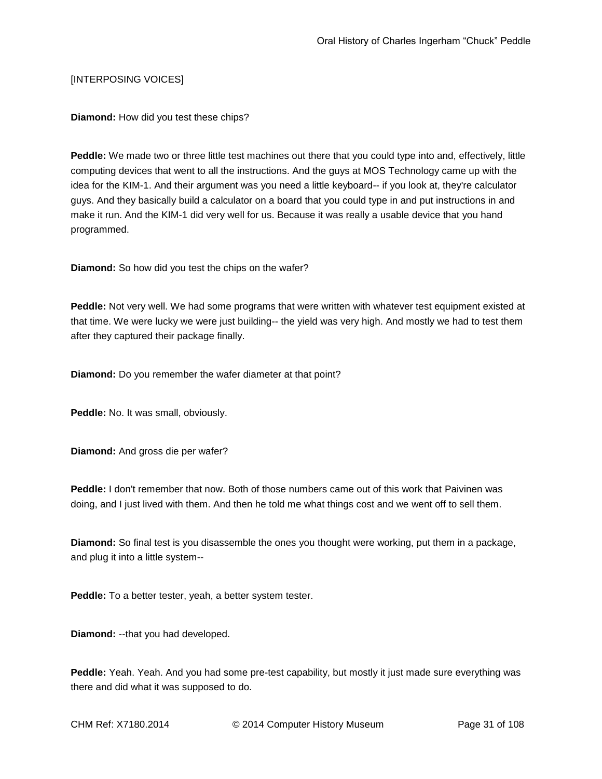## [INTERPOSING VOICES]

**Diamond:** How did you test these chips?

**Peddle:** We made two or three little test machines out there that you could type into and, effectively, little computing devices that went to all the instructions. And the guys at MOS Technology came up with the idea for the KIM-1. And their argument was you need a little keyboard-- if you look at, they're calculator guys. And they basically build a calculator on a board that you could type in and put instructions in and make it run. And the KIM-1 did very well for us. Because it was really a usable device that you hand programmed.

**Diamond:** So how did you test the chips on the wafer?

**Peddle:** Not very well. We had some programs that were written with whatever test equipment existed at that time. We were lucky we were just building-- the yield was very high. And mostly we had to test them after they captured their package finally.

**Diamond:** Do you remember the wafer diameter at that point?

**Peddle:** No. It was small, obviously.

**Diamond:** And gross die per wafer?

**Peddle:** I don't remember that now. Both of those numbers came out of this work that Paivinen was doing, and I just lived with them. And then he told me what things cost and we went off to sell them.

**Diamond:** So final test is you disassemble the ones you thought were working, put them in a package, and plug it into a little system--

**Peddle:** To a better tester, yeah, a better system tester.

**Diamond:** --that you had developed.

**Peddle:** Yeah. Yeah. And you had some pre-test capability, but mostly it just made sure everything was there and did what it was supposed to do.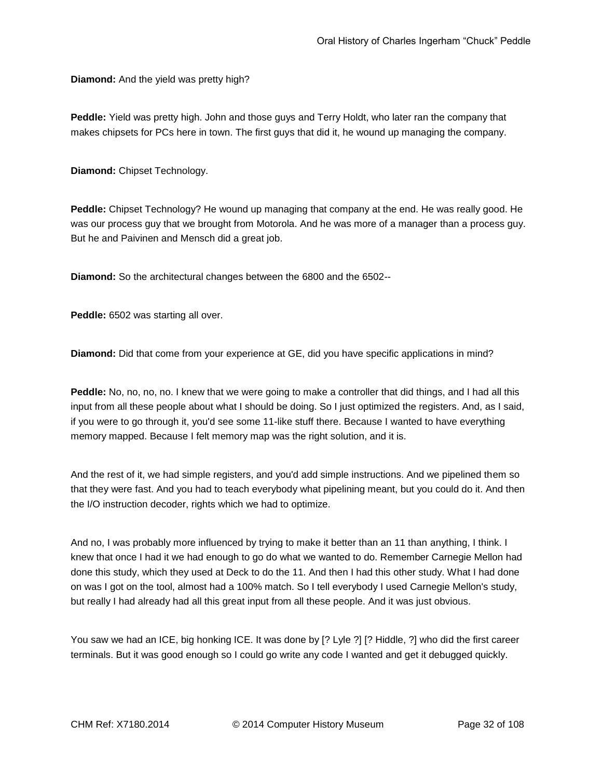**Diamond:** And the yield was pretty high?

**Peddle:** Yield was pretty high. John and those guys and Terry Holdt, who later ran the company that makes chipsets for PCs here in town. The first guys that did it, he wound up managing the company.

**Diamond:** Chipset Technology.

**Peddle:** Chipset Technology? He wound up managing that company at the end. He was really good. He was our process guy that we brought from Motorola. And he was more of a manager than a process guy. But he and Paivinen and Mensch did a great job.

**Diamond:** So the architectural changes between the 6800 and the 6502--

**Peddle:** 6502 was starting all over.

**Diamond:** Did that come from your experience at GE, did you have specific applications in mind?

**Peddle:** No, no, no, no. I knew that we were going to make a controller that did things, and I had all this input from all these people about what I should be doing. So I just optimized the registers. And, as I said, if you were to go through it, you'd see some 11-like stuff there. Because I wanted to have everything memory mapped. Because I felt memory map was the right solution, and it is.

And the rest of it, we had simple registers, and you'd add simple instructions. And we pipelined them so that they were fast. And you had to teach everybody what pipelining meant, but you could do it. And then the I/O instruction decoder, rights which we had to optimize.

And no, I was probably more influenced by trying to make it better than an 11 than anything, I think. I knew that once I had it we had enough to go do what we wanted to do. Remember Carnegie Mellon had done this study, which they used at Deck to do the 11. And then I had this other study. What I had done on was I got on the tool, almost had a 100% match. So I tell everybody I used Carnegie Mellon's study, but really I had already had all this great input from all these people. And it was just obvious.

You saw we had an ICE, big honking ICE. It was done by [? Lyle ?] [? Hiddle, ?] who did the first career terminals. But it was good enough so I could go write any code I wanted and get it debugged quickly.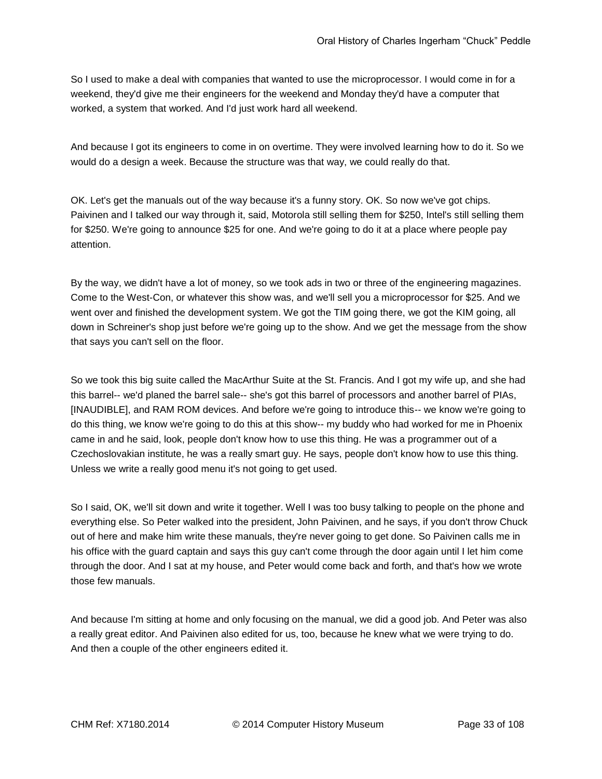So I used to make a deal with companies that wanted to use the microprocessor. I would come in for a weekend, they'd give me their engineers for the weekend and Monday they'd have a computer that worked, a system that worked. And I'd just work hard all weekend.

And because I got its engineers to come in on overtime. They were involved learning how to do it. So we would do a design a week. Because the structure was that way, we could really do that.

OK. Let's get the manuals out of the way because it's a funny story. OK. So now we've got chips. Paivinen and I talked our way through it, said, Motorola still selling them for \$250, Intel's still selling them for \$250. We're going to announce \$25 for one. And we're going to do it at a place where people pay attention.

By the way, we didn't have a lot of money, so we took ads in two or three of the engineering magazines. Come to the West-Con, or whatever this show was, and we'll sell you a microprocessor for \$25. And we went over and finished the development system. We got the TIM going there, we got the KIM going, all down in Schreiner's shop just before we're going up to the show. And we get the message from the show that says you can't sell on the floor.

So we took this big suite called the MacArthur Suite at the St. Francis. And I got my wife up, and she had this barrel-- we'd planed the barrel sale-- she's got this barrel of processors and another barrel of PIAs, [INAUDIBLE], and RAM ROM devices. And before we're going to introduce this-- we know we're going to do this thing, we know we're going to do this at this show-- my buddy who had worked for me in Phoenix came in and he said, look, people don't know how to use this thing. He was a programmer out of a Czechoslovakian institute, he was a really smart guy. He says, people don't know how to use this thing. Unless we write a really good menu it's not going to get used.

So I said, OK, we'll sit down and write it together. Well I was too busy talking to people on the phone and everything else. So Peter walked into the president, John Paivinen, and he says, if you don't throw Chuck out of here and make him write these manuals, they're never going to get done. So Paivinen calls me in his office with the guard captain and says this guy can't come through the door again until I let him come through the door. And I sat at my house, and Peter would come back and forth, and that's how we wrote those few manuals.

And because I'm sitting at home and only focusing on the manual, we did a good job. And Peter was also a really great editor. And Paivinen also edited for us, too, because he knew what we were trying to do. And then a couple of the other engineers edited it.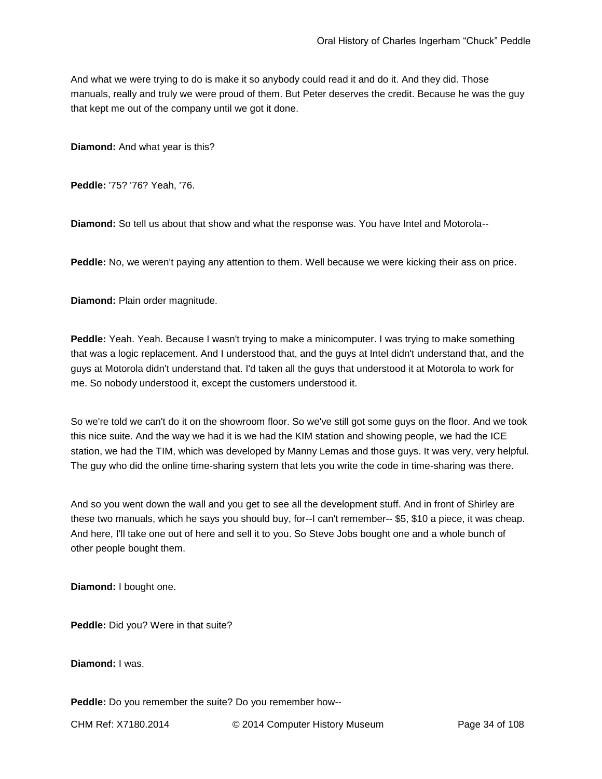And what we were trying to do is make it so anybody could read it and do it. And they did. Those manuals, really and truly we were proud of them. But Peter deserves the credit. Because he was the guy that kept me out of the company until we got it done.

**Diamond:** And what year is this?

**Peddle:** '75? '76? Yeah, '76.

**Diamond:** So tell us about that show and what the response was. You have Intel and Motorola--

**Peddle:** No, we weren't paying any attention to them. Well because we were kicking their ass on price.

**Diamond:** Plain order magnitude.

**Peddle:** Yeah. Yeah. Because I wasn't trying to make a minicomputer. I was trying to make something that was a logic replacement. And I understood that, and the guys at Intel didn't understand that, and the guys at Motorola didn't understand that. I'd taken all the guys that understood it at Motorola to work for me. So nobody understood it, except the customers understood it.

So we're told we can't do it on the showroom floor. So we've still got some guys on the floor. And we took this nice suite. And the way we had it is we had the KIM station and showing people, we had the ICE station, we had the TIM, which was developed by Manny Lemas and those guys. It was very, very helpful. The guy who did the online time-sharing system that lets you write the code in time-sharing was there.

And so you went down the wall and you get to see all the development stuff. And in front of Shirley are these two manuals, which he says you should buy, for--I can't remember-- \$5, \$10 a piece, it was cheap. And here, I'll take one out of here and sell it to you. So Steve Jobs bought one and a whole bunch of other people bought them.

**Diamond:** I bought one.

**Peddle:** Did you? Were in that suite?

**Diamond:** I was.

**Peddle:** Do you remember the suite? Do you remember how--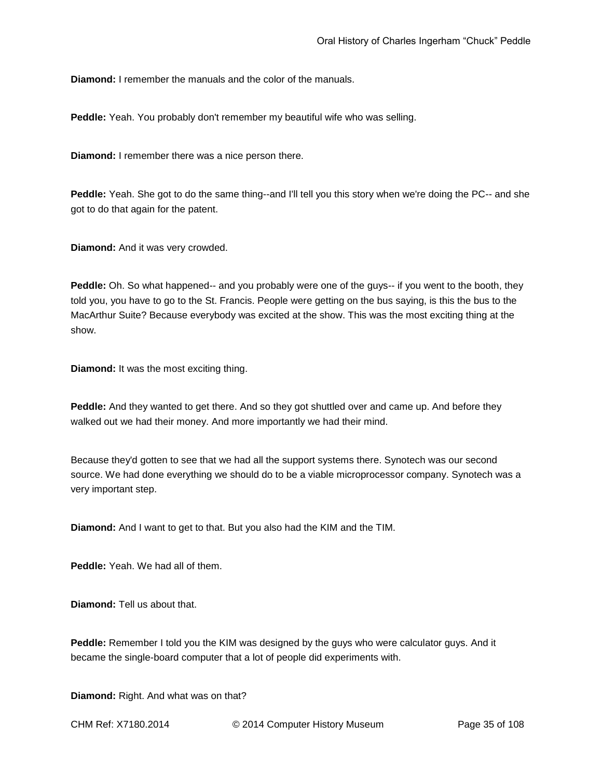**Diamond:** I remember the manuals and the color of the manuals.

**Peddle:** Yeah. You probably don't remember my beautiful wife who was selling.

**Diamond:** I remember there was a nice person there.

**Peddle:** Yeah. She got to do the same thing--and I'll tell you this story when we're doing the PC-- and she got to do that again for the patent.

**Diamond:** And it was very crowded.

**Peddle:** Oh. So what happened-- and you probably were one of the guys-- if you went to the booth, they told you, you have to go to the St. Francis. People were getting on the bus saying, is this the bus to the MacArthur Suite? Because everybody was excited at the show. This was the most exciting thing at the show.

**Diamond:** It was the most exciting thing.

**Peddle:** And they wanted to get there. And so they got shuttled over and came up. And before they walked out we had their money. And more importantly we had their mind.

Because they'd gotten to see that we had all the support systems there. Synotech was our second source. We had done everything we should do to be a viable microprocessor company. Synotech was a very important step.

**Diamond:** And I want to get to that. But you also had the KIM and the TIM.

**Peddle:** Yeah. We had all of them.

**Diamond:** Tell us about that.

**Peddle:** Remember I told you the KIM was designed by the guys who were calculator guys. And it became the single-board computer that a lot of people did experiments with.

**Diamond:** Right. And what was on that?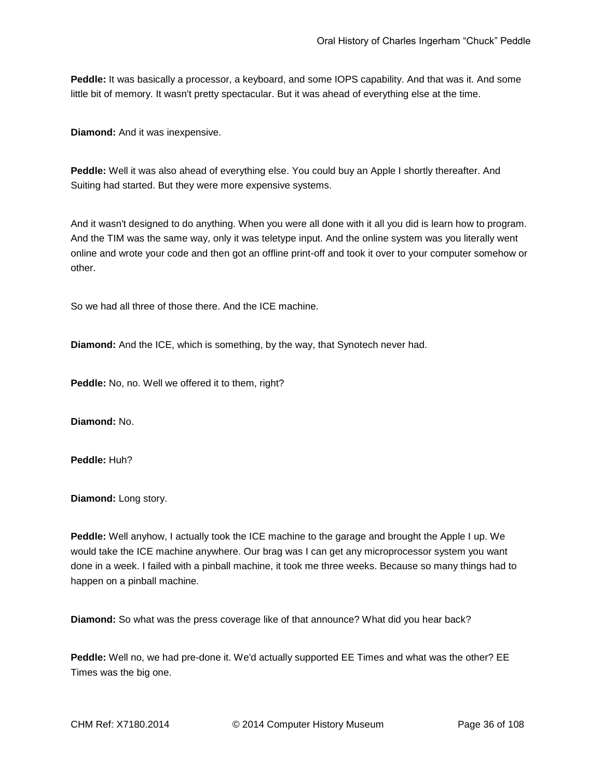Peddle: It was basically a processor, a keyboard, and some IOPS capability. And that was it. And some little bit of memory. It wasn't pretty spectacular. But it was ahead of everything else at the time.

**Diamond:** And it was inexpensive.

**Peddle:** Well it was also ahead of everything else. You could buy an Apple I shortly thereafter. And Suiting had started. But they were more expensive systems.

And it wasn't designed to do anything. When you were all done with it all you did is learn how to program. And the TIM was the same way, only it was teletype input. And the online system was you literally went online and wrote your code and then got an offline print-off and took it over to your computer somehow or other.

So we had all three of those there. And the ICE machine.

**Diamond:** And the ICE, which is something, by the way, that Synotech never had.

**Peddle:** No, no. Well we offered it to them, right?

**Diamond:** No.

**Peddle:** Huh?

**Diamond:** Long story.

**Peddle:** Well anyhow, I actually took the ICE machine to the garage and brought the Apple I up. We would take the ICE machine anywhere. Our brag was I can get any microprocessor system you want done in a week. I failed with a pinball machine, it took me three weeks. Because so many things had to happen on a pinball machine.

**Diamond:** So what was the press coverage like of that announce? What did you hear back?

**Peddle:** Well no, we had pre-done it. We'd actually supported EE Times and what was the other? EE Times was the big one.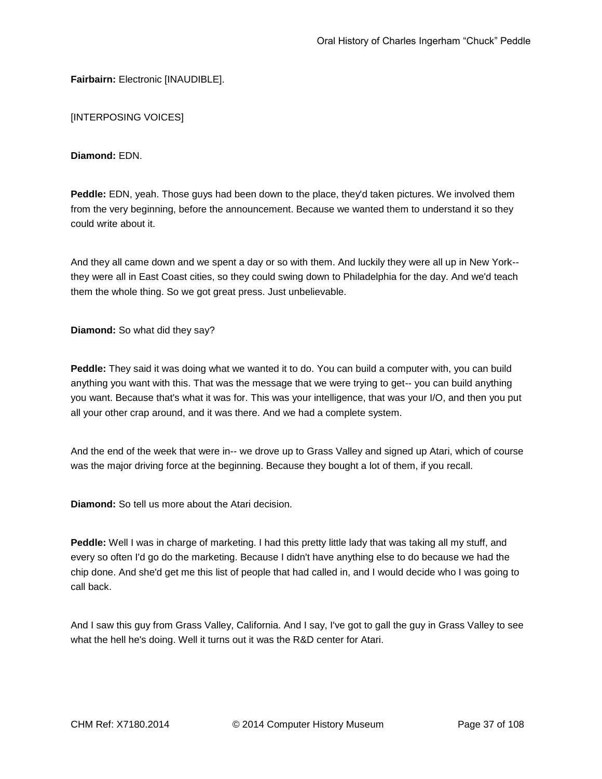**Fairbairn: Electronic [INAUDIBLE].** 

[INTERPOSING VOICES]

**Diamond:** EDN.

**Peddle:** EDN, yeah. Those guys had been down to the place, they'd taken pictures. We involved them from the very beginning, before the announcement. Because we wanted them to understand it so they could write about it.

And they all came down and we spent a day or so with them. And luckily they were all up in New York- they were all in East Coast cities, so they could swing down to Philadelphia for the day. And we'd teach them the whole thing. So we got great press. Just unbelievable.

**Diamond:** So what did they say?

**Peddle:** They said it was doing what we wanted it to do. You can build a computer with, you can build anything you want with this. That was the message that we were trying to get-- you can build anything you want. Because that's what it was for. This was your intelligence, that was your I/O, and then you put all your other crap around, and it was there. And we had a complete system.

And the end of the week that were in-- we drove up to Grass Valley and signed up Atari, which of course was the major driving force at the beginning. Because they bought a lot of them, if you recall.

**Diamond:** So tell us more about the Atari decision.

**Peddle:** Well I was in charge of marketing. I had this pretty little lady that was taking all my stuff, and every so often I'd go do the marketing. Because I didn't have anything else to do because we had the chip done. And she'd get me this list of people that had called in, and I would decide who I was going to call back.

And I saw this guy from Grass Valley, California. And I say, I've got to gall the guy in Grass Valley to see what the hell he's doing. Well it turns out it was the R&D center for Atari.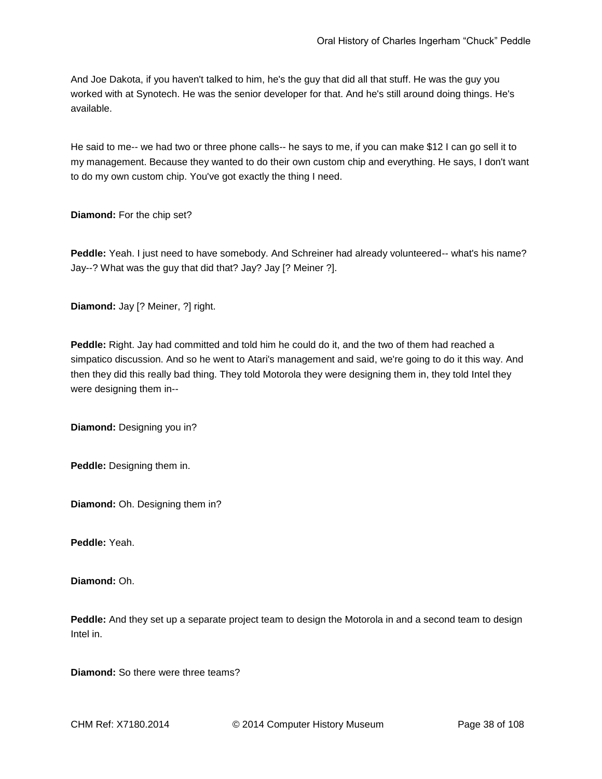And Joe Dakota, if you haven't talked to him, he's the guy that did all that stuff. He was the guy you worked with at Synotech. He was the senior developer for that. And he's still around doing things. He's available.

He said to me-- we had two or three phone calls-- he says to me, if you can make \$12 I can go sell it to my management. Because they wanted to do their own custom chip and everything. He says, I don't want to do my own custom chip. You've got exactly the thing I need.

**Diamond:** For the chip set?

**Peddle:** Yeah. I just need to have somebody. And Schreiner had already volunteered-- what's his name? Jay--? What was the guy that did that? Jay? Jay [? Meiner ?].

**Diamond:** Jay [? Meiner, ?] right.

**Peddle:** Right. Jay had committed and told him he could do it, and the two of them had reached a simpatico discussion. And so he went to Atari's management and said, we're going to do it this way. And then they did this really bad thing. They told Motorola they were designing them in, they told Intel they were designing them in--

**Diamond:** Designing you in?

**Peddle:** Designing them in.

**Diamond:** Oh. Designing them in?

**Peddle:** Yeah.

**Diamond:** Oh.

**Peddle:** And they set up a separate project team to design the Motorola in and a second team to design Intel in.

**Diamond:** So there were three teams?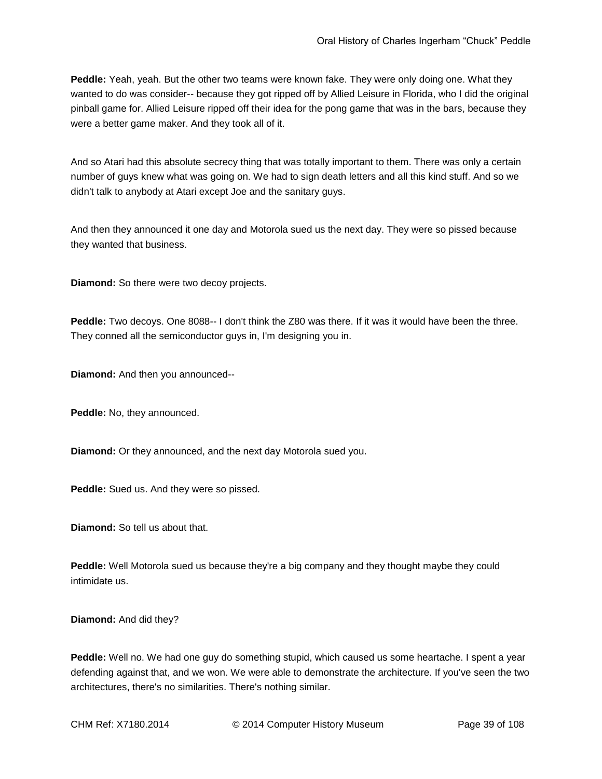**Peddle:** Yeah, yeah. But the other two teams were known fake. They were only doing one. What they wanted to do was consider-- because they got ripped off by Allied Leisure in Florida, who I did the original pinball game for. Allied Leisure ripped off their idea for the pong game that was in the bars, because they were a better game maker. And they took all of it.

And so Atari had this absolute secrecy thing that was totally important to them. There was only a certain number of guys knew what was going on. We had to sign death letters and all this kind stuff. And so we didn't talk to anybody at Atari except Joe and the sanitary guys.

And then they announced it one day and Motorola sued us the next day. They were so pissed because they wanted that business.

**Diamond:** So there were two decoy projects.

**Peddle:** Two decoys. One 8088-- I don't think the Z80 was there. If it was it would have been the three. They conned all the semiconductor guys in, I'm designing you in.

**Diamond:** And then you announced--

**Peddle:** No, they announced.

**Diamond:** Or they announced, and the next day Motorola sued you.

**Peddle:** Sued us. And they were so pissed.

**Diamond:** So tell us about that.

**Peddle:** Well Motorola sued us because they're a big company and they thought maybe they could intimidate us.

**Diamond:** And did they?

**Peddle:** Well no. We had one guy do something stupid, which caused us some heartache. I spent a year defending against that, and we won. We were able to demonstrate the architecture. If you've seen the two architectures, there's no similarities. There's nothing similar.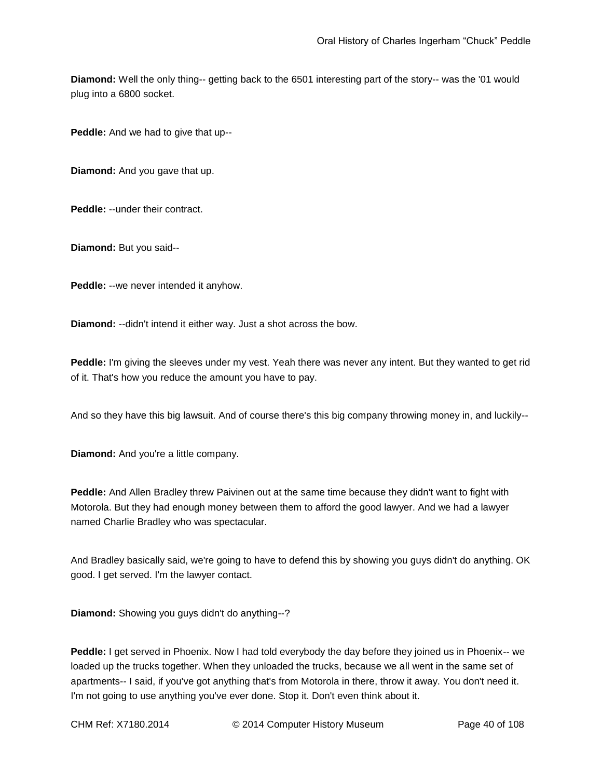**Diamond:** Well the only thing-- getting back to the 6501 interesting part of the story-- was the '01 would plug into a 6800 socket.

**Peddle:** And we had to give that up--

**Diamond:** And you gave that up.

**Peddle:** --under their contract.

**Diamond:** But you said--

**Peddle:** --we never intended it anyhow.

**Diamond:** --didn't intend it either way. Just a shot across the bow.

**Peddle:** I'm giving the sleeves under my vest. Yeah there was never any intent. But they wanted to get rid of it. That's how you reduce the amount you have to pay.

And so they have this big lawsuit. And of course there's this big company throwing money in, and luckily--

**Diamond:** And you're a little company.

**Peddle:** And Allen Bradley threw Paivinen out at the same time because they didn't want to fight with Motorola. But they had enough money between them to afford the good lawyer. And we had a lawyer named Charlie Bradley who was spectacular.

And Bradley basically said, we're going to have to defend this by showing you guys didn't do anything. OK good. I get served. I'm the lawyer contact.

**Diamond:** Showing you guys didn't do anything--?

**Peddle:** I get served in Phoenix. Now I had told everybody the day before they joined us in Phoenix-- we loaded up the trucks together. When they unloaded the trucks, because we all went in the same set of apartments-- I said, if you've got anything that's from Motorola in there, throw it away. You don't need it. I'm not going to use anything you've ever done. Stop it. Don't even think about it.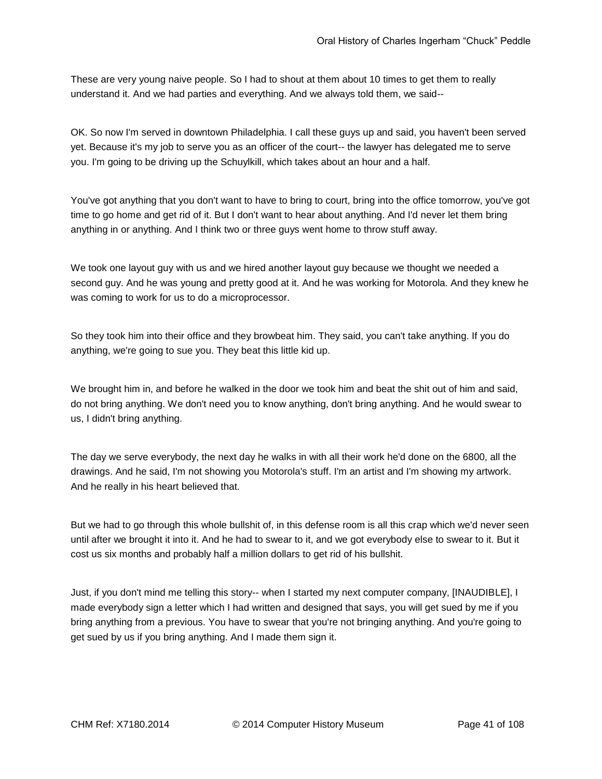These are very young naive people. So I had to shout at them about 10 times to get them to really understand it. And we had parties and everything. And we always told them, we said--

OK. So now I'm served in downtown Philadelphia. I call these guys up and said, you haven't been served yet. Because it's my job to serve you as an officer of the court-- the lawyer has delegated me to serve you. I'm going to be driving up the Schuylkill, which takes about an hour and a half.

You've got anything that you don't want to have to bring to court, bring into the office tomorrow, you've got time to go home and get rid of it. But I don't want to hear about anything. And I'd never let them bring anything in or anything. And I think two or three guys went home to throw stuff away.

We took one layout guy with us and we hired another layout guy because we thought we needed a second guy. And he was young and pretty good at it. And he was working for Motorola. And they knew he was coming to work for us to do a microprocessor.

So they took him into their office and they browbeat him. They said, you can't take anything. If you do anything, we're going to sue you. They beat this little kid up.

We brought him in, and before he walked in the door we took him and beat the shit out of him and said, do not bring anything. We don't need you to know anything, don't bring anything. And he would swear to us, I didn't bring anything.

The day we serve everybody, the next day he walks in with all their work he'd done on the 6800, all the drawings. And he said, I'm not showing you Motorola's stuff. I'm an artist and I'm showing my artwork. And he really in his heart believed that.

But we had to go through this whole bullshit of, in this defense room is all this crap which we'd never seen until after we brought it into it. And he had to swear to it, and we got everybody else to swear to it. But it cost us six months and probably half a million dollars to get rid of his bullshit.

Just, if you don't mind me telling this story-- when I started my next computer company, [INAUDIBLE], I made everybody sign a letter which I had written and designed that says, you will get sued by me if you bring anything from a previous. You have to swear that you're not bringing anything. And you're going to get sued by us if you bring anything. And I made them sign it.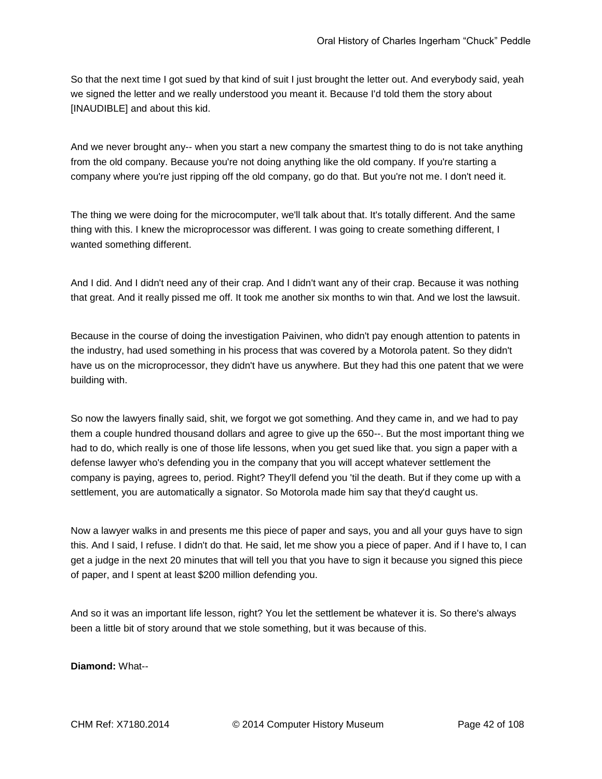So that the next time I got sued by that kind of suit I just brought the letter out. And everybody said, yeah we signed the letter and we really understood you meant it. Because I'd told them the story about [INAUDIBLE] and about this kid.

And we never brought any-- when you start a new company the smartest thing to do is not take anything from the old company. Because you're not doing anything like the old company. If you're starting a company where you're just ripping off the old company, go do that. But you're not me. I don't need it.

The thing we were doing for the microcomputer, we'll talk about that. It's totally different. And the same thing with this. I knew the microprocessor was different. I was going to create something different, I wanted something different.

And I did. And I didn't need any of their crap. And I didn't want any of their crap. Because it was nothing that great. And it really pissed me off. It took me another six months to win that. And we lost the lawsuit.

Because in the course of doing the investigation Paivinen, who didn't pay enough attention to patents in the industry, had used something in his process that was covered by a Motorola patent. So they didn't have us on the microprocessor, they didn't have us anywhere. But they had this one patent that we were building with.

So now the lawyers finally said, shit, we forgot we got something. And they came in, and we had to pay them a couple hundred thousand dollars and agree to give up the 650--. But the most important thing we had to do, which really is one of those life lessons, when you get sued like that. you sign a paper with a defense lawyer who's defending you in the company that you will accept whatever settlement the company is paying, agrees to, period. Right? They'll defend you 'til the death. But if they come up with a settlement, you are automatically a signator. So Motorola made him say that they'd caught us.

Now a lawyer walks in and presents me this piece of paper and says, you and all your guys have to sign this. And I said, I refuse. I didn't do that. He said, let me show you a piece of paper. And if I have to, I can get a judge in the next 20 minutes that will tell you that you have to sign it because you signed this piece of paper, and I spent at least \$200 million defending you.

And so it was an important life lesson, right? You let the settlement be whatever it is. So there's always been a little bit of story around that we stole something, but it was because of this.

**Diamond:** What--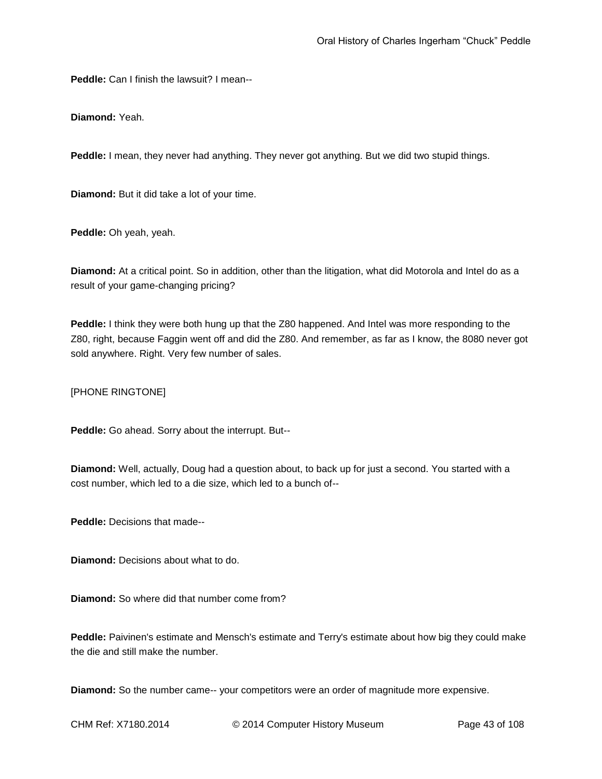**Peddle:** Can I finish the lawsuit? I mean--

**Diamond:** Yeah.

**Peddle:** I mean, they never had anything. They never got anything. But we did two stupid things.

**Diamond:** But it did take a lot of your time.

**Peddle:** Oh yeah, yeah.

**Diamond:** At a critical point. So in addition, other than the litigation, what did Motorola and Intel do as a result of your game-changing pricing?

**Peddle:** I think they were both hung up that the Z80 happened. And Intel was more responding to the Z80, right, because Faggin went off and did the Z80. And remember, as far as I know, the 8080 never got sold anywhere. Right. Very few number of sales.

[PHONE RINGTONE]

**Peddle:** Go ahead. Sorry about the interrupt. But--

**Diamond:** Well, actually, Doug had a question about, to back up for just a second. You started with a cost number, which led to a die size, which led to a bunch of--

**Peddle:** Decisions that made--

**Diamond:** Decisions about what to do.

**Diamond:** So where did that number come from?

**Peddle:** Paivinen's estimate and Mensch's estimate and Terry's estimate about how big they could make the die and still make the number.

**Diamond:** So the number came-- your competitors were an order of magnitude more expensive.

CHM Ref: X7180.2014 © 2014 Computer History Museum Page 43 of 108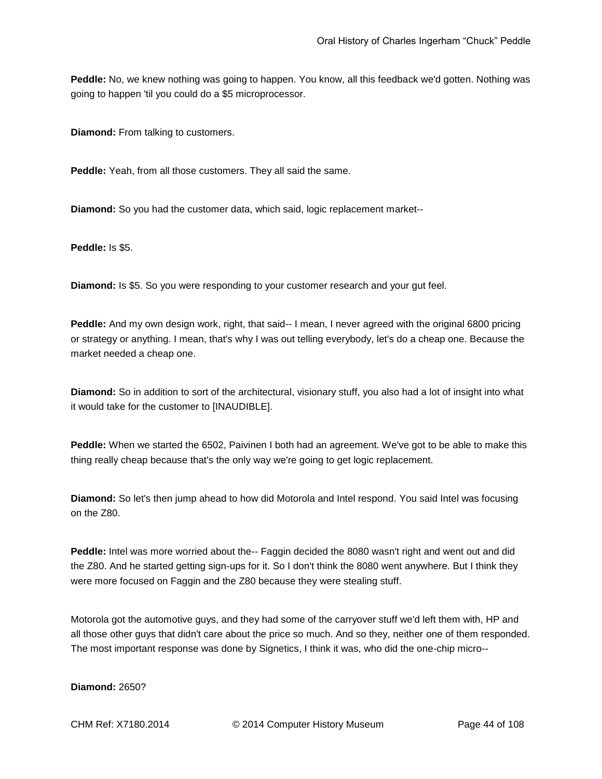**Peddle:** No, we knew nothing was going to happen. You know, all this feedback we'd gotten. Nothing was going to happen 'til you could do a \$5 microprocessor.

**Diamond:** From talking to customers.

**Peddle:** Yeah, from all those customers. They all said the same.

**Diamond:** So you had the customer data, which said, logic replacement market--

**Peddle:** Is \$5.

**Diamond:** Is \$5. So you were responding to your customer research and your gut feel.

Peddle: And my own design work, right, that said-- I mean, I never agreed with the original 6800 pricing or strategy or anything. I mean, that's why I was out telling everybody, let's do a cheap one. Because the market needed a cheap one.

**Diamond:** So in addition to sort of the architectural, visionary stuff, you also had a lot of insight into what it would take for the customer to [INAUDIBLE].

**Peddle:** When we started the 6502, Paivinen I both had an agreement. We've got to be able to make this thing really cheap because that's the only way we're going to get logic replacement.

**Diamond:** So let's then jump ahead to how did Motorola and Intel respond. You said Intel was focusing on the Z80.

**Peddle:** Intel was more worried about the-- Faggin decided the 8080 wasn't right and went out and did the Z80. And he started getting sign-ups for it. So I don't think the 8080 went anywhere. But I think they were more focused on Faggin and the Z80 because they were stealing stuff.

Motorola got the automotive guys, and they had some of the carryover stuff we'd left them with, HP and all those other guys that didn't care about the price so much. And so they, neither one of them responded. The most important response was done by Signetics, I think it was, who did the one-chip micro--

## **Diamond:** 2650?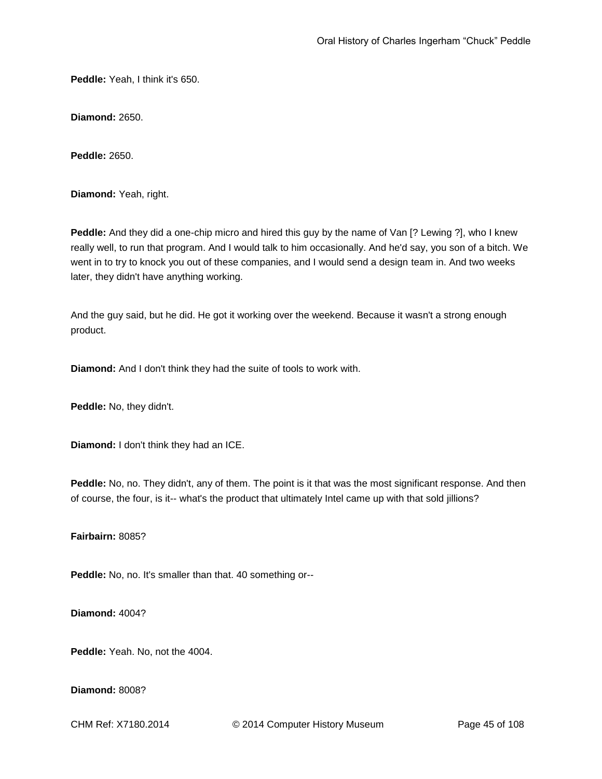**Peddle:** Yeah, I think it's 650.

**Diamond:** 2650.

**Peddle:** 2650.

**Diamond:** Yeah, right.

**Peddle:** And they did a one-chip micro and hired this guy by the name of Van [? Lewing ?], who I knew really well, to run that program. And I would talk to him occasionally. And he'd say, you son of a bitch. We went in to try to knock you out of these companies, and I would send a design team in. And two weeks later, they didn't have anything working.

And the guy said, but he did. He got it working over the weekend. Because it wasn't a strong enough product.

**Diamond:** And I don't think they had the suite of tools to work with.

**Peddle:** No, they didn't.

**Diamond:** I don't think they had an ICE.

**Peddle:** No, no. They didn't, any of them. The point is it that was the most significant response. And then of course, the four, is it-- what's the product that ultimately Intel came up with that sold jillions?

**Fairbairn:** 8085?

**Peddle:** No, no. It's smaller than that. 40 something or--

**Diamond:** 4004?

**Peddle:** Yeah. No, not the 4004.

**Diamond:** 8008?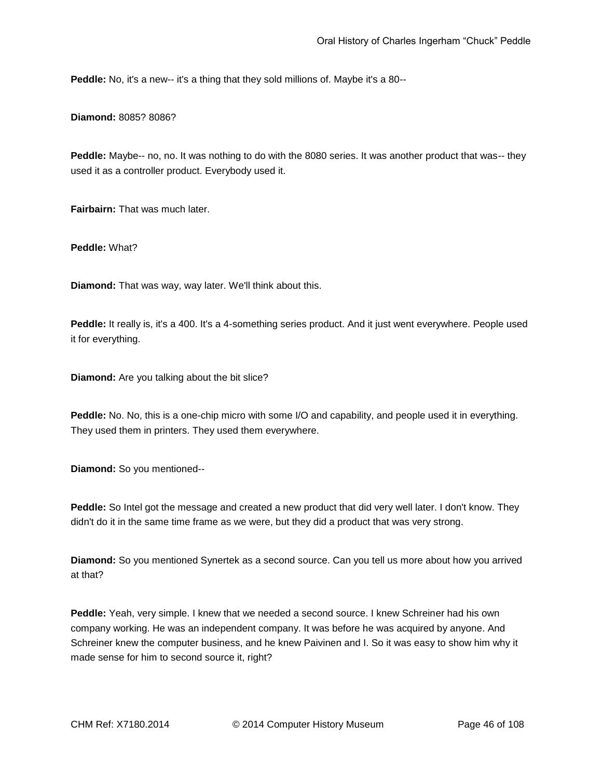**Peddle:** No, it's a new-- it's a thing that they sold millions of. Maybe it's a 80--

**Diamond:** 8085? 8086?

**Peddle:** Maybe-- no, no. It was nothing to do with the 8080 series. It was another product that was-- they used it as a controller product. Everybody used it.

**Fairbairn:** That was much later.

**Peddle:** What?

**Diamond:** That was way, way later. We'll think about this.

**Peddle:** It really is, it's a 400. It's a 4-something series product. And it just went everywhere. People used it for everything.

**Diamond:** Are you talking about the bit slice?

**Peddle:** No. No, this is a one-chip micro with some I/O and capability, and people used it in everything. They used them in printers. They used them everywhere.

**Diamond:** So you mentioned--

**Peddle:** So Intel got the message and created a new product that did very well later. I don't know. They didn't do it in the same time frame as we were, but they did a product that was very strong.

**Diamond:** So you mentioned Synertek as a second source. Can you tell us more about how you arrived at that?

**Peddle:** Yeah, very simple. I knew that we needed a second source. I knew Schreiner had his own company working. He was an independent company. It was before he was acquired by anyone. And Schreiner knew the computer business, and he knew Paivinen and I. So it was easy to show him why it made sense for him to second source it, right?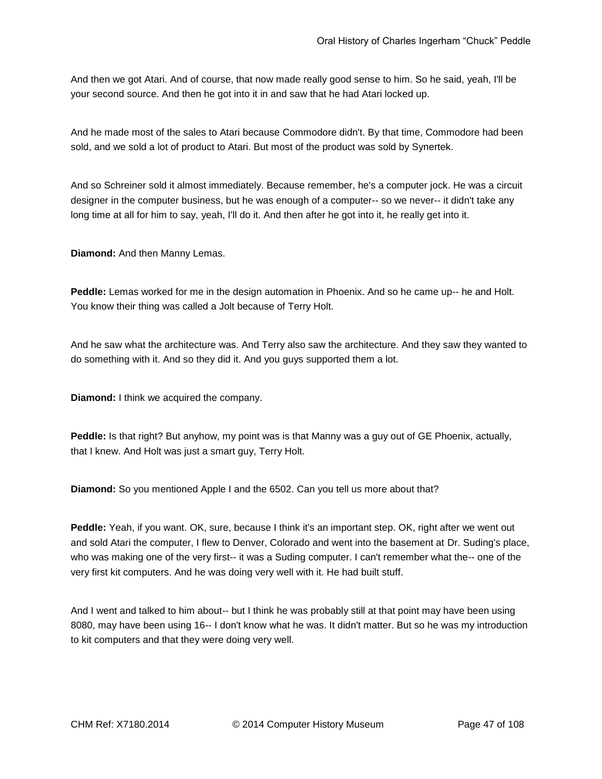And then we got Atari. And of course, that now made really good sense to him. So he said, yeah, I'll be your second source. And then he got into it in and saw that he had Atari locked up.

And he made most of the sales to Atari because Commodore didn't. By that time, Commodore had been sold, and we sold a lot of product to Atari. But most of the product was sold by Synertek.

And so Schreiner sold it almost immediately. Because remember, he's a computer jock. He was a circuit designer in the computer business, but he was enough of a computer-- so we never-- it didn't take any long time at all for him to say, yeah, I'll do it. And then after he got into it, he really get into it.

**Diamond:** And then Manny Lemas.

Peddle: Lemas worked for me in the design automation in Phoenix. And so he came up-- he and Holt. You know their thing was called a Jolt because of Terry Holt.

And he saw what the architecture was. And Terry also saw the architecture. And they saw they wanted to do something with it. And so they did it. And you guys supported them a lot.

**Diamond:** I think we acquired the company.

**Peddle:** Is that right? But anyhow, my point was is that Manny was a guy out of GE Phoenix, actually, that I knew. And Holt was just a smart guy, Terry Holt.

**Diamond:** So you mentioned Apple I and the 6502. Can you tell us more about that?

**Peddle:** Yeah, if you want. OK, sure, because I think it's an important step. OK, right after we went out and sold Atari the computer, I flew to Denver, Colorado and went into the basement at Dr. Suding's place, who was making one of the very first-- it was a Suding computer. I can't remember what the-- one of the very first kit computers. And he was doing very well with it. He had built stuff.

And I went and talked to him about-- but I think he was probably still at that point may have been using 8080, may have been using 16-- I don't know what he was. It didn't matter. But so he was my introduction to kit computers and that they were doing very well.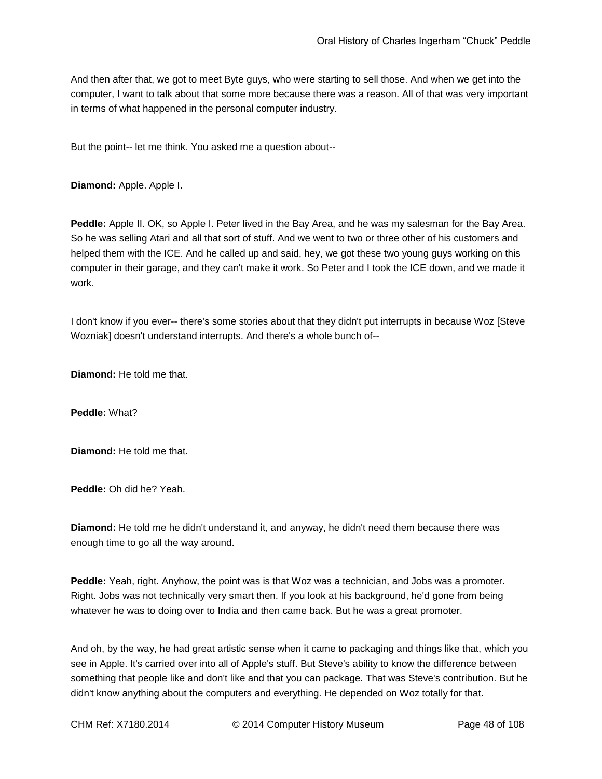And then after that, we got to meet Byte guys, who were starting to sell those. And when we get into the computer, I want to talk about that some more because there was a reason. All of that was very important in terms of what happened in the personal computer industry.

But the point-- let me think. You asked me a question about--

**Diamond:** Apple. Apple I.

**Peddle:** Apple II. OK, so Apple I. Peter lived in the Bay Area, and he was my salesman for the Bay Area. So he was selling Atari and all that sort of stuff. And we went to two or three other of his customers and helped them with the ICE. And he called up and said, hey, we got these two young guys working on this computer in their garage, and they can't make it work. So Peter and I took the ICE down, and we made it work.

I don't know if you ever-- there's some stories about that they didn't put interrupts in because Woz [Steve Wozniak] doesn't understand interrupts. And there's a whole bunch of--

**Diamond:** He told me that.

**Peddle:** What?

**Diamond:** He told me that.

**Peddle:** Oh did he? Yeah.

**Diamond:** He told me he didn't understand it, and anyway, he didn't need them because there was enough time to go all the way around.

**Peddle:** Yeah, right. Anyhow, the point was is that Woz was a technician, and Jobs was a promoter. Right. Jobs was not technically very smart then. If you look at his background, he'd gone from being whatever he was to doing over to India and then came back. But he was a great promoter.

And oh, by the way, he had great artistic sense when it came to packaging and things like that, which you see in Apple. It's carried over into all of Apple's stuff. But Steve's ability to know the difference between something that people like and don't like and that you can package. That was Steve's contribution. But he didn't know anything about the computers and everything. He depended on Woz totally for that.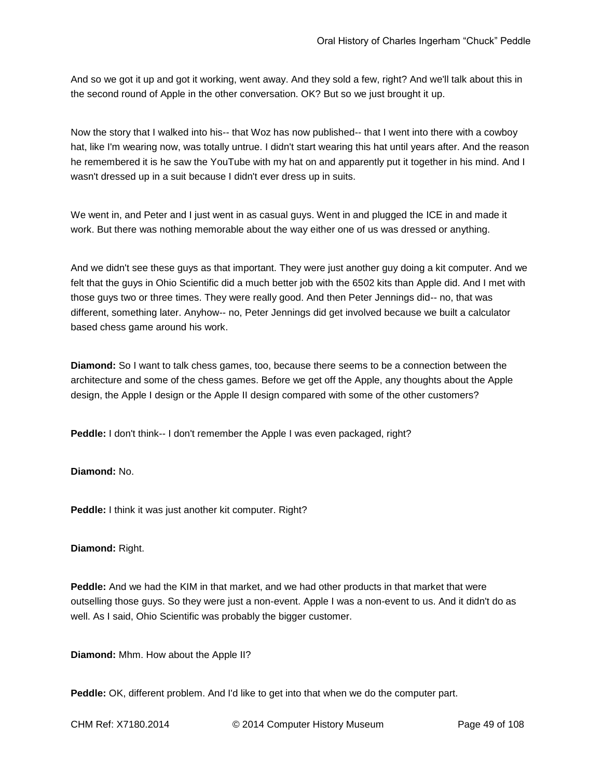And so we got it up and got it working, went away. And they sold a few, right? And we'll talk about this in the second round of Apple in the other conversation. OK? But so we just brought it up.

Now the story that I walked into his-- that Woz has now published-- that I went into there with a cowboy hat, like I'm wearing now, was totally untrue. I didn't start wearing this hat until years after. And the reason he remembered it is he saw the YouTube with my hat on and apparently put it together in his mind. And I wasn't dressed up in a suit because I didn't ever dress up in suits.

We went in, and Peter and I just went in as casual guys. Went in and plugged the ICE in and made it work. But there was nothing memorable about the way either one of us was dressed or anything.

And we didn't see these guys as that important. They were just another guy doing a kit computer. And we felt that the guys in Ohio Scientific did a much better job with the 6502 kits than Apple did. And I met with those guys two or three times. They were really good. And then Peter Jennings did-- no, that was different, something later. Anyhow-- no, Peter Jennings did get involved because we built a calculator based chess game around his work.

**Diamond:** So I want to talk chess games, too, because there seems to be a connection between the architecture and some of the chess games. Before we get off the Apple, any thoughts about the Apple design, the Apple I design or the Apple II design compared with some of the other customers?

**Peddle:** I don't think-- I don't remember the Apple I was even packaged, right?

## **Diamond:** No.

**Peddle:** I think it was just another kit computer. Right?

#### **Diamond:** Right.

**Peddle:** And we had the KIM in that market, and we had other products in that market that were outselling those guys. So they were just a non-event. Apple I was a non-event to us. And it didn't do as well. As I said, Ohio Scientific was probably the bigger customer.

**Diamond:** Mhm. How about the Apple II?

**Peddle:** OK, different problem. And I'd like to get into that when we do the computer part.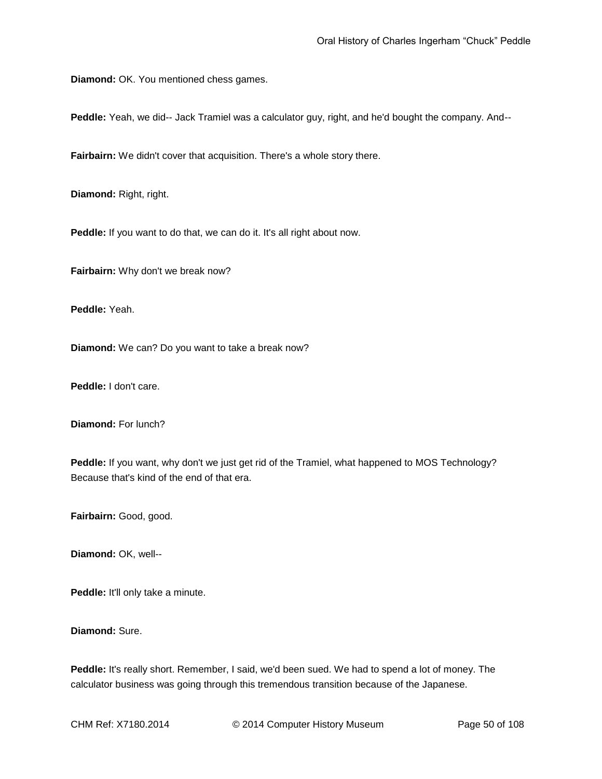**Diamond:** OK. You mentioned chess games.

**Peddle:** Yeah, we did-- Jack Tramiel was a calculator guy, right, and he'd bought the company. And--

**Fairbairn:** We didn't cover that acquisition. There's a whole story there.

**Diamond:** Right, right.

Peddle: If you want to do that, we can do it. It's all right about now.

**Fairbairn:** Why don't we break now?

**Peddle:** Yeah.

**Diamond:** We can? Do you want to take a break now?

**Peddle:** I don't care.

**Diamond:** For lunch?

**Peddle:** If you want, why don't we just get rid of the Tramiel, what happened to MOS Technology? Because that's kind of the end of that era.

**Fairbairn:** Good, good.

**Diamond:** OK, well--

**Peddle:** It'll only take a minute.

**Diamond:** Sure.

**Peddle:** It's really short. Remember, I said, we'd been sued. We had to spend a lot of money. The calculator business was going through this tremendous transition because of the Japanese.

CHM Ref: X7180.2014 © 2014 Computer History Museum Page 50 of 108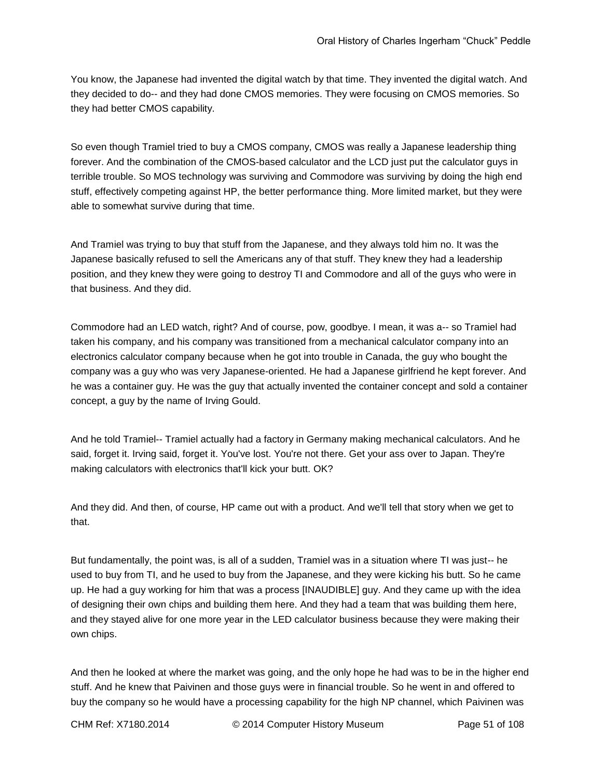You know, the Japanese had invented the digital watch by that time. They invented the digital watch. And they decided to do-- and they had done CMOS memories. They were focusing on CMOS memories. So they had better CMOS capability.

So even though Tramiel tried to buy a CMOS company, CMOS was really a Japanese leadership thing forever. And the combination of the CMOS-based calculator and the LCD just put the calculator guys in terrible trouble. So MOS technology was surviving and Commodore was surviving by doing the high end stuff, effectively competing against HP, the better performance thing. More limited market, but they were able to somewhat survive during that time.

And Tramiel was trying to buy that stuff from the Japanese, and they always told him no. It was the Japanese basically refused to sell the Americans any of that stuff. They knew they had a leadership position, and they knew they were going to destroy TI and Commodore and all of the guys who were in that business. And they did.

Commodore had an LED watch, right? And of course, pow, goodbye. I mean, it was a-- so Tramiel had taken his company, and his company was transitioned from a mechanical calculator company into an electronics calculator company because when he got into trouble in Canada, the guy who bought the company was a guy who was very Japanese-oriented. He had a Japanese girlfriend he kept forever. And he was a container guy. He was the guy that actually invented the container concept and sold a container concept, a guy by the name of Irving Gould.

And he told Tramiel-- Tramiel actually had a factory in Germany making mechanical calculators. And he said, forget it. Irving said, forget it. You've lost. You're not there. Get your ass over to Japan. They're making calculators with electronics that'll kick your butt. OK?

And they did. And then, of course, HP came out with a product. And we'll tell that story when we get to that.

But fundamentally, the point was, is all of a sudden, Tramiel was in a situation where TI was just-- he used to buy from TI, and he used to buy from the Japanese, and they were kicking his butt. So he came up. He had a guy working for him that was a process [INAUDIBLE] guy. And they came up with the idea of designing their own chips and building them here. And they had a team that was building them here, and they stayed alive for one more year in the LED calculator business because they were making their own chips.

And then he looked at where the market was going, and the only hope he had was to be in the higher end stuff. And he knew that Paivinen and those guys were in financial trouble. So he went in and offered to buy the company so he would have a processing capability for the high NP channel, which Paivinen was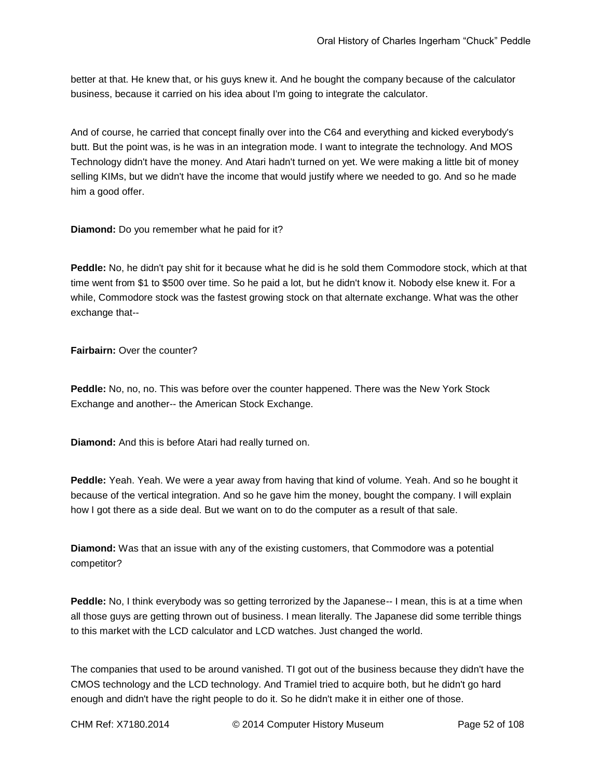better at that. He knew that, or his guys knew it. And he bought the company because of the calculator business, because it carried on his idea about I'm going to integrate the calculator.

And of course, he carried that concept finally over into the C64 and everything and kicked everybody's butt. But the point was, is he was in an integration mode. I want to integrate the technology. And MOS Technology didn't have the money. And Atari hadn't turned on yet. We were making a little bit of money selling KIMs, but we didn't have the income that would justify where we needed to go. And so he made him a good offer.

**Diamond:** Do you remember what he paid for it?

**Peddle:** No, he didn't pay shit for it because what he did is he sold them Commodore stock, which at that time went from \$1 to \$500 over time. So he paid a lot, but he didn't know it. Nobody else knew it. For a while, Commodore stock was the fastest growing stock on that alternate exchange. What was the other exchange that--

**Fairbairn: Over the counter?** 

**Peddle:** No, no, no. This was before over the counter happened. There was the New York Stock Exchange and another-- the American Stock Exchange.

**Diamond:** And this is before Atari had really turned on.

**Peddle:** Yeah. Yeah. We were a year away from having that kind of volume. Yeah. And so he bought it because of the vertical integration. And so he gave him the money, bought the company. I will explain how I got there as a side deal. But we want on to do the computer as a result of that sale.

**Diamond:** Was that an issue with any of the existing customers, that Commodore was a potential competitor?

**Peddle:** No, I think everybody was so getting terrorized by the Japanese-- I mean, this is at a time when all those guys are getting thrown out of business. I mean literally. The Japanese did some terrible things to this market with the LCD calculator and LCD watches. Just changed the world.

The companies that used to be around vanished. TI got out of the business because they didn't have the CMOS technology and the LCD technology. And Tramiel tried to acquire both, but he didn't go hard enough and didn't have the right people to do it. So he didn't make it in either one of those.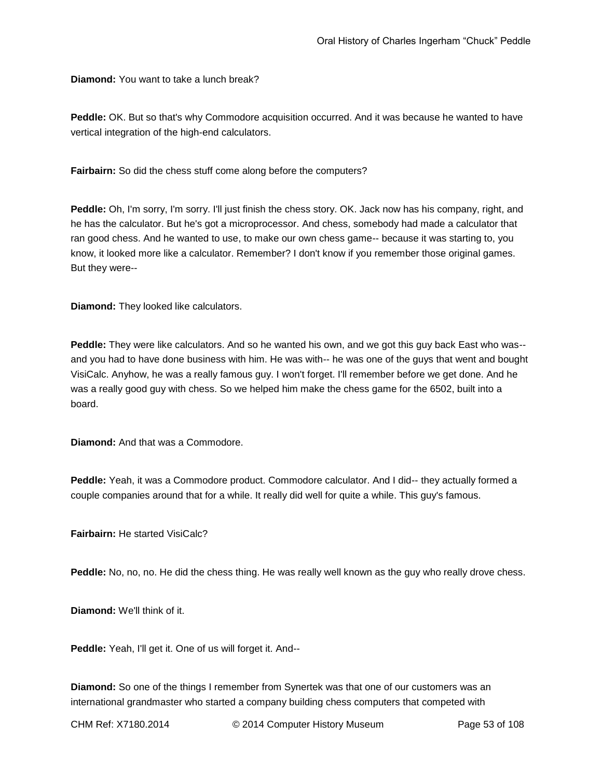**Diamond:** You want to take a lunch break?

**Peddle:** OK. But so that's why Commodore acquisition occurred. And it was because he wanted to have vertical integration of the high-end calculators.

**Fairbairn:** So did the chess stuff come along before the computers?

**Peddle:** Oh, I'm sorry, I'm sorry. I'll just finish the chess story. OK. Jack now has his company, right, and he has the calculator. But he's got a microprocessor. And chess, somebody had made a calculator that ran good chess. And he wanted to use, to make our own chess game-- because it was starting to, you know, it looked more like a calculator. Remember? I don't know if you remember those original games. But they were--

**Diamond:** They looked like calculators.

**Peddle:** They were like calculators. And so he wanted his own, and we got this guy back East who was- and you had to have done business with him. He was with-- he was one of the guys that went and bought VisiCalc. Anyhow, he was a really famous guy. I won't forget. I'll remember before we get done. And he was a really good guy with chess. So we helped him make the chess game for the 6502, built into a board.

**Diamond:** And that was a Commodore.

**Peddle:** Yeah, it was a Commodore product. Commodore calculator. And I did-- they actually formed a couple companies around that for a while. It really did well for quite a while. This guy's famous.

**Fairbairn: He started VisiCalc?** 

**Peddle:** No, no, no. He did the chess thing. He was really well known as the guy who really drove chess.

**Diamond:** We'll think of it.

**Peddle:** Yeah, I'll get it. One of us will forget it. And--

**Diamond:** So one of the things I remember from Synertek was that one of our customers was an international grandmaster who started a company building chess computers that competed with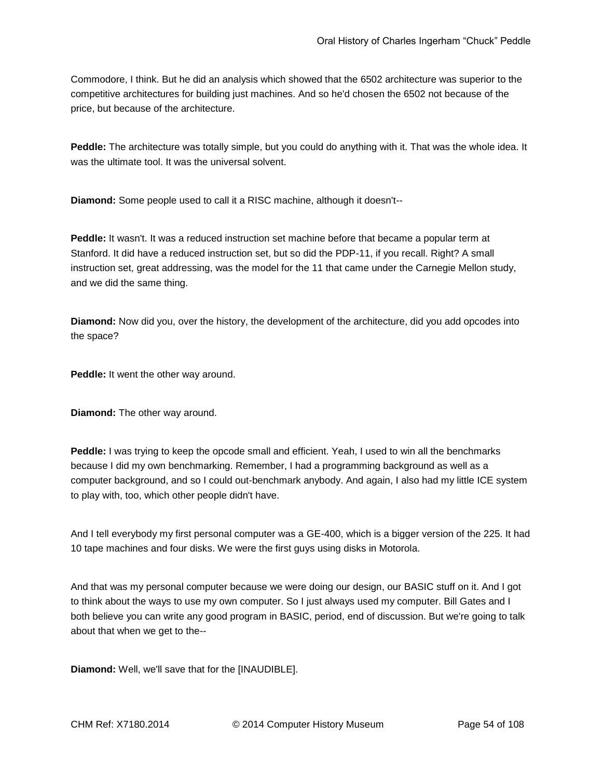Commodore, I think. But he did an analysis which showed that the 6502 architecture was superior to the competitive architectures for building just machines. And so he'd chosen the 6502 not because of the price, but because of the architecture.

**Peddle:** The architecture was totally simple, but you could do anything with it. That was the whole idea. It was the ultimate tool. It was the universal solvent.

**Diamond:** Some people used to call it a RISC machine, although it doesn't--

**Peddle:** It wasn't. It was a reduced instruction set machine before that became a popular term at Stanford. It did have a reduced instruction set, but so did the PDP-11, if you recall. Right? A small instruction set, great addressing, was the model for the 11 that came under the Carnegie Mellon study, and we did the same thing.

**Diamond:** Now did you, over the history, the development of the architecture, did you add opcodes into the space?

**Peddle:** It went the other way around.

**Diamond:** The other way around.

**Peddle:** I was trying to keep the opcode small and efficient. Yeah, I used to win all the benchmarks because I did my own benchmarking. Remember, I had a programming background as well as a computer background, and so I could out-benchmark anybody. And again, I also had my little ICE system to play with, too, which other people didn't have.

And I tell everybody my first personal computer was a GE-400, which is a bigger version of the 225. It had 10 tape machines and four disks. We were the first guys using disks in Motorola.

And that was my personal computer because we were doing our design, our BASIC stuff on it. And I got to think about the ways to use my own computer. So I just always used my computer. Bill Gates and I both believe you can write any good program in BASIC, period, end of discussion. But we're going to talk about that when we get to the--

**Diamond:** Well, we'll save that for the [INAUDIBLE].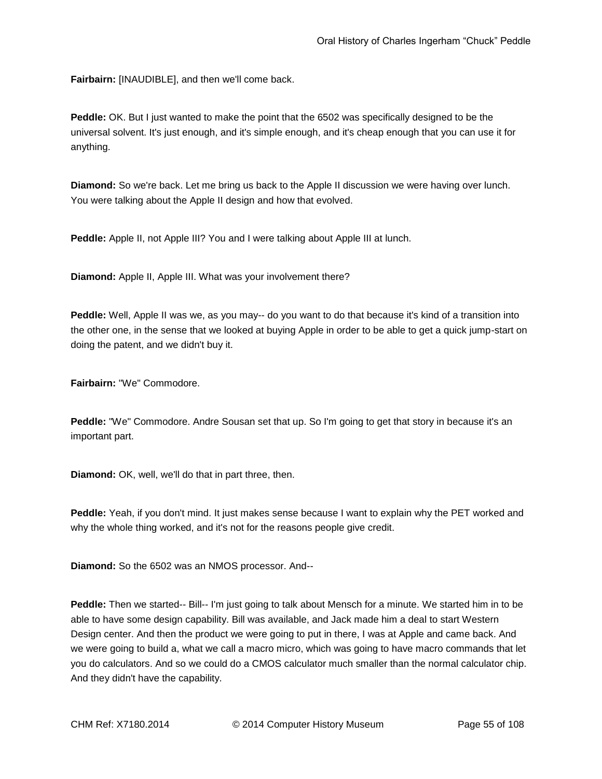**Fairbairn:** [INAUDIBLE], and then we'll come back.

**Peddle:** OK. But I just wanted to make the point that the 6502 was specifically designed to be the universal solvent. It's just enough, and it's simple enough, and it's cheap enough that you can use it for anything.

**Diamond:** So we're back. Let me bring us back to the Apple II discussion we were having over lunch. You were talking about the Apple II design and how that evolved.

**Peddle:** Apple II, not Apple III? You and I were talking about Apple III at lunch.

**Diamond:** Apple II, Apple III. What was your involvement there?

**Peddle:** Well, Apple II was we, as you may-- do you want to do that because it's kind of a transition into the other one, in the sense that we looked at buying Apple in order to be able to get a quick jump-start on doing the patent, and we didn't buy it.

**Fairbairn:** "We" Commodore.

**Peddle:** "We" Commodore. Andre Sousan set that up. So I'm going to get that story in because it's an important part.

**Diamond:** OK, well, we'll do that in part three, then.

**Peddle:** Yeah, if you don't mind. It just makes sense because I want to explain why the PET worked and why the whole thing worked, and it's not for the reasons people give credit.

**Diamond:** So the 6502 was an NMOS processor. And--

**Peddle:** Then we started-- Bill-- I'm just going to talk about Mensch for a minute. We started him in to be able to have some design capability. Bill was available, and Jack made him a deal to start Western Design center. And then the product we were going to put in there, I was at Apple and came back. And we were going to build a, what we call a macro micro, which was going to have macro commands that let you do calculators. And so we could do a CMOS calculator much smaller than the normal calculator chip. And they didn't have the capability.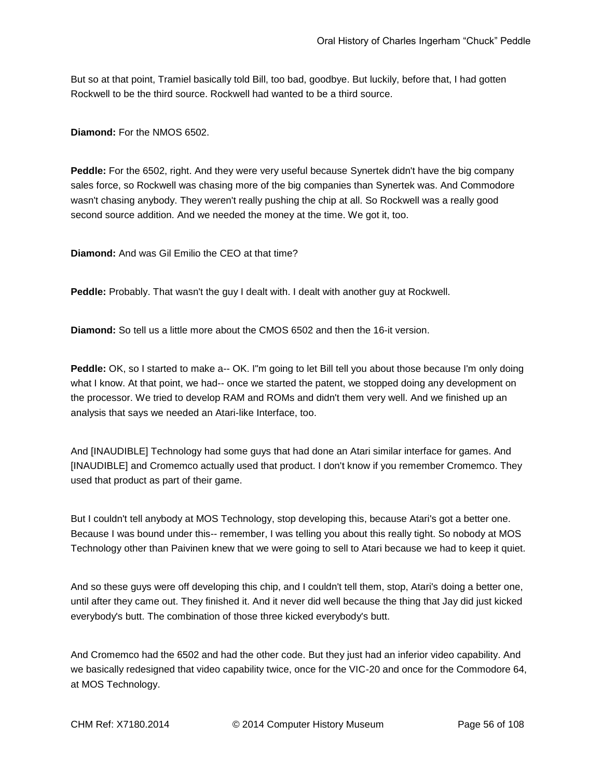But so at that point, Tramiel basically told Bill, too bad, goodbye. But luckily, before that, I had gotten Rockwell to be the third source. Rockwell had wanted to be a third source.

**Diamond:** For the NMOS 6502.

**Peddle:** For the 6502, right. And they were very useful because Synertek didn't have the big company sales force, so Rockwell was chasing more of the big companies than Synertek was. And Commodore wasn't chasing anybody. They weren't really pushing the chip at all. So Rockwell was a really good second source addition. And we needed the money at the time. We got it, too.

**Diamond:** And was Gil Emilio the CEO at that time?

**Peddle:** Probably. That wasn't the guy I dealt with. I dealt with another guy at Rockwell.

**Diamond:** So tell us a little more about the CMOS 6502 and then the 16-it version.

Peddle: OK, so I started to make a-- OK. I"m going to let Bill tell you about those because I'm only doing what I know. At that point, we had-- once we started the patent, we stopped doing any development on the processor. We tried to develop RAM and ROMs and didn't them very well. And we finished up an analysis that says we needed an Atari-like Interface, too.

And [INAUDIBLE] Technology had some guys that had done an Atari similar interface for games. And [INAUDIBLE] and Cromemco actually used that product. I don't know if you remember Cromemco. They used that product as part of their game.

But I couldn't tell anybody at MOS Technology, stop developing this, because Atari's got a better one. Because I was bound under this-- remember, I was telling you about this really tight. So nobody at MOS Technology other than Paivinen knew that we were going to sell to Atari because we had to keep it quiet.

And so these guys were off developing this chip, and I couldn't tell them, stop, Atari's doing a better one, until after they came out. They finished it. And it never did well because the thing that Jay did just kicked everybody's butt. The combination of those three kicked everybody's butt.

And Cromemco had the 6502 and had the other code. But they just had an inferior video capability. And we basically redesigned that video capability twice, once for the VIC-20 and once for the Commodore 64, at MOS Technology.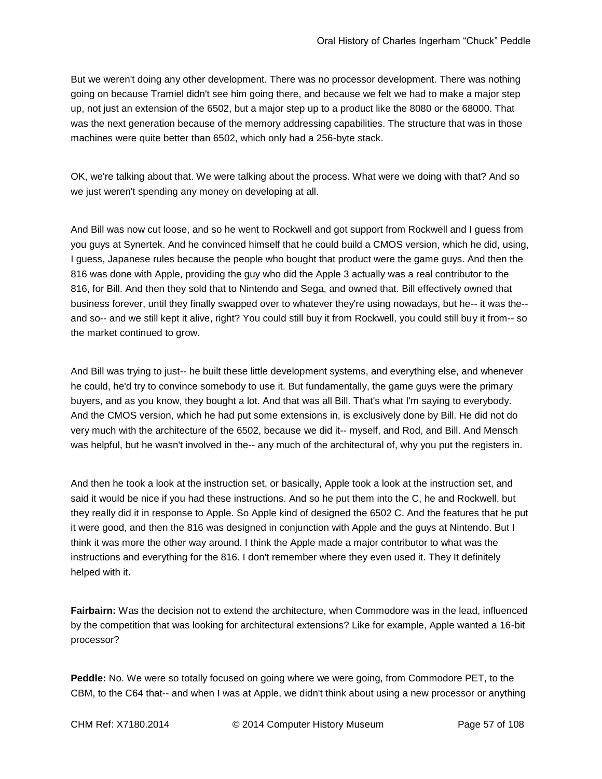But we weren't doing any other development. There was no processor development. There was nothing going on because Tramiel didn't see him going there, and because we felt we had to make a major step up, not just an extension of the 6502, but a major step up to a product like the 8080 or the 68000. That was the next generation because of the memory addressing capabilities. The structure that was in those machines were quite better than 6502, which only had a 256-byte stack.

OK, we're talking about that. We were talking about the process. What were we doing with that? And so we just weren't spending any money on developing at all.

And Bill was now cut loose, and so he went to Rockwell and got support from Rockwell and I guess from you guys at Synertek. And he convinced himself that he could build a CMOS version, which he did, using, I guess, Japanese rules because the people who bought that product were the game guys. And then the 816 was done with Apple, providing the guy who did the Apple 3 actually was a real contributor to the 816, for Bill. And then they sold that to Nintendo and Sega, and owned that. Bill effectively owned that business forever, until they finally swapped over to whatever they're using nowadays, but he-- it was the- and so-- and we still kept it alive, right? You could still buy it from Rockwell, you could still buy it from-- so the market continued to grow.

And Bill was trying to just-- he built these little development systems, and everything else, and whenever he could, he'd try to convince somebody to use it. But fundamentally, the game guys were the primary buyers, and as you know, they bought a lot. And that was all Bill. That's what I'm saying to everybody. And the CMOS version, which he had put some extensions in, is exclusively done by Bill. He did not do very much with the architecture of the 6502, because we did it-- myself, and Rod, and Bill. And Mensch was helpful, but he wasn't involved in the-- any much of the architectural of, why you put the registers in.

And then he took a look at the instruction set, or basically, Apple took a look at the instruction set, and said it would be nice if you had these instructions. And so he put them into the C, he and Rockwell, but they really did it in response to Apple. So Apple kind of designed the 6502 C. And the features that he put it were good, and then the 816 was designed in conjunction with Apple and the guys at Nintendo. But I think it was more the other way around. I think the Apple made a major contributor to what was the instructions and everything for the 816. I don't remember where they even used it. They It definitely helped with it.

**Fairbairn:** Was the decision not to extend the architecture, when Commodore was in the lead, influenced by the competition that was looking for architectural extensions? Like for example, Apple wanted a 16-bit processor?

**Peddle:** No. We were so totally focused on going where we were going, from Commodore PET, to the CBM, to the C64 that-- and when I was at Apple, we didn't think about using a new processor or anything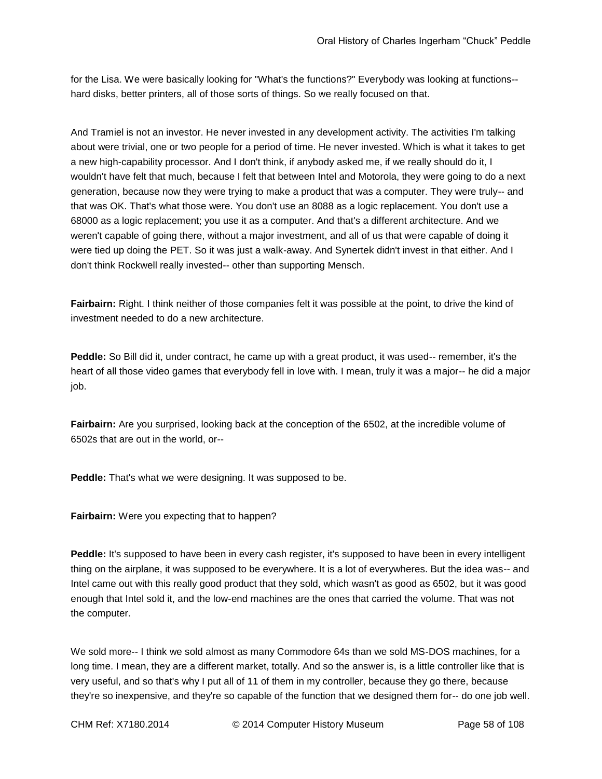for the Lisa. We were basically looking for "What's the functions?" Everybody was looking at functions- hard disks, better printers, all of those sorts of things. So we really focused on that.

And Tramiel is not an investor. He never invested in any development activity. The activities I'm talking about were trivial, one or two people for a period of time. He never invested. Which is what it takes to get a new high-capability processor. And I don't think, if anybody asked me, if we really should do it, I wouldn't have felt that much, because I felt that between Intel and Motorola, they were going to do a next generation, because now they were trying to make a product that was a computer. They were truly-- and that was OK. That's what those were. You don't use an 8088 as a logic replacement. You don't use a 68000 as a logic replacement; you use it as a computer. And that's a different architecture. And we weren't capable of going there, without a major investment, and all of us that were capable of doing it were tied up doing the PET. So it was just a walk-away. And Synertek didn't invest in that either. And I don't think Rockwell really invested-- other than supporting Mensch.

**Fairbairn:** Right. I think neither of those companies felt it was possible at the point, to drive the kind of investment needed to do a new architecture.

**Peddle:** So Bill did it, under contract, he came up with a great product, it was used-- remember, it's the heart of all those video games that everybody fell in love with. I mean, truly it was a major-- he did a major job.

**Fairbairn:** Are you surprised, looking back at the conception of the 6502, at the incredible volume of 6502s that are out in the world, or--

**Peddle:** That's what we were designing. It was supposed to be.

**Fairbairn:** Were you expecting that to happen?

**Peddle:** It's supposed to have been in every cash register, it's supposed to have been in every intelligent thing on the airplane, it was supposed to be everywhere. It is a lot of everywheres. But the idea was-- and Intel came out with this really good product that they sold, which wasn't as good as 6502, but it was good enough that Intel sold it, and the low-end machines are the ones that carried the volume. That was not the computer.

We sold more-- I think we sold almost as many Commodore 64s than we sold MS-DOS machines, for a long time. I mean, they are a different market, totally. And so the answer is, is a little controller like that is very useful, and so that's why I put all of 11 of them in my controller, because they go there, because they're so inexpensive, and they're so capable of the function that we designed them for-- do one job well.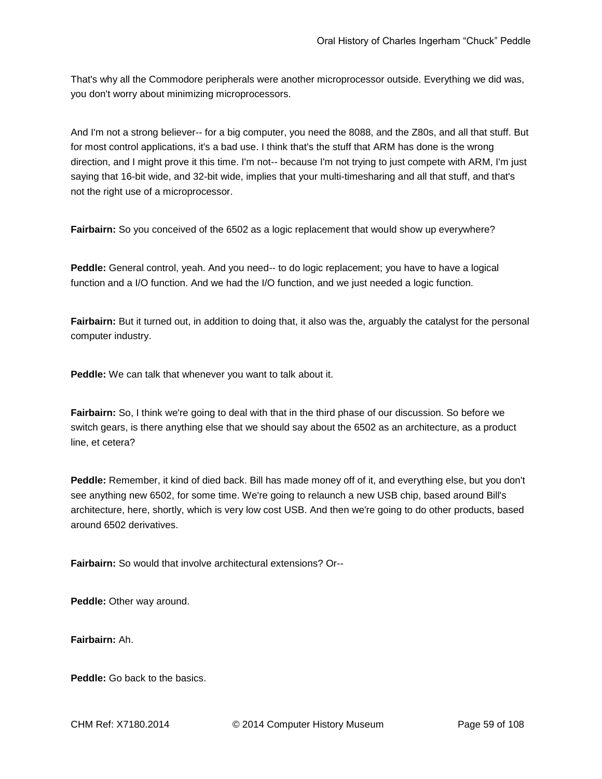That's why all the Commodore peripherals were another microprocessor outside. Everything we did was, you don't worry about minimizing microprocessors.

And I'm not a strong believer-- for a big computer, you need the 8088, and the Z80s, and all that stuff. But for most control applications, it's a bad use. I think that's the stuff that ARM has done is the wrong direction, and I might prove it this time. I'm not-- because I'm not trying to just compete with ARM, I'm just saying that 16-bit wide, and 32-bit wide, implies that your multi-timesharing and all that stuff, and that's not the right use of a microprocessor.

**Fairbairn:** So you conceived of the 6502 as a logic replacement that would show up everywhere?

**Peddle:** General control, yeah. And you need-- to do logic replacement; you have to have a logical function and a I/O function. And we had the I/O function, and we just needed a logic function.

**Fairbairn:** But it turned out, in addition to doing that, it also was the, arguably the catalyst for the personal computer industry.

**Peddle:** We can talk that whenever you want to talk about it.

**Fairbairn:** So, I think we're going to deal with that in the third phase of our discussion. So before we switch gears, is there anything else that we should say about the 6502 as an architecture, as a product line, et cetera?

**Peddle:** Remember, it kind of died back. Bill has made money off of it, and everything else, but you don't see anything new 6502, for some time. We're going to relaunch a new USB chip, based around Bill's architecture, here, shortly, which is very low cost USB. And then we're going to do other products, based around 6502 derivatives.

**Fairbairn:** So would that involve architectural extensions? Or--

**Peddle:** Other way around.

**Fairbairn:** Ah.

**Peddle:** Go back to the basics.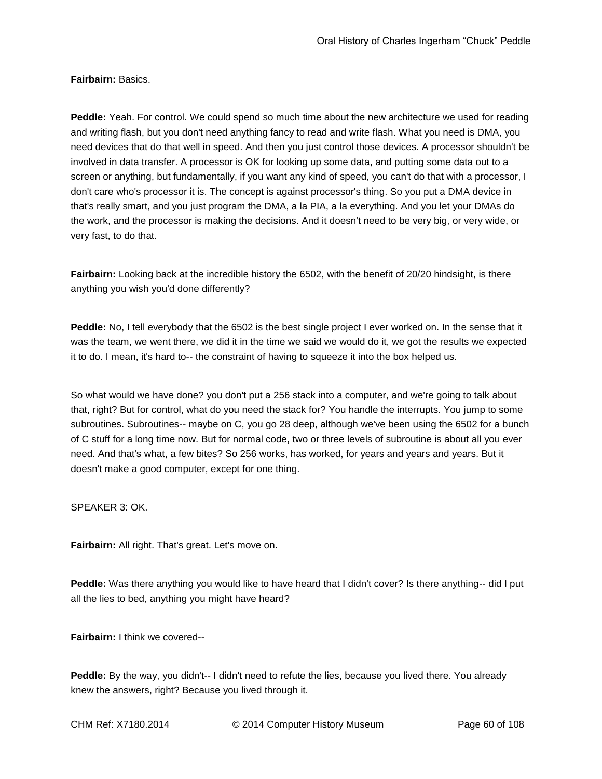**Fairbairn:** Basics.

**Peddle:** Yeah. For control. We could spend so much time about the new architecture we used for reading and writing flash, but you don't need anything fancy to read and write flash. What you need is DMA, you need devices that do that well in speed. And then you just control those devices. A processor shouldn't be involved in data transfer. A processor is OK for looking up some data, and putting some data out to a screen or anything, but fundamentally, if you want any kind of speed, you can't do that with a processor, I don't care who's processor it is. The concept is against processor's thing. So you put a DMA device in that's really smart, and you just program the DMA, a la PIA, a la everything. And you let your DMAs do the work, and the processor is making the decisions. And it doesn't need to be very big, or very wide, or very fast, to do that.

**Fairbairn:** Looking back at the incredible history the 6502, with the benefit of 20/20 hindsight, is there anything you wish you'd done differently?

**Peddle:** No, I tell everybody that the 6502 is the best single project I ever worked on. In the sense that it was the team, we went there, we did it in the time we said we would do it, we got the results we expected it to do. I mean, it's hard to-- the constraint of having to squeeze it into the box helped us.

So what would we have done? you don't put a 256 stack into a computer, and we're going to talk about that, right? But for control, what do you need the stack for? You handle the interrupts. You jump to some subroutines. Subroutines-- maybe on C, you go 28 deep, although we've been using the 6502 for a bunch of C stuff for a long time now. But for normal code, two or three levels of subroutine is about all you ever need. And that's what, a few bites? So 256 works, has worked, for years and years and years. But it doesn't make a good computer, except for one thing.

SPEAKER 3: OK.

**Fairbairn:** All right. That's great. Let's move on.

**Peddle:** Was there anything you would like to have heard that I didn't cover? Is there anything-- did I put all the lies to bed, anything you might have heard?

**Fairbairn:** I think we covered--

**Peddle:** By the way, you didn't-- I didn't need to refute the lies, because you lived there. You already knew the answers, right? Because you lived through it.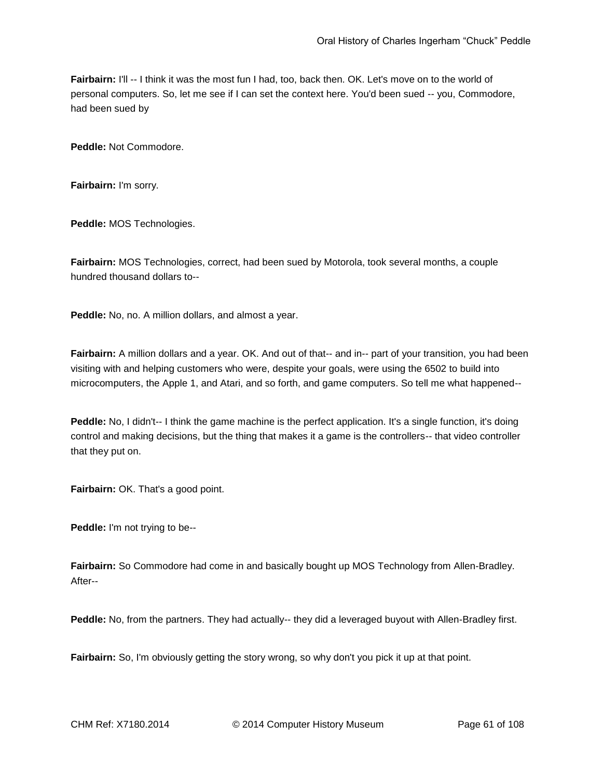**Fairbairn:** I'll -- I think it was the most fun I had, too, back then. OK. Let's move on to the world of personal computers. So, let me see if I can set the context here. You'd been sued -- you, Commodore, had been sued by

**Peddle:** Not Commodore.

**Fairbairn:** I'm sorry.

**Peddle:** MOS Technologies.

**Fairbairn:** MOS Technologies, correct, had been sued by Motorola, took several months, a couple hundred thousand dollars to--

**Peddle:** No, no. A million dollars, and almost a year.

**Fairbairn:** A million dollars and a year. OK. And out of that-- and in-- part of your transition, you had been visiting with and helping customers who were, despite your goals, were using the 6502 to build into microcomputers, the Apple 1, and Atari, and so forth, and game computers. So tell me what happened--

**Peddle:** No, I didn't-- I think the game machine is the perfect application. It's a single function, it's doing control and making decisions, but the thing that makes it a game is the controllers-- that video controller that they put on.

Fairbairn: OK. That's a good point.

**Peddle:** I'm not trying to be--

**Fairbairn:** So Commodore had come in and basically bought up MOS Technology from Allen-Bradley. After--

**Peddle:** No, from the partners. They had actually-- they did a leveraged buyout with Allen-Bradley first.

**Fairbairn:** So, I'm obviously getting the story wrong, so why don't you pick it up at that point.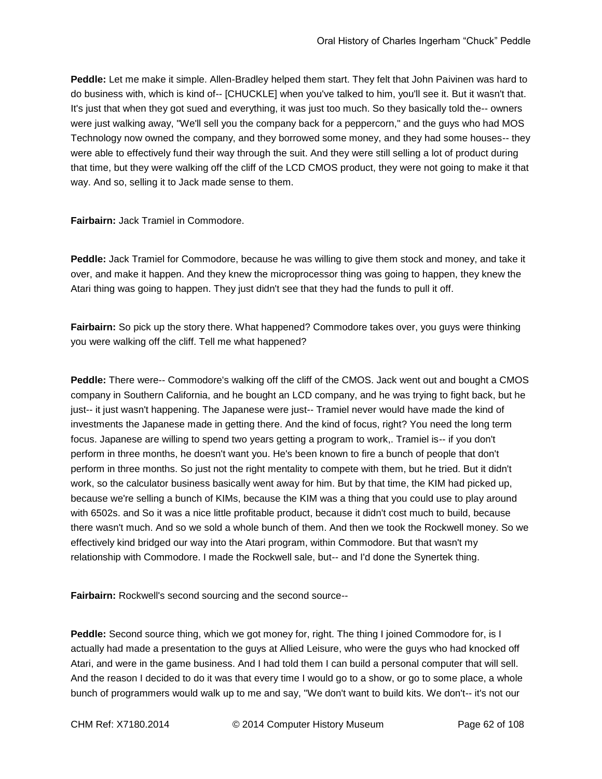**Peddle:** Let me make it simple. Allen-Bradley helped them start. They felt that John Paivinen was hard to do business with, which is kind of-- [CHUCKLE] when you've talked to him, you'll see it. But it wasn't that. It's just that when they got sued and everything, it was just too much. So they basically told the-- owners were just walking away, "We'll sell you the company back for a peppercorn," and the guys who had MOS Technology now owned the company, and they borrowed some money, and they had some houses-- they were able to effectively fund their way through the suit. And they were still selling a lot of product during that time, but they were walking off the cliff of the LCD CMOS product, they were not going to make it that way. And so, selling it to Jack made sense to them.

**Fairbairn:** Jack Tramiel in Commodore.

**Peddle:** Jack Tramiel for Commodore, because he was willing to give them stock and money, and take it over, and make it happen. And they knew the microprocessor thing was going to happen, they knew the Atari thing was going to happen. They just didn't see that they had the funds to pull it off.

**Fairbairn:** So pick up the story there. What happened? Commodore takes over, you guys were thinking you were walking off the cliff. Tell me what happened?

**Peddle:** There were-- Commodore's walking off the cliff of the CMOS. Jack went out and bought a CMOS company in Southern California, and he bought an LCD company, and he was trying to fight back, but he just-- it just wasn't happening. The Japanese were just-- Tramiel never would have made the kind of investments the Japanese made in getting there. And the kind of focus, right? You need the long term focus. Japanese are willing to spend two years getting a program to work,. Tramiel is-- if you don't perform in three months, he doesn't want you. He's been known to fire a bunch of people that don't perform in three months. So just not the right mentality to compete with them, but he tried. But it didn't work, so the calculator business basically went away for him. But by that time, the KIM had picked up, because we're selling a bunch of KIMs, because the KIM was a thing that you could use to play around with 6502s. and So it was a nice little profitable product, because it didn't cost much to build, because there wasn't much. And so we sold a whole bunch of them. And then we took the Rockwell money. So we effectively kind bridged our way into the Atari program, within Commodore. But that wasn't my relationship with Commodore. I made the Rockwell sale, but-- and I'd done the Synertek thing.

**Fairbairn:** Rockwell's second sourcing and the second source--

**Peddle:** Second source thing, which we got money for, right. The thing I joined Commodore for, is I actually had made a presentation to the guys at Allied Leisure, who were the guys who had knocked off Atari, and were in the game business. And I had told them I can build a personal computer that will sell. And the reason I decided to do it was that every time I would go to a show, or go to some place, a whole bunch of programmers would walk up to me and say, "We don't want to build kits. We don't-- it's not our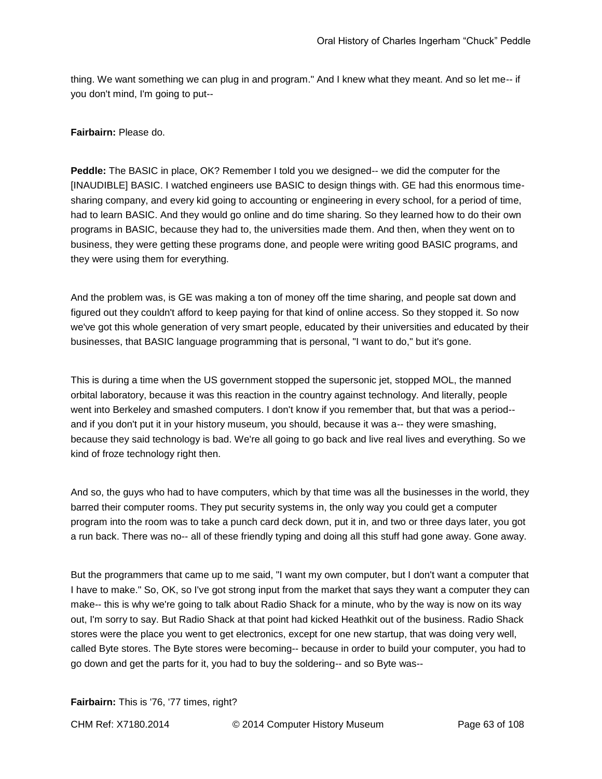thing. We want something we can plug in and program." And I knew what they meant. And so let me-- if you don't mind, I'm going to put--

**Fairbairn:** Please do.

**Peddle:** The BASIC in place, OK? Remember I told you we designed-- we did the computer for the [INAUDIBLE] BASIC. I watched engineers use BASIC to design things with. GE had this enormous timesharing company, and every kid going to accounting or engineering in every school, for a period of time, had to learn BASIC. And they would go online and do time sharing. So they learned how to do their own programs in BASIC, because they had to, the universities made them. And then, when they went on to business, they were getting these programs done, and people were writing good BASIC programs, and they were using them for everything.

And the problem was, is GE was making a ton of money off the time sharing, and people sat down and figured out they couldn't afford to keep paying for that kind of online access. So they stopped it. So now we've got this whole generation of very smart people, educated by their universities and educated by their businesses, that BASIC language programming that is personal, "I want to do," but it's gone.

This is during a time when the US government stopped the supersonic jet, stopped MOL, the manned orbital laboratory, because it was this reaction in the country against technology. And literally, people went into Berkeley and smashed computers. I don't know if you remember that, but that was a period- and if you don't put it in your history museum, you should, because it was a-- they were smashing, because they said technology is bad. We're all going to go back and live real lives and everything. So we kind of froze technology right then.

And so, the guys who had to have computers, which by that time was all the businesses in the world, they barred their computer rooms. They put security systems in, the only way you could get a computer program into the room was to take a punch card deck down, put it in, and two or three days later, you got a run back. There was no-- all of these friendly typing and doing all this stuff had gone away. Gone away.

But the programmers that came up to me said, "I want my own computer, but I don't want a computer that I have to make." So, OK, so I've got strong input from the market that says they want a computer they can make-- this is why we're going to talk about Radio Shack for a minute, who by the way is now on its way out, I'm sorry to say. But Radio Shack at that point had kicked Heathkit out of the business. Radio Shack stores were the place you went to get electronics, except for one new startup, that was doing very well, called Byte stores. The Byte stores were becoming-- because in order to build your computer, you had to go down and get the parts for it, you had to buy the soldering-- and so Byte was--

**Fairbairn:** This is '76, '77 times, right?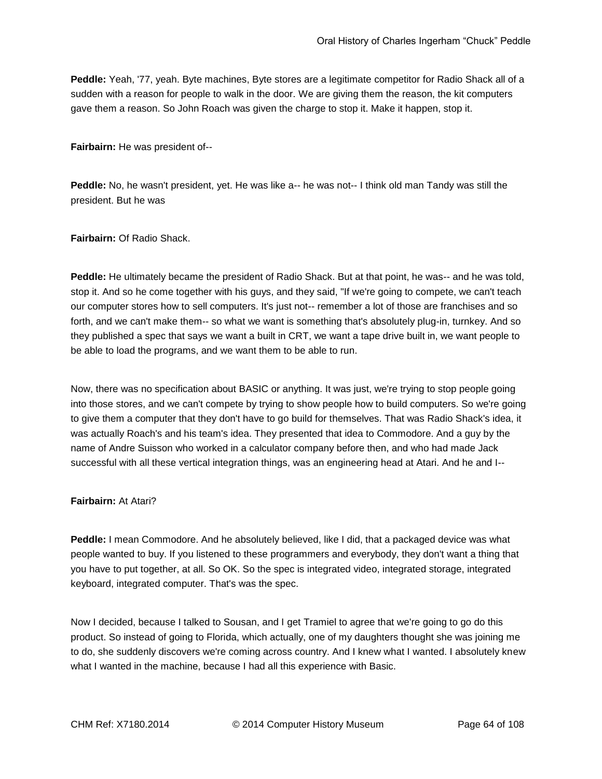**Peddle:** Yeah, '77, yeah. Byte machines, Byte stores are a legitimate competitor for Radio Shack all of a sudden with a reason for people to walk in the door. We are giving them the reason, the kit computers gave them a reason. So John Roach was given the charge to stop it. Make it happen, stop it.

**Fairbairn:** He was president of--

**Peddle:** No, he wasn't president, yet. He was like a-- he was not-- I think old man Tandy was still the president. But he was

**Fairbairn:** Of Radio Shack.

**Peddle:** He ultimately became the president of Radio Shack. But at that point, he was-- and he was told, stop it. And so he come together with his guys, and they said, "If we're going to compete, we can't teach our computer stores how to sell computers. It's just not-- remember a lot of those are franchises and so forth, and we can't make them-- so what we want is something that's absolutely plug-in, turnkey. And so they published a spec that says we want a built in CRT, we want a tape drive built in, we want people to be able to load the programs, and we want them to be able to run.

Now, there was no specification about BASIC or anything. It was just, we're trying to stop people going into those stores, and we can't compete by trying to show people how to build computers. So we're going to give them a computer that they don't have to go build for themselves. That was Radio Shack's idea, it was actually Roach's and his team's idea. They presented that idea to Commodore. And a guy by the name of Andre Suisson who worked in a calculator company before then, and who had made Jack successful with all these vertical integration things, was an engineering head at Atari. And he and I--

#### **Fairbairn:** At Atari?

**Peddle:** I mean Commodore. And he absolutely believed, like I did, that a packaged device was what people wanted to buy. If you listened to these programmers and everybody, they don't want a thing that you have to put together, at all. So OK. So the spec is integrated video, integrated storage, integrated keyboard, integrated computer. That's was the spec.

Now I decided, because I talked to Sousan, and I get Tramiel to agree that we're going to go do this product. So instead of going to Florida, which actually, one of my daughters thought she was joining me to do, she suddenly discovers we're coming across country. And I knew what I wanted. I absolutely knew what I wanted in the machine, because I had all this experience with Basic.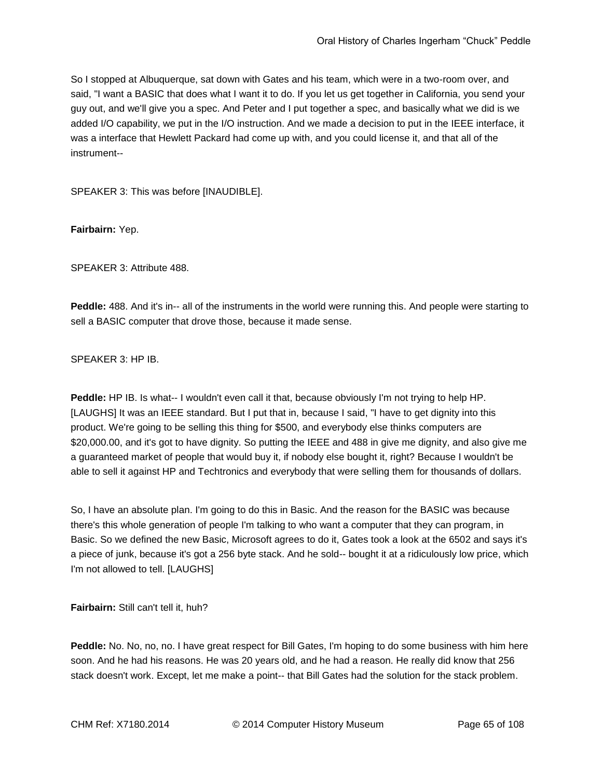So I stopped at Albuquerque, sat down with Gates and his team, which were in a two-room over, and said, "I want a BASIC that does what I want it to do. If you let us get together in California, you send your guy out, and we'll give you a spec. And Peter and I put together a spec, and basically what we did is we added I/O capability, we put in the I/O instruction. And we made a decision to put in the IEEE interface, it was a interface that Hewlett Packard had come up with, and you could license it, and that all of the instrument--

SPEAKER 3: This was before [INAUDIBLE].

**Fairbairn:** Yep.

SPEAKER 3: Attribute 488.

**Peddle:** 488. And it's in-- all of the instruments in the world were running this. And people were starting to sell a BASIC computer that drove those, because it made sense.

SPEAKER 3: HP IB.

**Peddle:** HP IB. Is what-- I wouldn't even call it that, because obviously I'm not trying to help HP. [LAUGHS] It was an IEEE standard. But I put that in, because I said, "I have to get dignity into this product. We're going to be selling this thing for \$500, and everybody else thinks computers are \$20,000.00, and it's got to have dignity. So putting the IEEE and 488 in give me dignity, and also give me a guaranteed market of people that would buy it, if nobody else bought it, right? Because I wouldn't be able to sell it against HP and Techtronics and everybody that were selling them for thousands of dollars.

So, I have an absolute plan. I'm going to do this in Basic. And the reason for the BASIC was because there's this whole generation of people I'm talking to who want a computer that they can program, in Basic. So we defined the new Basic, Microsoft agrees to do it, Gates took a look at the 6502 and says it's a piece of junk, because it's got a 256 byte stack. And he sold-- bought it at a ridiculously low price, which I'm not allowed to tell. [LAUGHS]

**Fairbairn:** Still can't tell it, huh?

**Peddle:** No. No, no, no. I have great respect for Bill Gates, I'm hoping to do some business with him here soon. And he had his reasons. He was 20 years old, and he had a reason. He really did know that 256 stack doesn't work. Except, let me make a point-- that Bill Gates had the solution for the stack problem.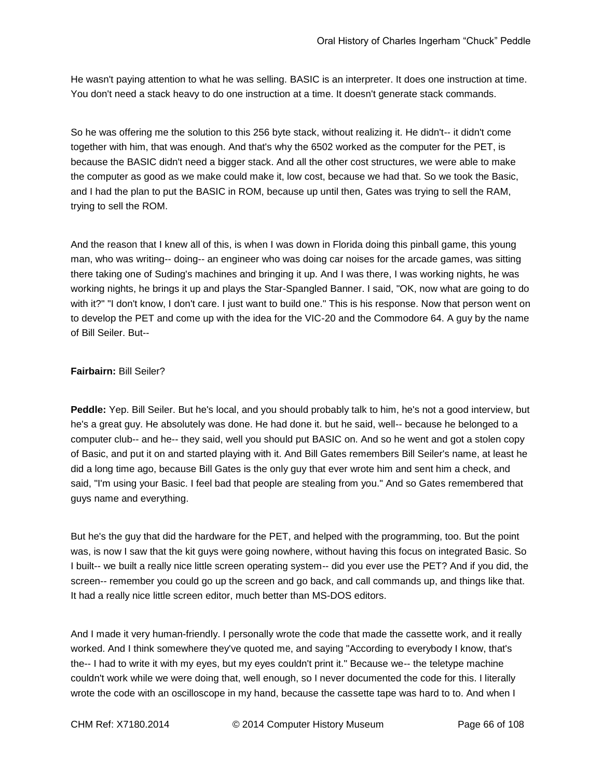He wasn't paying attention to what he was selling. BASIC is an interpreter. It does one instruction at time. You don't need a stack heavy to do one instruction at a time. It doesn't generate stack commands.

So he was offering me the solution to this 256 byte stack, without realizing it. He didn't-- it didn't come together with him, that was enough. And that's why the 6502 worked as the computer for the PET, is because the BASIC didn't need a bigger stack. And all the other cost structures, we were able to make the computer as good as we make could make it, low cost, because we had that. So we took the Basic, and I had the plan to put the BASIC in ROM, because up until then, Gates was trying to sell the RAM, trying to sell the ROM.

And the reason that I knew all of this, is when I was down in Florida doing this pinball game, this young man, who was writing-- doing-- an engineer who was doing car noises for the arcade games, was sitting there taking one of Suding's machines and bringing it up. And I was there, I was working nights, he was working nights, he brings it up and plays the Star-Spangled Banner. I said, "OK, now what are going to do with it?" "I don't know, I don't care. I just want to build one." This is his response. Now that person went on to develop the PET and come up with the idea for the VIC-20 and the Commodore 64. A guy by the name of Bill Seiler. But--

### **Fairbairn:** Bill Seiler?

**Peddle:** Yep. Bill Seiler. But he's local, and you should probably talk to him, he's not a good interview, but he's a great guy. He absolutely was done. He had done it. but he said, well-- because he belonged to a computer club-- and he-- they said, well you should put BASIC on. And so he went and got a stolen copy of Basic, and put it on and started playing with it. And Bill Gates remembers Bill Seiler's name, at least he did a long time ago, because Bill Gates is the only guy that ever wrote him and sent him a check, and said, "I'm using your Basic. I feel bad that people are stealing from you." And so Gates remembered that guys name and everything.

But he's the guy that did the hardware for the PET, and helped with the programming, too. But the point was, is now I saw that the kit guys were going nowhere, without having this focus on integrated Basic. So I built-- we built a really nice little screen operating system-- did you ever use the PET? And if you did, the screen-- remember you could go up the screen and go back, and call commands up, and things like that. It had a really nice little screen editor, much better than MS-DOS editors.

And I made it very human-friendly. I personally wrote the code that made the cassette work, and it really worked. And I think somewhere they've quoted me, and saying "According to everybody I know, that's the-- I had to write it with my eyes, but my eyes couldn't print it." Because we-- the teletype machine couldn't work while we were doing that, well enough, so I never documented the code for this. I literally wrote the code with an oscilloscope in my hand, because the cassette tape was hard to to. And when I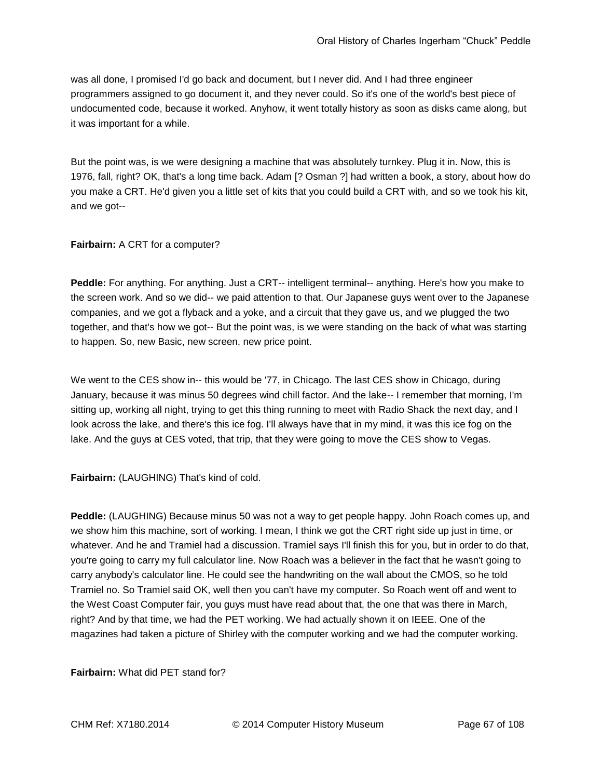was all done, I promised I'd go back and document, but I never did. And I had three engineer programmers assigned to go document it, and they never could. So it's one of the world's best piece of undocumented code, because it worked. Anyhow, it went totally history as soon as disks came along, but it was important for a while.

But the point was, is we were designing a machine that was absolutely turnkey. Plug it in. Now, this is 1976, fall, right? OK, that's a long time back. Adam [? Osman ?] had written a book, a story, about how do you make a CRT. He'd given you a little set of kits that you could build a CRT with, and so we took his kit, and we got--

#### **Fairbairn:** A CRT for a computer?

**Peddle:** For anything. For anything. Just a CRT-- intelligent terminal-- anything. Here's how you make to the screen work. And so we did-- we paid attention to that. Our Japanese guys went over to the Japanese companies, and we got a flyback and a yoke, and a circuit that they gave us, and we plugged the two together, and that's how we got-- But the point was, is we were standing on the back of what was starting to happen. So, new Basic, new screen, new price point.

We went to the CES show in-- this would be '77, in Chicago. The last CES show in Chicago, during January, because it was minus 50 degrees wind chill factor. And the lake-- I remember that morning, I'm sitting up, working all night, trying to get this thing running to meet with Radio Shack the next day, and I look across the lake, and there's this ice fog. I'll always have that in my mind, it was this ice fog on the lake. And the guys at CES voted, that trip, that they were going to move the CES show to Vegas.

**Fairbairn:** (LAUGHING) That's kind of cold.

**Peddle:** (LAUGHING) Because minus 50 was not a way to get people happy. John Roach comes up, and we show him this machine, sort of working. I mean, I think we got the CRT right side up just in time, or whatever. And he and Tramiel had a discussion. Tramiel says I'll finish this for you, but in order to do that, you're going to carry my full calculator line. Now Roach was a believer in the fact that he wasn't going to carry anybody's calculator line. He could see the handwriting on the wall about the CMOS, so he told Tramiel no. So Tramiel said OK, well then you can't have my computer. So Roach went off and went to the West Coast Computer fair, you guys must have read about that, the one that was there in March, right? And by that time, we had the PET working. We had actually shown it on IEEE. One of the magazines had taken a picture of Shirley with the computer working and we had the computer working.

### **Fairbairn:** What did PET stand for?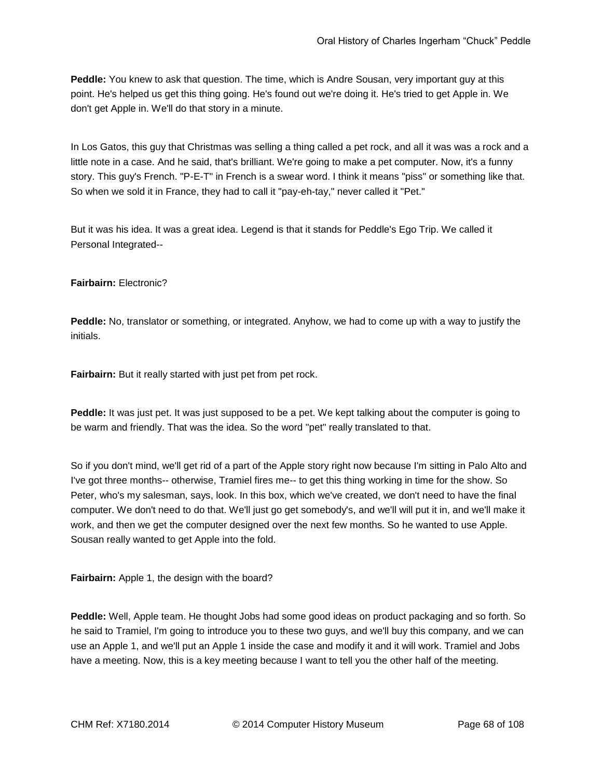**Peddle:** You knew to ask that question. The time, which is Andre Sousan, very important guy at this point. He's helped us get this thing going. He's found out we're doing it. He's tried to get Apple in. We don't get Apple in. We'll do that story in a minute.

In Los Gatos, this guy that Christmas was selling a thing called a pet rock, and all it was was a rock and a little note in a case. And he said, that's brilliant. We're going to make a pet computer. Now, it's a funny story. This guy's French. "P-E-T" in French is a swear word. I think it means "piss" or something like that. So when we sold it in France, they had to call it "pay-eh-tay," never called it "Pet."

But it was his idea. It was a great idea. Legend is that it stands for Peddle's Ego Trip. We called it Personal Integrated--

## **Fairbairn:** Electronic?

**Peddle:** No, translator or something, or integrated. Anyhow, we had to come up with a way to justify the initials.

**Fairbairn:** But it really started with just pet from pet rock.

**Peddle:** It was just pet. It was just supposed to be a pet. We kept talking about the computer is going to be warm and friendly. That was the idea. So the word "pet" really translated to that.

So if you don't mind, we'll get rid of a part of the Apple story right now because I'm sitting in Palo Alto and I've got three months-- otherwise, Tramiel fires me-- to get this thing working in time for the show. So Peter, who's my salesman, says, look. In this box, which we've created, we don't need to have the final computer. We don't need to do that. We'll just go get somebody's, and we'll will put it in, and we'll make it work, and then we get the computer designed over the next few months. So he wanted to use Apple. Sousan really wanted to get Apple into the fold.

**Fairbairn:** Apple 1, the design with the board?

**Peddle:** Well, Apple team. He thought Jobs had some good ideas on product packaging and so forth. So he said to Tramiel, I'm going to introduce you to these two guys, and we'll buy this company, and we can use an Apple 1, and we'll put an Apple 1 inside the case and modify it and it will work. Tramiel and Jobs have a meeting. Now, this is a key meeting because I want to tell you the other half of the meeting.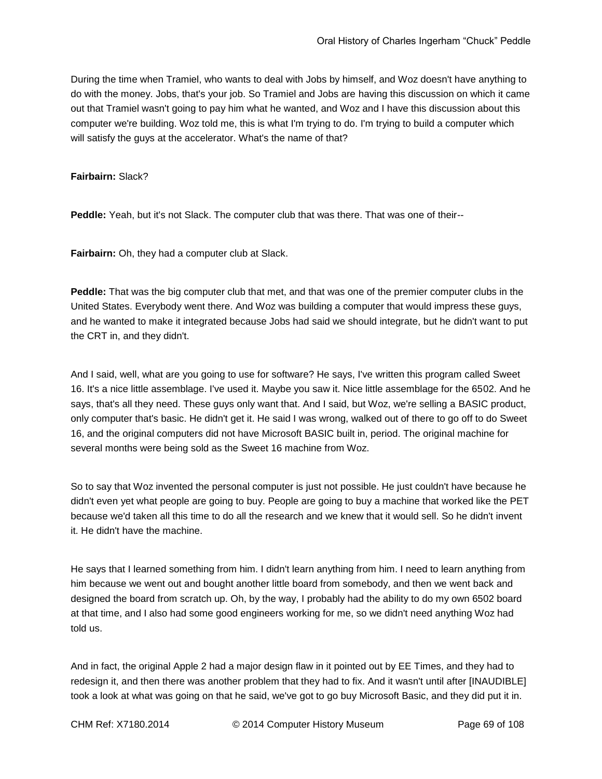During the time when Tramiel, who wants to deal with Jobs by himself, and Woz doesn't have anything to do with the money. Jobs, that's your job. So Tramiel and Jobs are having this discussion on which it came out that Tramiel wasn't going to pay him what he wanted, and Woz and I have this discussion about this computer we're building. Woz told me, this is what I'm trying to do. I'm trying to build a computer which will satisfy the guys at the accelerator. What's the name of that?

**Fairbairn:** Slack?

**Peddle:** Yeah, but it's not Slack. The computer club that was there. That was one of their--

**Fairbairn:** Oh, they had a computer club at Slack.

**Peddle:** That was the big computer club that met, and that was one of the premier computer clubs in the United States. Everybody went there. And Woz was building a computer that would impress these guys, and he wanted to make it integrated because Jobs had said we should integrate, but he didn't want to put the CRT in, and they didn't.

And I said, well, what are you going to use for software? He says, I've written this program called Sweet 16. It's a nice little assemblage. I've used it. Maybe you saw it. Nice little assemblage for the 6502. And he says, that's all they need. These guys only want that. And I said, but Woz, we're selling a BASIC product, only computer that's basic. He didn't get it. He said I was wrong, walked out of there to go off to do Sweet 16, and the original computers did not have Microsoft BASIC built in, period. The original machine for several months were being sold as the Sweet 16 machine from Woz.

So to say that Woz invented the personal computer is just not possible. He just couldn't have because he didn't even yet what people are going to buy. People are going to buy a machine that worked like the PET because we'd taken all this time to do all the research and we knew that it would sell. So he didn't invent it. He didn't have the machine.

He says that I learned something from him. I didn't learn anything from him. I need to learn anything from him because we went out and bought another little board from somebody, and then we went back and designed the board from scratch up. Oh, by the way, I probably had the ability to do my own 6502 board at that time, and I also had some good engineers working for me, so we didn't need anything Woz had told us.

And in fact, the original Apple 2 had a major design flaw in it pointed out by EE Times, and they had to redesign it, and then there was another problem that they had to fix. And it wasn't until after [INAUDIBLE] took a look at what was going on that he said, we've got to go buy Microsoft Basic, and they did put it in.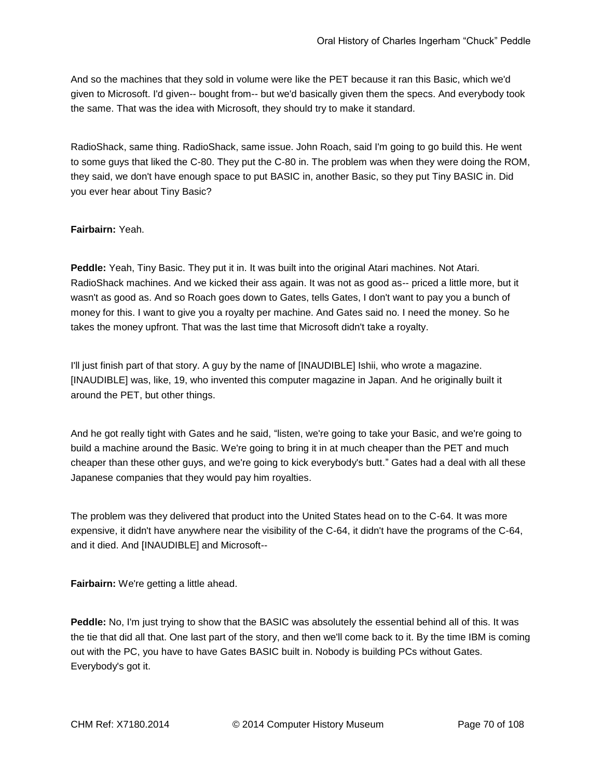And so the machines that they sold in volume were like the PET because it ran this Basic, which we'd given to Microsoft. I'd given-- bought from-- but we'd basically given them the specs. And everybody took the same. That was the idea with Microsoft, they should try to make it standard.

RadioShack, same thing. RadioShack, same issue. John Roach, said I'm going to go build this. He went to some guys that liked the C-80. They put the C-80 in. The problem was when they were doing the ROM, they said, we don't have enough space to put BASIC in, another Basic, so they put Tiny BASIC in. Did you ever hear about Tiny Basic?

# **Fairbairn:** Yeah.

**Peddle:** Yeah, Tiny Basic. They put it in. It was built into the original Atari machines. Not Atari. RadioShack machines. And we kicked their ass again. It was not as good as-- priced a little more, but it wasn't as good as. And so Roach goes down to Gates, tells Gates, I don't want to pay you a bunch of money for this. I want to give you a royalty per machine. And Gates said no. I need the money. So he takes the money upfront. That was the last time that Microsoft didn't take a royalty.

I'll just finish part of that story. A guy by the name of [INAUDIBLE] Ishii, who wrote a magazine. [INAUDIBLE] was, like, 19, who invented this computer magazine in Japan. And he originally built it around the PET, but other things.

And he got really tight with Gates and he said, "listen, we're going to take your Basic, and we're going to build a machine around the Basic. We're going to bring it in at much cheaper than the PET and much cheaper than these other guys, and we're going to kick everybody's butt." Gates had a deal with all these Japanese companies that they would pay him royalties.

The problem was they delivered that product into the United States head on to the C-64. It was more expensive, it didn't have anywhere near the visibility of the C-64, it didn't have the programs of the C-64, and it died. And [INAUDIBLE] and Microsoft--

**Fairbairn:** We're getting a little ahead.

**Peddle:** No, I'm just trying to show that the BASIC was absolutely the essential behind all of this. It was the tie that did all that. One last part of the story, and then we'll come back to it. By the time IBM is coming out with the PC, you have to have Gates BASIC built in. Nobody is building PCs without Gates. Everybody's got it.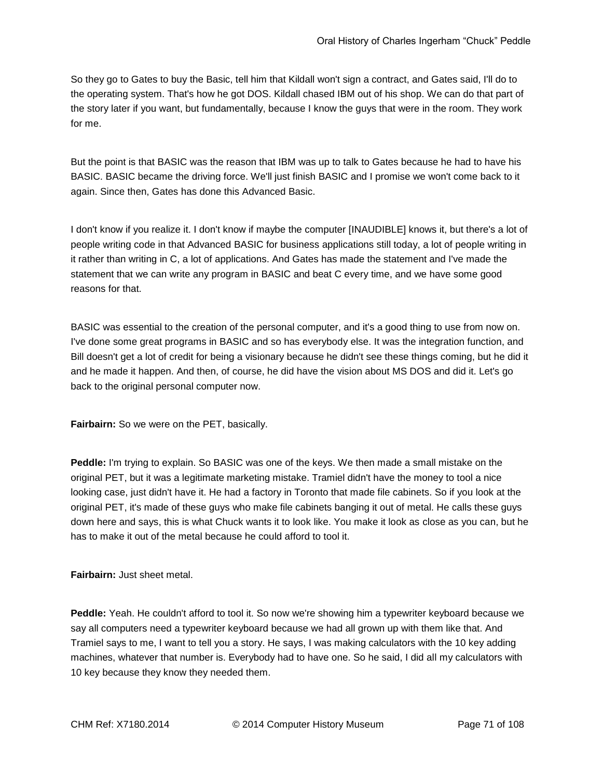So they go to Gates to buy the Basic, tell him that Kildall won't sign a contract, and Gates said, I'll do to the operating system. That's how he got DOS. Kildall chased IBM out of his shop. We can do that part of the story later if you want, but fundamentally, because I know the guys that were in the room. They work for me.

But the point is that BASIC was the reason that IBM was up to talk to Gates because he had to have his BASIC. BASIC became the driving force. We'll just finish BASIC and I promise we won't come back to it again. Since then, Gates has done this Advanced Basic.

I don't know if you realize it. I don't know if maybe the computer [INAUDIBLE] knows it, but there's a lot of people writing code in that Advanced BASIC for business applications still today, a lot of people writing in it rather than writing in C, a lot of applications. And Gates has made the statement and I've made the statement that we can write any program in BASIC and beat C every time, and we have some good reasons for that.

BASIC was essential to the creation of the personal computer, and it's a good thing to use from now on. I've done some great programs in BASIC and so has everybody else. It was the integration function, and Bill doesn't get a lot of credit for being a visionary because he didn't see these things coming, but he did it and he made it happen. And then, of course, he did have the vision about MS DOS and did it. Let's go back to the original personal computer now.

**Fairbairn:** So we were on the PET, basically.

**Peddle:** I'm trying to explain. So BASIC was one of the keys. We then made a small mistake on the original PET, but it was a legitimate marketing mistake. Tramiel didn't have the money to tool a nice looking case, just didn't have it. He had a factory in Toronto that made file cabinets. So if you look at the original PET, it's made of these guys who make file cabinets banging it out of metal. He calls these guys down here and says, this is what Chuck wants it to look like. You make it look as close as you can, but he has to make it out of the metal because he could afford to tool it.

**Fairbairn:** Just sheet metal.

**Peddle:** Yeah. He couldn't afford to tool it. So now we're showing him a typewriter keyboard because we say all computers need a typewriter keyboard because we had all grown up with them like that. And Tramiel says to me, I want to tell you a story. He says, I was making calculators with the 10 key adding machines, whatever that number is. Everybody had to have one. So he said, I did all my calculators with 10 key because they know they needed them.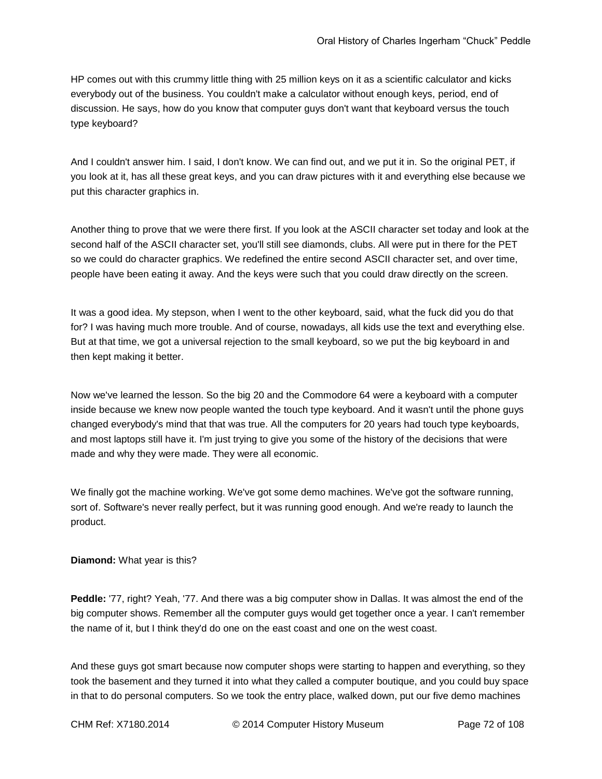HP comes out with this crummy little thing with 25 million keys on it as a scientific calculator and kicks everybody out of the business. You couldn't make a calculator without enough keys, period, end of discussion. He says, how do you know that computer guys don't want that keyboard versus the touch type keyboard?

And I couldn't answer him. I said, I don't know. We can find out, and we put it in. So the original PET, if you look at it, has all these great keys, and you can draw pictures with it and everything else because we put this character graphics in.

Another thing to prove that we were there first. If you look at the ASCII character set today and look at the second half of the ASCII character set, you'll still see diamonds, clubs. All were put in there for the PET so we could do character graphics. We redefined the entire second ASCII character set, and over time, people have been eating it away. And the keys were such that you could draw directly on the screen.

It was a good idea. My stepson, when I went to the other keyboard, said, what the fuck did you do that for? I was having much more trouble. And of course, nowadays, all kids use the text and everything else. But at that time, we got a universal rejection to the small keyboard, so we put the big keyboard in and then kept making it better.

Now we've learned the lesson. So the big 20 and the Commodore 64 were a keyboard with a computer inside because we knew now people wanted the touch type keyboard. And it wasn't until the phone guys changed everybody's mind that that was true. All the computers for 20 years had touch type keyboards, and most laptops still have it. I'm just trying to give you some of the history of the decisions that were made and why they were made. They were all economic.

We finally got the machine working. We've got some demo machines. We've got the software running, sort of. Software's never really perfect, but it was running good enough. And we're ready to launch the product.

#### **Diamond:** What year is this?

**Peddle:** '77, right? Yeah, '77. And there was a big computer show in Dallas. It was almost the end of the big computer shows. Remember all the computer guys would get together once a year. I can't remember the name of it, but I think they'd do one on the east coast and one on the west coast.

And these guys got smart because now computer shops were starting to happen and everything, so they took the basement and they turned it into what they called a computer boutique, and you could buy space in that to do personal computers. So we took the entry place, walked down, put our five demo machines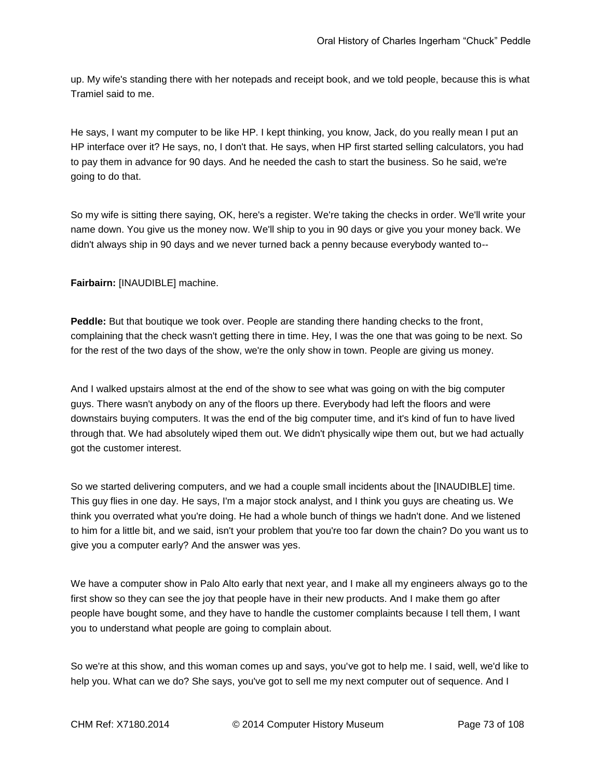up. My wife's standing there with her notepads and receipt book, and we told people, because this is what Tramiel said to me.

He says, I want my computer to be like HP. I kept thinking, you know, Jack, do you really mean I put an HP interface over it? He says, no, I don't that. He says, when HP first started selling calculators, you had to pay them in advance for 90 days. And he needed the cash to start the business. So he said, we're going to do that.

So my wife is sitting there saying, OK, here's a register. We're taking the checks in order. We'll write your name down. You give us the money now. We'll ship to you in 90 days or give you your money back. We didn't always ship in 90 days and we never turned back a penny because everybody wanted to--

**Fairbairn:** [INAUDIBLE] machine.

**Peddle:** But that boutique we took over. People are standing there handing checks to the front, complaining that the check wasn't getting there in time. Hey, I was the one that was going to be next. So for the rest of the two days of the show, we're the only show in town. People are giving us money.

And I walked upstairs almost at the end of the show to see what was going on with the big computer guys. There wasn't anybody on any of the floors up there. Everybody had left the floors and were downstairs buying computers. It was the end of the big computer time, and it's kind of fun to have lived through that. We had absolutely wiped them out. We didn't physically wipe them out, but we had actually got the customer interest.

So we started delivering computers, and we had a couple small incidents about the [INAUDIBLE] time. This guy flies in one day. He says, I'm a major stock analyst, and I think you guys are cheating us. We think you overrated what you're doing. He had a whole bunch of things we hadn't done. And we listened to him for a little bit, and we said, isn't your problem that you're too far down the chain? Do you want us to give you a computer early? And the answer was yes.

We have a computer show in Palo Alto early that next year, and I make all my engineers always go to the first show so they can see the joy that people have in their new products. And I make them go after people have bought some, and they have to handle the customer complaints because I tell them, I want you to understand what people are going to complain about.

So we're at this show, and this woman comes up and says, you've got to help me. I said, well, we'd like to help you. What can we do? She says, you've got to sell me my next computer out of sequence. And I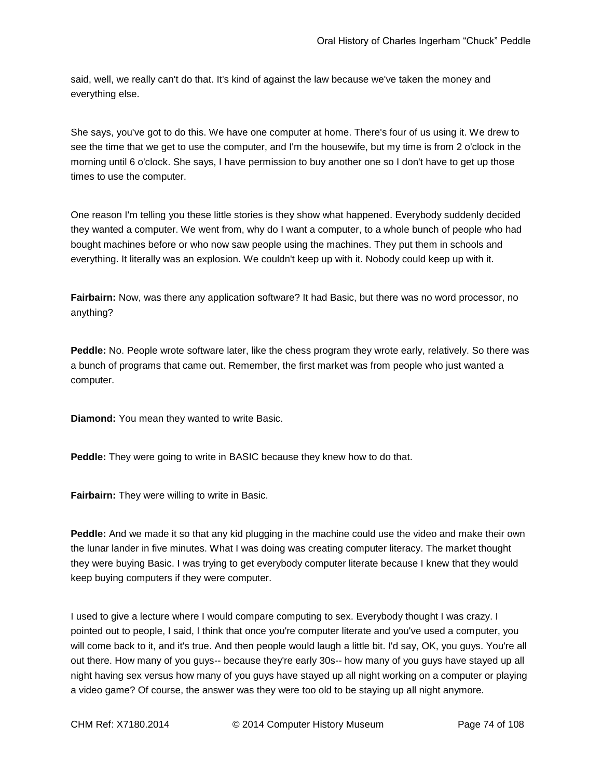said, well, we really can't do that. It's kind of against the law because we've taken the money and everything else.

She says, you've got to do this. We have one computer at home. There's four of us using it. We drew to see the time that we get to use the computer, and I'm the housewife, but my time is from 2 o'clock in the morning until 6 o'clock. She says, I have permission to buy another one so I don't have to get up those times to use the computer.

One reason I'm telling you these little stories is they show what happened. Everybody suddenly decided they wanted a computer. We went from, why do I want a computer, to a whole bunch of people who had bought machines before or who now saw people using the machines. They put them in schools and everything. It literally was an explosion. We couldn't keep up with it. Nobody could keep up with it.

**Fairbairn:** Now, was there any application software? It had Basic, but there was no word processor, no anything?

**Peddle:** No. People wrote software later, like the chess program they wrote early, relatively. So there was a bunch of programs that came out. Remember, the first market was from people who just wanted a computer.

**Diamond:** You mean they wanted to write Basic.

**Peddle:** They were going to write in BASIC because they knew how to do that.

**Fairbairn:** They were willing to write in Basic.

**Peddle:** And we made it so that any kid plugging in the machine could use the video and make their own the lunar lander in five minutes. What I was doing was creating computer literacy. The market thought they were buying Basic. I was trying to get everybody computer literate because I knew that they would keep buying computers if they were computer.

I used to give a lecture where I would compare computing to sex. Everybody thought I was crazy. I pointed out to people, I said, I think that once you're computer literate and you've used a computer, you will come back to it, and it's true. And then people would laugh a little bit. I'd say, OK, you guys. You're all out there. How many of you guys-- because they're early 30s-- how many of you guys have stayed up all night having sex versus how many of you guys have stayed up all night working on a computer or playing a video game? Of course, the answer was they were too old to be staying up all night anymore.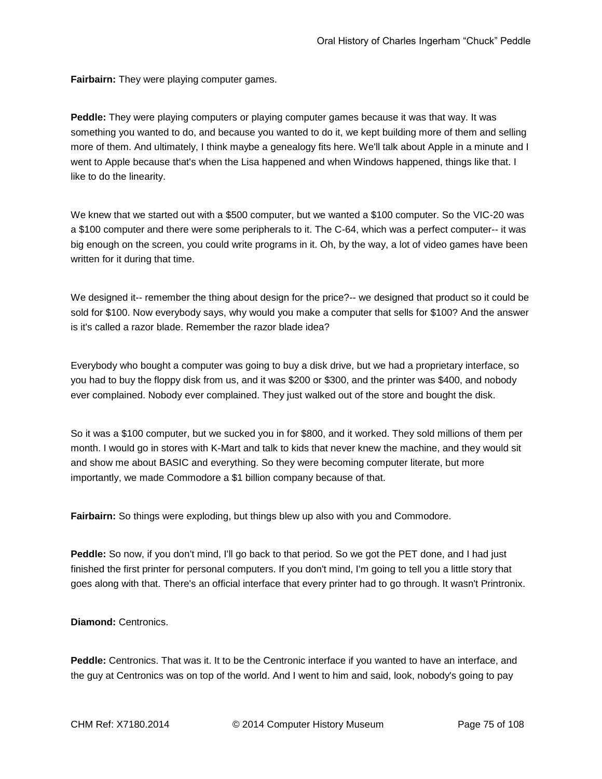**Fairbairn:** They were playing computer games.

**Peddle:** They were playing computers or playing computer games because it was that way. It was something you wanted to do, and because you wanted to do it, we kept building more of them and selling more of them. And ultimately, I think maybe a genealogy fits here. We'll talk about Apple in a minute and I went to Apple because that's when the Lisa happened and when Windows happened, things like that. I like to do the linearity.

We knew that we started out with a \$500 computer, but we wanted a \$100 computer. So the VIC-20 was a \$100 computer and there were some peripherals to it. The C-64, which was a perfect computer-- it was big enough on the screen, you could write programs in it. Oh, by the way, a lot of video games have been written for it during that time.

We designed it-- remember the thing about design for the price?-- we designed that product so it could be sold for \$100. Now everybody says, why would you make a computer that sells for \$100? And the answer is it's called a razor blade. Remember the razor blade idea?

Everybody who bought a computer was going to buy a disk drive, but we had a proprietary interface, so you had to buy the floppy disk from us, and it was \$200 or \$300, and the printer was \$400, and nobody ever complained. Nobody ever complained. They just walked out of the store and bought the disk.

So it was a \$100 computer, but we sucked you in for \$800, and it worked. They sold millions of them per month. I would go in stores with K-Mart and talk to kids that never knew the machine, and they would sit and show me about BASIC and everything. So they were becoming computer literate, but more importantly, we made Commodore a \$1 billion company because of that.

**Fairbairn:** So things were exploding, but things blew up also with you and Commodore.

**Peddle:** So now, if you don't mind, I'll go back to that period. So we got the PET done, and I had just finished the first printer for personal computers. If you don't mind, I'm going to tell you a little story that goes along with that. There's an official interface that every printer had to go through. It wasn't Printronix.

**Diamond:** Centronics.

**Peddle:** Centronics. That was it. It to be the Centronic interface if you wanted to have an interface, and the guy at Centronics was on top of the world. And I went to him and said, look, nobody's going to pay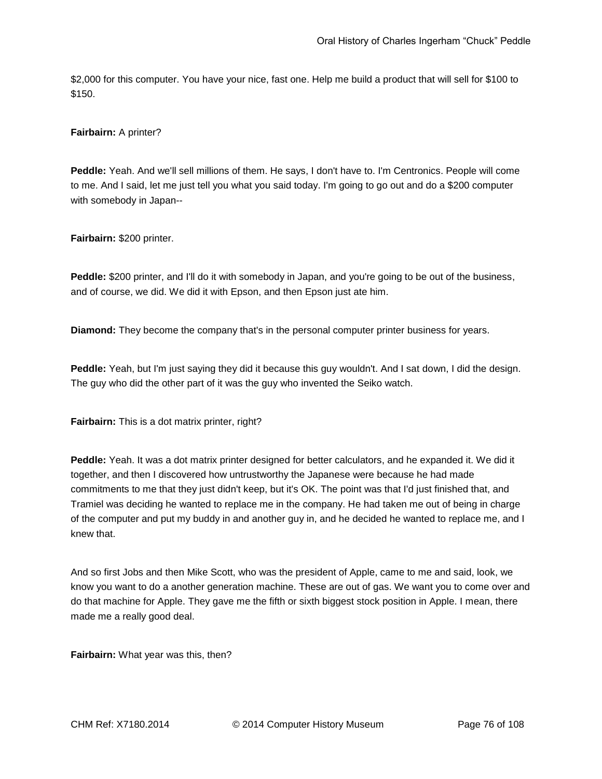\$2,000 for this computer. You have your nice, fast one. Help me build a product that will sell for \$100 to \$150.

#### **Fairbairn:** A printer?

**Peddle:** Yeah. And we'll sell millions of them. He says, I don't have to. I'm Centronics. People will come to me. And I said, let me just tell you what you said today. I'm going to go out and do a \$200 computer with somebody in Japan--

**Fairbairn:** \$200 printer.

**Peddle:** \$200 printer, and I'll do it with somebody in Japan, and you're going to be out of the business, and of course, we did. We did it with Epson, and then Epson just ate him.

**Diamond:** They become the company that's in the personal computer printer business for years.

**Peddle:** Yeah, but I'm just saying they did it because this guy wouldn't. And I sat down, I did the design. The guy who did the other part of it was the guy who invented the Seiko watch.

**Fairbairn:** This is a dot matrix printer, right?

**Peddle:** Yeah. It was a dot matrix printer designed for better calculators, and he expanded it. We did it together, and then I discovered how untrustworthy the Japanese were because he had made commitments to me that they just didn't keep, but it's OK. The point was that I'd just finished that, and Tramiel was deciding he wanted to replace me in the company. He had taken me out of being in charge of the computer and put my buddy in and another guy in, and he decided he wanted to replace me, and I knew that.

And so first Jobs and then Mike Scott, who was the president of Apple, came to me and said, look, we know you want to do a another generation machine. These are out of gas. We want you to come over and do that machine for Apple. They gave me the fifth or sixth biggest stock position in Apple. I mean, there made me a really good deal.

**Fairbairn:** What year was this, then?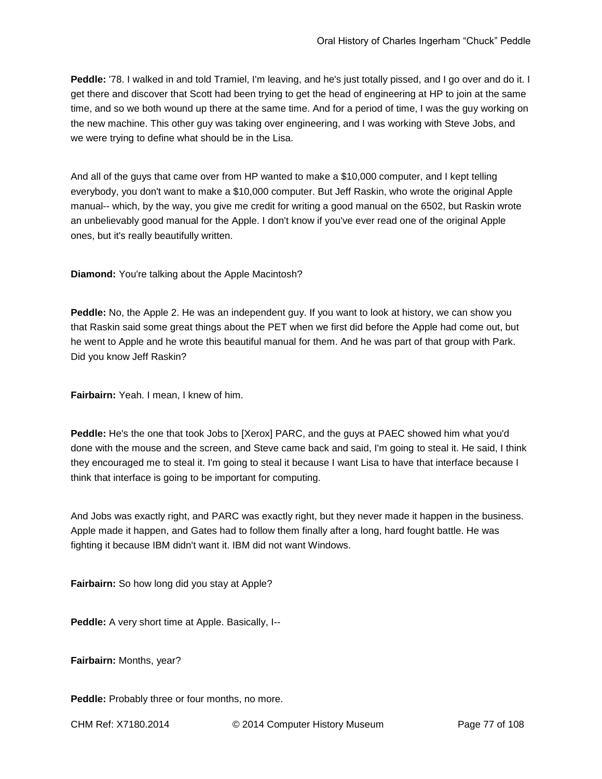**Peddle:** '78. I walked in and told Tramiel, I'm leaving, and he's just totally pissed, and I go over and do it. I get there and discover that Scott had been trying to get the head of engineering at HP to join at the same time, and so we both wound up there at the same time. And for a period of time, I was the guy working on the new machine. This other guy was taking over engineering, and I was working with Steve Jobs, and we were trying to define what should be in the Lisa.

And all of the guys that came over from HP wanted to make a \$10,000 computer, and I kept telling everybody, you don't want to make a \$10,000 computer. But Jeff Raskin, who wrote the original Apple manual-- which, by the way, you give me credit for writing a good manual on the 6502, but Raskin wrote an unbelievably good manual for the Apple. I don't know if you've ever read one of the original Apple ones, but it's really beautifully written.

**Diamond:** You're talking about the Apple Macintosh?

**Peddle:** No, the Apple 2. He was an independent guy. If you want to look at history, we can show you that Raskin said some great things about the PET when we first did before the Apple had come out, but he went to Apple and he wrote this beautiful manual for them. And he was part of that group with Park. Did you know Jeff Raskin?

**Fairbairn:** Yeah. I mean, I knew of him.

**Peddle:** He's the one that took Jobs to [Xerox] PARC, and the guys at PAEC showed him what you'd done with the mouse and the screen, and Steve came back and said, I'm going to steal it. He said, I think they encouraged me to steal it. I'm going to steal it because I want Lisa to have that interface because I think that interface is going to be important for computing.

And Jobs was exactly right, and PARC was exactly right, but they never made it happen in the business. Apple made it happen, and Gates had to follow them finally after a long, hard fought battle. He was fighting it because IBM didn't want it. IBM did not want Windows.

**Fairbairn:** So how long did you stay at Apple?

**Peddle:** A very short time at Apple. Basically, I--

**Fairbairn:** Months, year?

Peddle: Probably three or four months, no more.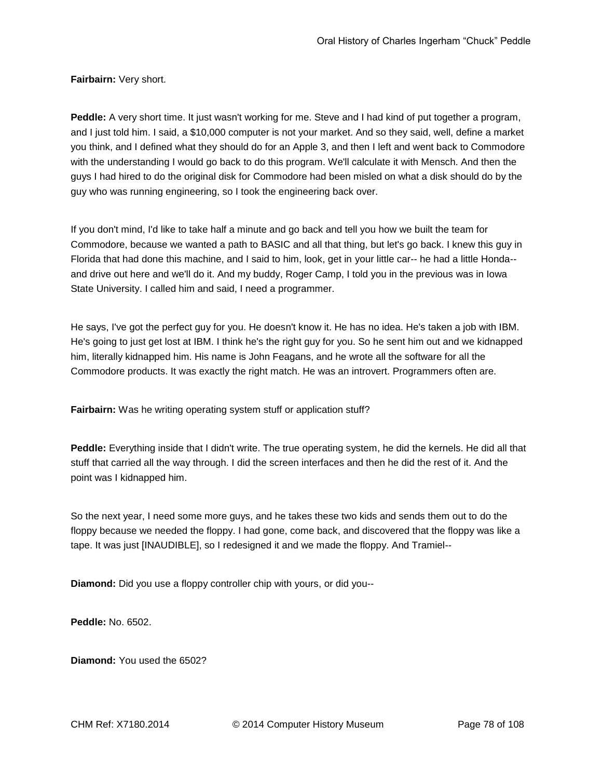**Fairbairn:** Very short.

**Peddle:** A very short time. It just wasn't working for me. Steve and I had kind of put together a program, and I just told him. I said, a \$10,000 computer is not your market. And so they said, well, define a market you think, and I defined what they should do for an Apple 3, and then I left and went back to Commodore with the understanding I would go back to do this program. We'll calculate it with Mensch. And then the guys I had hired to do the original disk for Commodore had been misled on what a disk should do by the guy who was running engineering, so I took the engineering back over.

If you don't mind, I'd like to take half a minute and go back and tell you how we built the team for Commodore, because we wanted a path to BASIC and all that thing, but let's go back. I knew this guy in Florida that had done this machine, and I said to him, look, get in your little car-- he had a little Honda- and drive out here and we'll do it. And my buddy, Roger Camp, I told you in the previous was in Iowa State University. I called him and said, I need a programmer.

He says, I've got the perfect guy for you. He doesn't know it. He has no idea. He's taken a job with IBM. He's going to just get lost at IBM. I think he's the right guy for you. So he sent him out and we kidnapped him, literally kidnapped him. His name is John Feagans, and he wrote all the software for all the Commodore products. It was exactly the right match. He was an introvert. Programmers often are.

**Fairbairn:** Was he writing operating system stuff or application stuff?

**Peddle:** Everything inside that I didn't write. The true operating system, he did the kernels. He did all that stuff that carried all the way through. I did the screen interfaces and then he did the rest of it. And the point was I kidnapped him.

So the next year, I need some more guys, and he takes these two kids and sends them out to do the floppy because we needed the floppy. I had gone, come back, and discovered that the floppy was like a tape. It was just [INAUDIBLE], so I redesigned it and we made the floppy. And Tramiel--

**Diamond:** Did you use a floppy controller chip with yours, or did you--

**Peddle:** No. 6502.

**Diamond:** You used the 6502?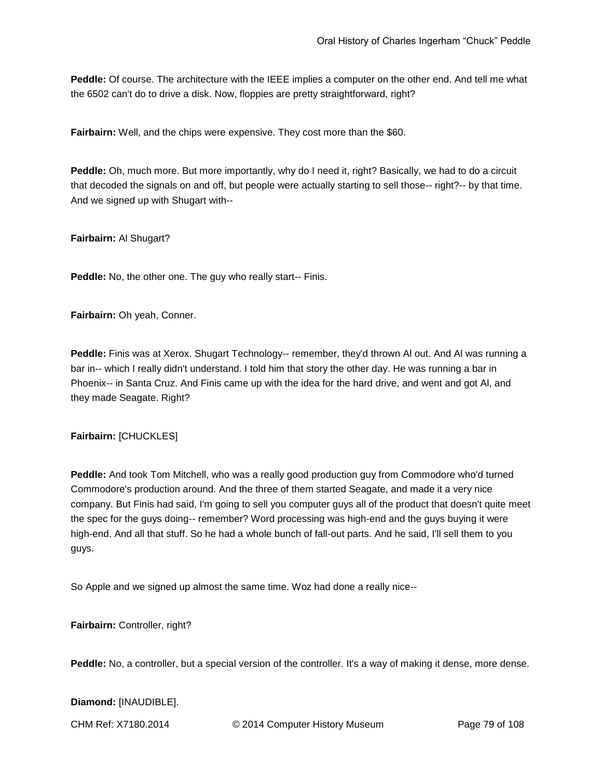**Peddle:** Of course. The architecture with the IEEE implies a computer on the other end. And tell me what the 6502 can't do to drive a disk. Now, floppies are pretty straightforward, right?

**Fairbairn:** Well, and the chips were expensive. They cost more than the \$60.

**Peddle:** Oh, much more. But more importantly, why do I need it, right? Basically, we had to do a circuit that decoded the signals on and off, but people were actually starting to sell those-- right?-- by that time. And we signed up with Shugart with--

**Fairbairn:** Al Shugart?

**Peddle:** No, the other one. The guy who really start-- Finis.

**Fairbairn:** Oh yeah, Conner.

**Peddle:** Finis was at Xerox. Shugart Technology-- remember, they'd thrown Al out. And Al was running a bar in-- which I really didn't understand. I told him that story the other day. He was running a bar in Phoenix-- in Santa Cruz. And Finis came up with the idea for the hard drive, and went and got Al, and they made Seagate. Right?

**Fairbairn:** [CHUCKLES]

**Peddle:** And took Tom Mitchell, who was a really good production guy from Commodore who'd turned Commodore's production around. And the three of them started Seagate, and made it a very nice company. But Finis had said, I'm going to sell you computer guys all of the product that doesn't quite meet the spec for the guys doing-- remember? Word processing was high-end and the guys buying it were high-end. And all that stuff. So he had a whole bunch of fall-out parts. And he said, I'll sell them to you guys.

So Apple and we signed up almost the same time. Woz had done a really nice--

**Fairbairn:** Controller, right?

Peddle: No, a controller, but a special version of the controller. It's a way of making it dense, more dense.

**Diamond:** [INAUDIBLE].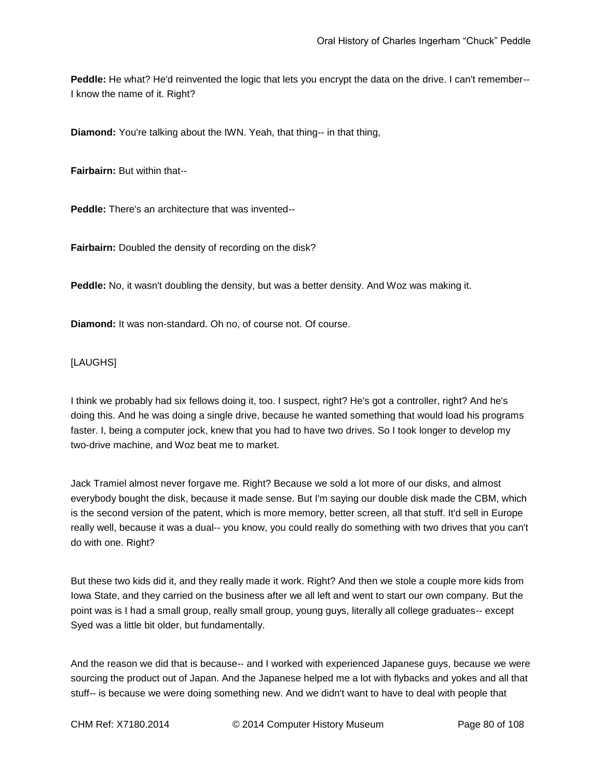**Peddle:** He what? He'd reinvented the logic that lets you encrypt the data on the drive. I can't remember-- I know the name of it. Right?

**Diamond:** You're talking about the IWN. Yeah, that thing-- in that thing,

**Fairbairn:** But within that--

**Peddle:** There's an architecture that was invented--

**Fairbairn:** Doubled the density of recording on the disk?

**Peddle:** No, it wasn't doubling the density, but was a better density. And Woz was making it.

**Diamond:** It was non-standard. Oh no, of course not. Of course.

[LAUGHS]

I think we probably had six fellows doing it, too. I suspect, right? He's got a controller, right? And he's doing this. And he was doing a single drive, because he wanted something that would load his programs faster. I, being a computer jock, knew that you had to have two drives. So I took longer to develop my two-drive machine, and Woz beat me to market.

Jack Tramiel almost never forgave me. Right? Because we sold a lot more of our disks, and almost everybody bought the disk, because it made sense. But I'm saying our double disk made the CBM, which is the second version of the patent, which is more memory, better screen, all that stuff. It'd sell in Europe really well, because it was a dual-- you know, you could really do something with two drives that you can't do with one. Right?

But these two kids did it, and they really made it work. Right? And then we stole a couple more kids from Iowa State, and they carried on the business after we all left and went to start our own company. But the point was is I had a small group, really small group, young guys, literally all college graduates-- except Syed was a little bit older, but fundamentally.

And the reason we did that is because-- and I worked with experienced Japanese guys, because we were sourcing the product out of Japan. And the Japanese helped me a lot with flybacks and yokes and all that stuff-- is because we were doing something new. And we didn't want to have to deal with people that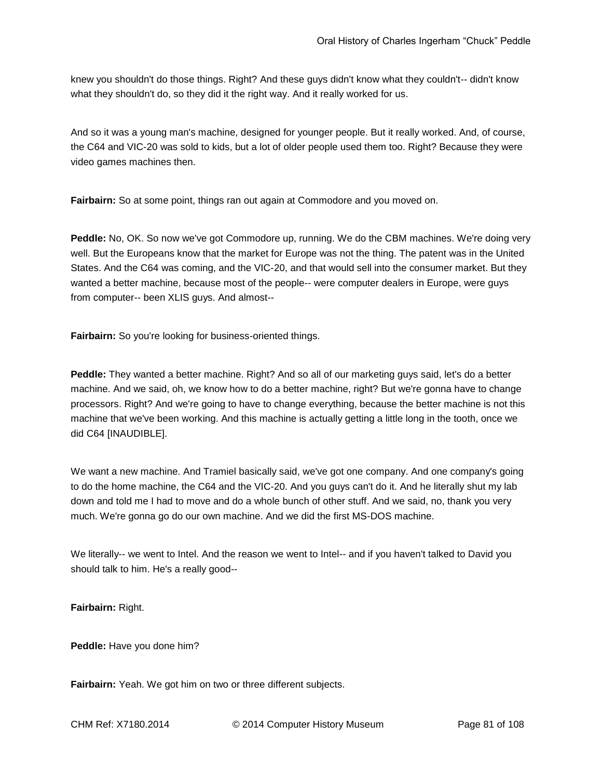knew you shouldn't do those things. Right? And these guys didn't know what they couldn't-- didn't know what they shouldn't do, so they did it the right way. And it really worked for us.

And so it was a young man's machine, designed for younger people. But it really worked. And, of course, the C64 and VIC-20 was sold to kids, but a lot of older people used them too. Right? Because they were video games machines then.

**Fairbairn:** So at some point, things ran out again at Commodore and you moved on.

**Peddle:** No, OK. So now we've got Commodore up, running. We do the CBM machines. We're doing very well. But the Europeans know that the market for Europe was not the thing. The patent was in the United States. And the C64 was coming, and the VIC-20, and that would sell into the consumer market. But they wanted a better machine, because most of the people-- were computer dealers in Europe, were guys from computer-- been XLIS guys. And almost--

**Fairbairn:** So you're looking for business-oriented things.

**Peddle:** They wanted a better machine. Right? And so all of our marketing guys said, let's do a better machine. And we said, oh, we know how to do a better machine, right? But we're gonna have to change processors. Right? And we're going to have to change everything, because the better machine is not this machine that we've been working. And this machine is actually getting a little long in the tooth, once we did C64 [INAUDIBLE].

We want a new machine. And Tramiel basically said, we've got one company. And one company's going to do the home machine, the C64 and the VIC-20. And you guys can't do it. And he literally shut my lab down and told me I had to move and do a whole bunch of other stuff. And we said, no, thank you very much. We're gonna go do our own machine. And we did the first MS-DOS machine.

We literally-- we went to Intel. And the reason we went to Intel-- and if you haven't talked to David you should talk to him. He's a really good--

**Fairbairn:** Right.

**Peddle:** Have you done him?

**Fairbairn:** Yeah. We got him on two or three different subjects.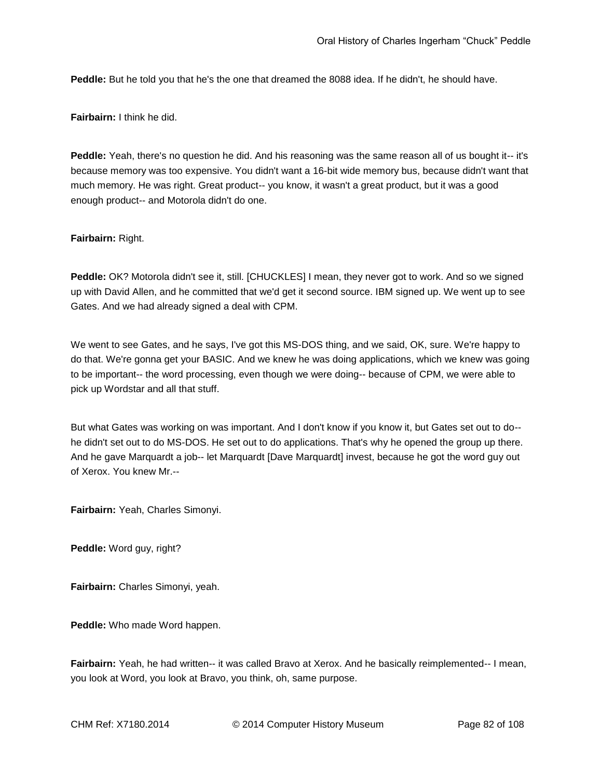**Peddle:** But he told you that he's the one that dreamed the 8088 idea. If he didn't, he should have.

**Fairbairn:** I think he did.

**Peddle:** Yeah, there's no question he did. And his reasoning was the same reason all of us bought it-- it's because memory was too expensive. You didn't want a 16-bit wide memory bus, because didn't want that much memory. He was right. Great product-- you know, it wasn't a great product, but it was a good enough product-- and Motorola didn't do one.

#### **Fairbairn:** Right.

**Peddle:** OK? Motorola didn't see it, still. [CHUCKLES] I mean, they never got to work. And so we signed up with David Allen, and he committed that we'd get it second source. IBM signed up. We went up to see Gates. And we had already signed a deal with CPM.

We went to see Gates, and he says, I've got this MS-DOS thing, and we said, OK, sure. We're happy to do that. We're gonna get your BASIC. And we knew he was doing applications, which we knew was going to be important-- the word processing, even though we were doing-- because of CPM, we were able to pick up Wordstar and all that stuff.

But what Gates was working on was important. And I don't know if you know it, but Gates set out to do- he didn't set out to do MS-DOS. He set out to do applications. That's why he opened the group up there. And he gave Marquardt a job-- let Marquardt [Dave Marquardt] invest, because he got the word guy out of Xerox. You knew Mr.--

**Fairbairn:** Yeah, Charles Simonyi.

**Peddle:** Word guy, right?

**Fairbairn:** Charles Simonyi, yeah.

**Peddle:** Who made Word happen.

**Fairbairn:** Yeah, he had written-- it was called Bravo at Xerox. And he basically reimplemented-- I mean, you look at Word, you look at Bravo, you think, oh, same purpose.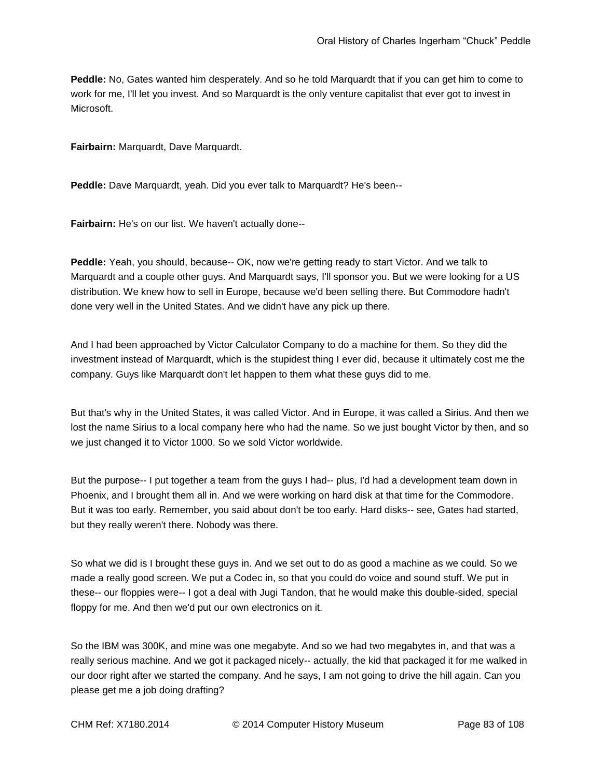**Peddle:** No, Gates wanted him desperately. And so he told Marquardt that if you can get him to come to work for me, I'll let you invest. And so Marquardt is the only venture capitalist that ever got to invest in Microsoft.

**Fairbairn:** Marquardt, Dave Marquardt.

**Peddle:** Dave Marquardt, yeah. Did you ever talk to Marquardt? He's been--

**Fairbairn:** He's on our list. We haven't actually done--

**Peddle:** Yeah, you should, because-- OK, now we're getting ready to start Victor. And we talk to Marquardt and a couple other guys. And Marquardt says, I'll sponsor you. But we were looking for a US distribution. We knew how to sell in Europe, because we'd been selling there. But Commodore hadn't done very well in the United States. And we didn't have any pick up there.

And I had been approached by Victor Calculator Company to do a machine for them. So they did the investment instead of Marquardt, which is the stupidest thing I ever did, because it ultimately cost me the company. Guys like Marquardt don't let happen to them what these guys did to me.

But that's why in the United States, it was called Victor. And in Europe, it was called a Sirius. And then we lost the name Sirius to a local company here who had the name. So we just bought Victor by then, and so we just changed it to Victor 1000. So we sold Victor worldwide.

But the purpose-- I put together a team from the guys I had-- plus, I'd had a development team down in Phoenix, and I brought them all in. And we were working on hard disk at that time for the Commodore. But it was too early. Remember, you said about don't be too early. Hard disks-- see, Gates had started, but they really weren't there. Nobody was there.

So what we did is I brought these guys in. And we set out to do as good a machine as we could. So we made a really good screen. We put a Codec in, so that you could do voice and sound stuff. We put in these-- our floppies were-- I got a deal with Jugi Tandon, that he would make this double-sided, special floppy for me. And then we'd put our own electronics on it.

So the IBM was 300K, and mine was one megabyte. And so we had two megabytes in, and that was a really serious machine. And we got it packaged nicely-- actually, the kid that packaged it for me walked in our door right after we started the company. And he says, I am not going to drive the hill again. Can you please get me a job doing drafting?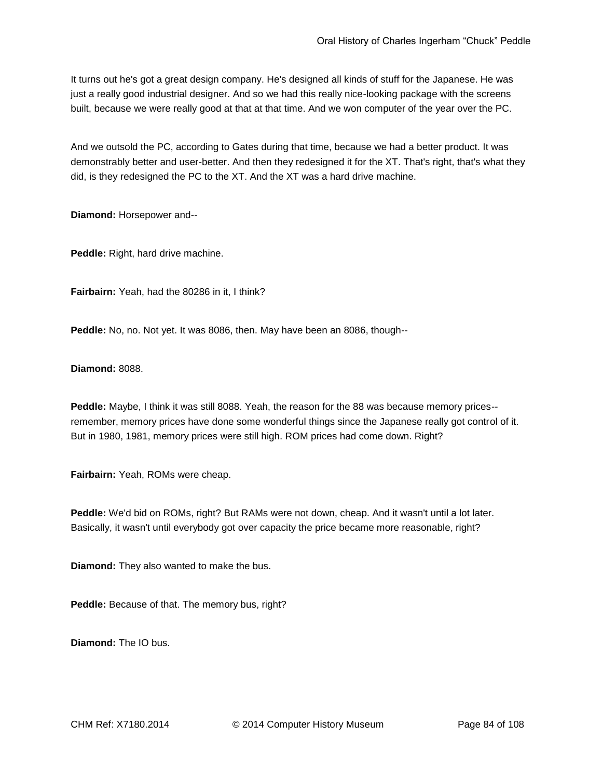It turns out he's got a great design company. He's designed all kinds of stuff for the Japanese. He was just a really good industrial designer. And so we had this really nice-looking package with the screens built, because we were really good at that at that time. And we won computer of the year over the PC.

And we outsold the PC, according to Gates during that time, because we had a better product. It was demonstrably better and user-better. And then they redesigned it for the XT. That's right, that's what they did, is they redesigned the PC to the XT. And the XT was a hard drive machine.

**Diamond:** Horsepower and--

**Peddle:** Right, hard drive machine.

**Fairbairn:** Yeah, had the 80286 in it, I think?

**Peddle:** No, no. Not yet. It was 8086, then. May have been an 8086, though--

**Diamond:** 8088.

**Peddle:** Maybe, I think it was still 8088. Yeah, the reason for the 88 was because memory prices- remember, memory prices have done some wonderful things since the Japanese really got control of it. But in 1980, 1981, memory prices were still high. ROM prices had come down. Right?

**Fairbairn:** Yeah, ROMs were cheap.

**Peddle:** We'd bid on ROMs, right? But RAMs were not down, cheap. And it wasn't until a lot later. Basically, it wasn't until everybody got over capacity the price became more reasonable, right?

**Diamond:** They also wanted to make the bus.

**Peddle:** Because of that. The memory bus, right?

**Diamond:** The IO bus.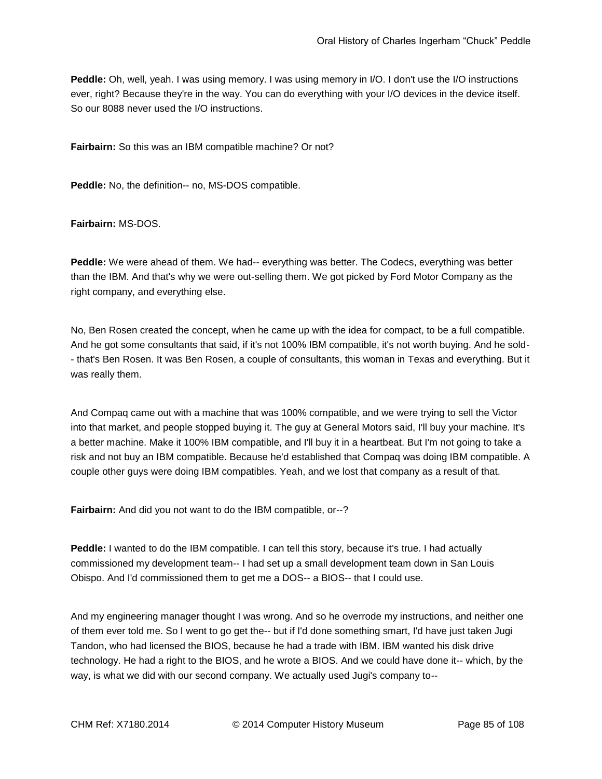**Peddle:** Oh, well, yeah. I was using memory. I was using memory in I/O. I don't use the I/O instructions ever, right? Because they're in the way. You can do everything with your I/O devices in the device itself. So our 8088 never used the I/O instructions.

**Fairbairn:** So this was an IBM compatible machine? Or not?

**Peddle:** No, the definition-- no, MS-DOS compatible.

**Fairbairn:** MS-DOS.

**Peddle:** We were ahead of them. We had-- everything was better. The Codecs, everything was better than the IBM. And that's why we were out-selling them. We got picked by Ford Motor Company as the right company, and everything else.

No, Ben Rosen created the concept, when he came up with the idea for compact, to be a full compatible. And he got some consultants that said, if it's not 100% IBM compatible, it's not worth buying. And he sold- - that's Ben Rosen. It was Ben Rosen, a couple of consultants, this woman in Texas and everything. But it was really them.

And Compaq came out with a machine that was 100% compatible, and we were trying to sell the Victor into that market, and people stopped buying it. The guy at General Motors said, I'll buy your machine. It's a better machine. Make it 100% IBM compatible, and I'll buy it in a heartbeat. But I'm not going to take a risk and not buy an IBM compatible. Because he'd established that Compaq was doing IBM compatible. A couple other guys were doing IBM compatibles. Yeah, and we lost that company as a result of that.

**Fairbairn:** And did you not want to do the IBM compatible, or--?

**Peddle:** I wanted to do the IBM compatible. I can tell this story, because it's true. I had actually commissioned my development team-- I had set up a small development team down in San Louis Obispo. And I'd commissioned them to get me a DOS-- a BIOS-- that I could use.

And my engineering manager thought I was wrong. And so he overrode my instructions, and neither one of them ever told me. So I went to go get the-- but if I'd done something smart, I'd have just taken Jugi Tandon, who had licensed the BIOS, because he had a trade with IBM. IBM wanted his disk drive technology. He had a right to the BIOS, and he wrote a BIOS. And we could have done it-- which, by the way, is what we did with our second company. We actually used Jugi's company to--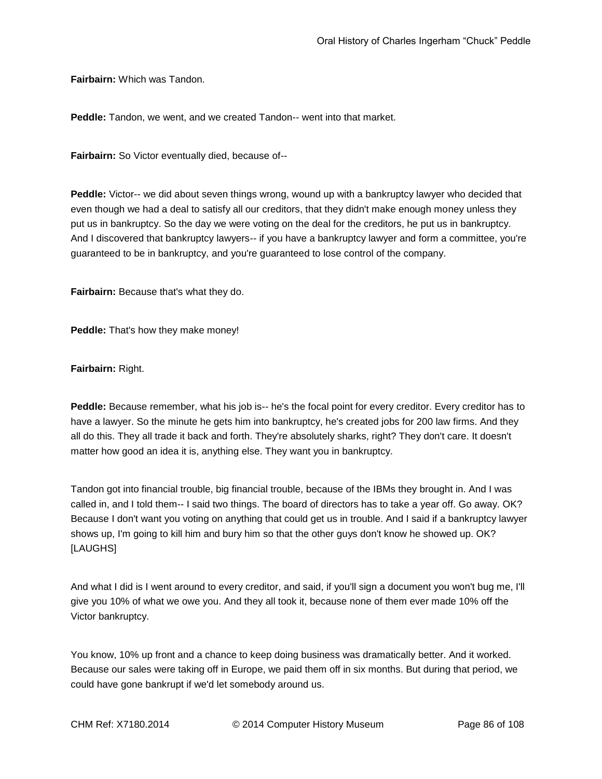**Fairbairn:** Which was Tandon.

**Peddle:** Tandon, we went, and we created Tandon-- went into that market.

**Fairbairn:** So Victor eventually died, because of--

**Peddle:** Victor-- we did about seven things wrong, wound up with a bankruptcy lawyer who decided that even though we had a deal to satisfy all our creditors, that they didn't make enough money unless they put us in bankruptcy. So the day we were voting on the deal for the creditors, he put us in bankruptcy. And I discovered that bankruptcy lawyers-- if you have a bankruptcy lawyer and form a committee, you're guaranteed to be in bankruptcy, and you're guaranteed to lose control of the company.

**Fairbairn:** Because that's what they do.

**Peddle:** That's how they make money!

**Fairbairn:** Right.

**Peddle:** Because remember, what his job is-- he's the focal point for every creditor. Every creditor has to have a lawyer. So the minute he gets him into bankruptcy, he's created jobs for 200 law firms. And they all do this. They all trade it back and forth. They're absolutely sharks, right? They don't care. It doesn't matter how good an idea it is, anything else. They want you in bankruptcy.

Tandon got into financial trouble, big financial trouble, because of the IBMs they brought in. And I was called in, and I told them-- I said two things. The board of directors has to take a year off. Go away. OK? Because I don't want you voting on anything that could get us in trouble. And I said if a bankruptcy lawyer shows up, I'm going to kill him and bury him so that the other guys don't know he showed up. OK? [LAUGHS]

And what I did is I went around to every creditor, and said, if you'll sign a document you won't bug me, I'll give you 10% of what we owe you. And they all took it, because none of them ever made 10% off the Victor bankruptcy.

You know, 10% up front and a chance to keep doing business was dramatically better. And it worked. Because our sales were taking off in Europe, we paid them off in six months. But during that period, we could have gone bankrupt if we'd let somebody around us.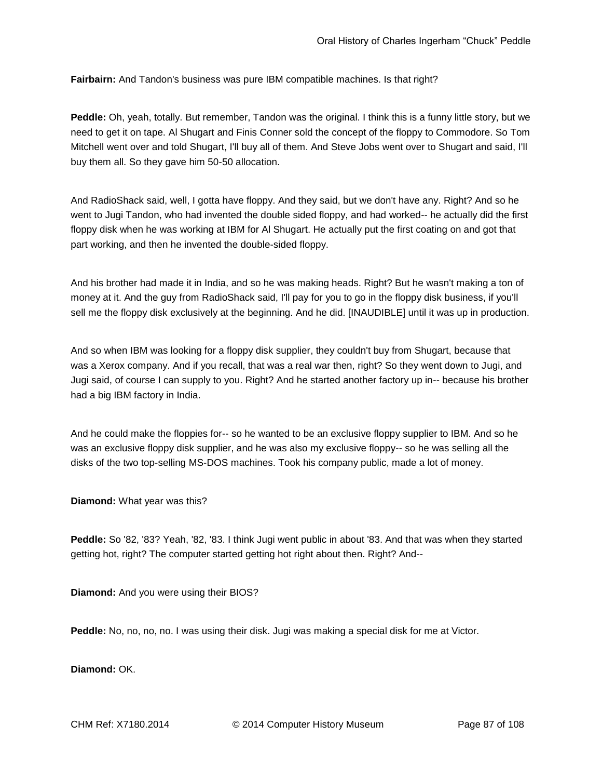**Fairbairn:** And Tandon's business was pure IBM compatible machines. Is that right?

**Peddle:** Oh, yeah, totally. But remember, Tandon was the original. I think this is a funny little story, but we need to get it on tape. Al Shugart and Finis Conner sold the concept of the floppy to Commodore. So Tom Mitchell went over and told Shugart, I'll buy all of them. And Steve Jobs went over to Shugart and said, I'll buy them all. So they gave him 50-50 allocation.

And RadioShack said, well, I gotta have floppy. And they said, but we don't have any. Right? And so he went to Jugi Tandon, who had invented the double sided floppy, and had worked-- he actually did the first floppy disk when he was working at IBM for Al Shugart. He actually put the first coating on and got that part working, and then he invented the double-sided floppy.

And his brother had made it in India, and so he was making heads. Right? But he wasn't making a ton of money at it. And the guy from RadioShack said, I'll pay for you to go in the floppy disk business, if you'll sell me the floppy disk exclusively at the beginning. And he did. [INAUDIBLE] until it was up in production.

And so when IBM was looking for a floppy disk supplier, they couldn't buy from Shugart, because that was a Xerox company. And if you recall, that was a real war then, right? So they went down to Jugi, and Jugi said, of course I can supply to you. Right? And he started another factory up in-- because his brother had a big IBM factory in India.

And he could make the floppies for-- so he wanted to be an exclusive floppy supplier to IBM. And so he was an exclusive floppy disk supplier, and he was also my exclusive floppy-- so he was selling all the disks of the two top-selling MS-DOS machines. Took his company public, made a lot of money.

**Diamond:** What year was this?

**Peddle:** So '82, '83? Yeah, '82, '83. I think Jugi went public in about '83. And that was when they started getting hot, right? The computer started getting hot right about then. Right? And--

**Diamond:** And you were using their BIOS?

**Peddle:** No, no, no, no. I was using their disk. Jugi was making a special disk for me at Victor.

**Diamond:** OK.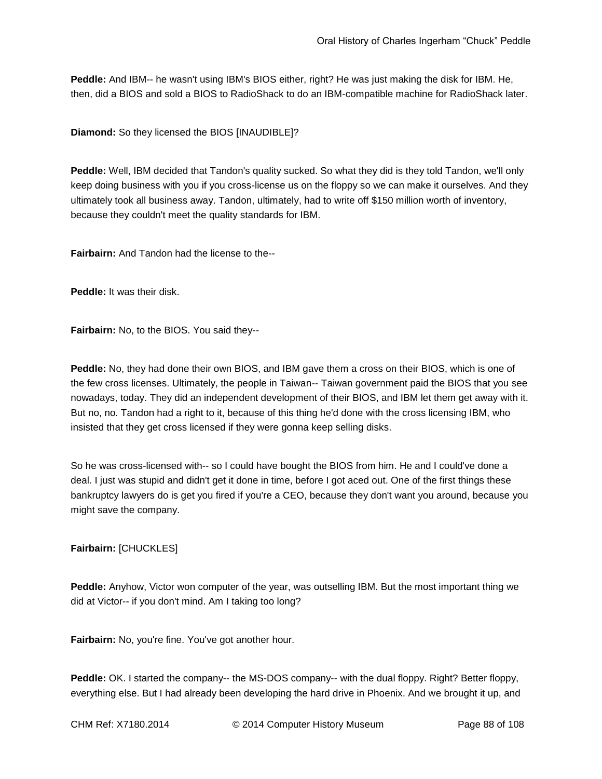**Peddle:** And IBM-- he wasn't using IBM's BIOS either, right? He was just making the disk for IBM. He, then, did a BIOS and sold a BIOS to RadioShack to do an IBM-compatible machine for RadioShack later.

**Diamond:** So they licensed the BIOS [INAUDIBLE]?

**Peddle:** Well, IBM decided that Tandon's quality sucked. So what they did is they told Tandon, we'll only keep doing business with you if you cross-license us on the floppy so we can make it ourselves. And they ultimately took all business away. Tandon, ultimately, had to write off \$150 million worth of inventory, because they couldn't meet the quality standards for IBM.

**Fairbairn:** And Tandon had the license to the--

**Peddle:** It was their disk.

**Fairbairn:** No, to the BIOS. You said they--

**Peddle:** No, they had done their own BIOS, and IBM gave them a cross on their BIOS, which is one of the few cross licenses. Ultimately, the people in Taiwan-- Taiwan government paid the BIOS that you see nowadays, today. They did an independent development of their BIOS, and IBM let them get away with it. But no, no. Tandon had a right to it, because of this thing he'd done with the cross licensing IBM, who insisted that they get cross licensed if they were gonna keep selling disks.

So he was cross-licensed with-- so I could have bought the BIOS from him. He and I could've done a deal. I just was stupid and didn't get it done in time, before I got aced out. One of the first things these bankruptcy lawyers do is get you fired if you're a CEO, because they don't want you around, because you might save the company.

#### **Fairbairn:** [CHUCKLES]

**Peddle:** Anyhow, Victor won computer of the year, was outselling IBM. But the most important thing we did at Victor-- if you don't mind. Am I taking too long?

**Fairbairn:** No, you're fine. You've got another hour.

**Peddle:** OK. I started the company-- the MS-DOS company-- with the dual floppy. Right? Better floppy, everything else. But I had already been developing the hard drive in Phoenix. And we brought it up, and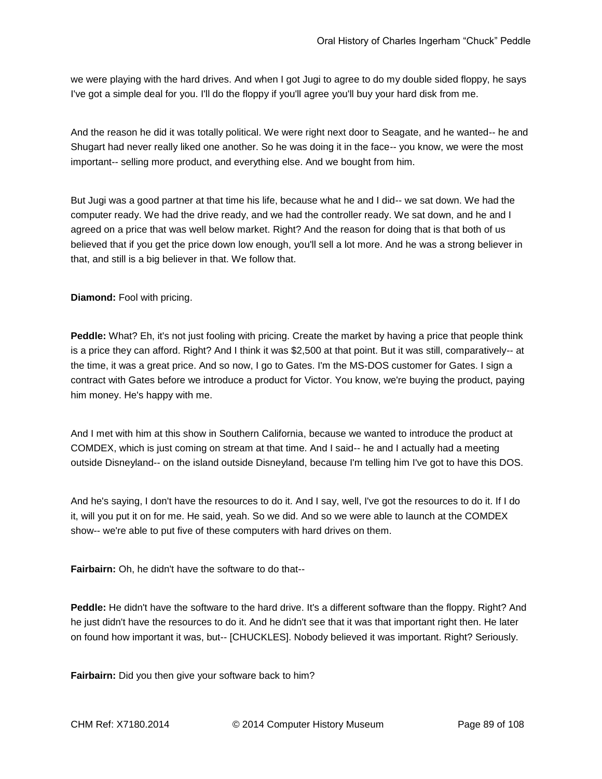we were playing with the hard drives. And when I got Jugi to agree to do my double sided floppy, he says I've got a simple deal for you. I'll do the floppy if you'll agree you'll buy your hard disk from me.

And the reason he did it was totally political. We were right next door to Seagate, and he wanted-- he and Shugart had never really liked one another. So he was doing it in the face-- you know, we were the most important-- selling more product, and everything else. And we bought from him.

But Jugi was a good partner at that time his life, because what he and I did-- we sat down. We had the computer ready. We had the drive ready, and we had the controller ready. We sat down, and he and I agreed on a price that was well below market. Right? And the reason for doing that is that both of us believed that if you get the price down low enough, you'll sell a lot more. And he was a strong believer in that, and still is a big believer in that. We follow that.

**Diamond:** Fool with pricing.

**Peddle:** What? Eh, it's not just fooling with pricing. Create the market by having a price that people think is a price they can afford. Right? And I think it was \$2,500 at that point. But it was still, comparatively-- at the time, it was a great price. And so now, I go to Gates. I'm the MS-DOS customer for Gates. I sign a contract with Gates before we introduce a product for Victor. You know, we're buying the product, paying him money. He's happy with me.

And I met with him at this show in Southern California, because we wanted to introduce the product at COMDEX, which is just coming on stream at that time. And I said-- he and I actually had a meeting outside Disneyland-- on the island outside Disneyland, because I'm telling him I've got to have this DOS.

And he's saying, I don't have the resources to do it. And I say, well, I've got the resources to do it. If I do it, will you put it on for me. He said, yeah. So we did. And so we were able to launch at the COMDEX show-- we're able to put five of these computers with hard drives on them.

**Fairbairn:** Oh, he didn't have the software to do that--

**Peddle:** He didn't have the software to the hard drive. It's a different software than the floppy. Right? And he just didn't have the resources to do it. And he didn't see that it was that important right then. He later on found how important it was, but-- [CHUCKLES]. Nobody believed it was important. Right? Seriously.

**Fairbairn:** Did you then give your software back to him?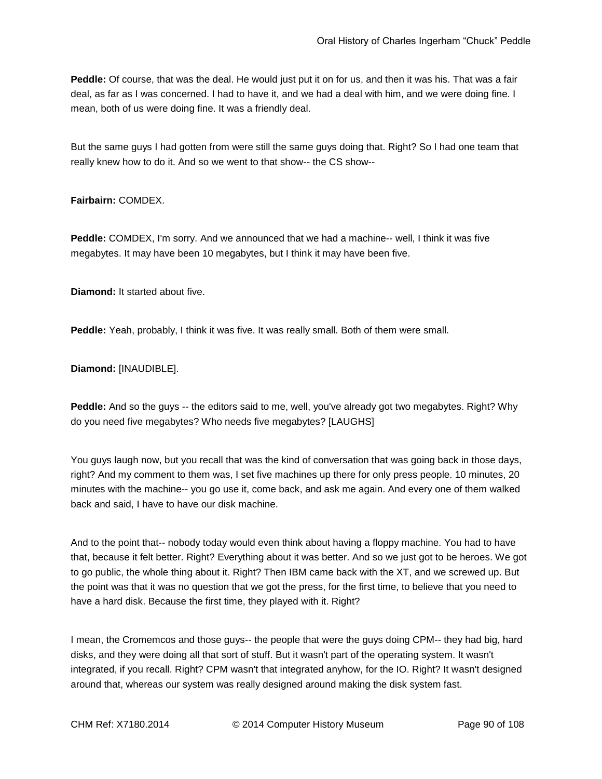**Peddle:** Of course, that was the deal. He would just put it on for us, and then it was his. That was a fair deal, as far as I was concerned. I had to have it, and we had a deal with him, and we were doing fine. I mean, both of us were doing fine. It was a friendly deal.

But the same guys I had gotten from were still the same guys doing that. Right? So I had one team that really knew how to do it. And so we went to that show-- the CS show--

#### **Fairbairn:** COMDEX.

**Peddle:** COMDEX, I'm sorry. And we announced that we had a machine-- well, I think it was five megabytes. It may have been 10 megabytes, but I think it may have been five.

**Diamond:** It started about five.

**Peddle:** Yeah, probably, I think it was five. It was really small. Both of them were small.

**Diamond:** [INAUDIBLE].

**Peddle:** And so the guys -- the editors said to me, well, you've already got two megabytes. Right? Why do you need five megabytes? Who needs five megabytes? [LAUGHS]

You guys laugh now, but you recall that was the kind of conversation that was going back in those days, right? And my comment to them was, I set five machines up there for only press people. 10 minutes, 20 minutes with the machine-- you go use it, come back, and ask me again. And every one of them walked back and said, I have to have our disk machine.

And to the point that-- nobody today would even think about having a floppy machine. You had to have that, because it felt better. Right? Everything about it was better. And so we just got to be heroes. We got to go public, the whole thing about it. Right? Then IBM came back with the XT, and we screwed up. But the point was that it was no question that we got the press, for the first time, to believe that you need to have a hard disk. Because the first time, they played with it. Right?

I mean, the Cromemcos and those guys-- the people that were the guys doing CPM-- they had big, hard disks, and they were doing all that sort of stuff. But it wasn't part of the operating system. It wasn't integrated, if you recall. Right? CPM wasn't that integrated anyhow, for the IO. Right? It wasn't designed around that, whereas our system was really designed around making the disk system fast.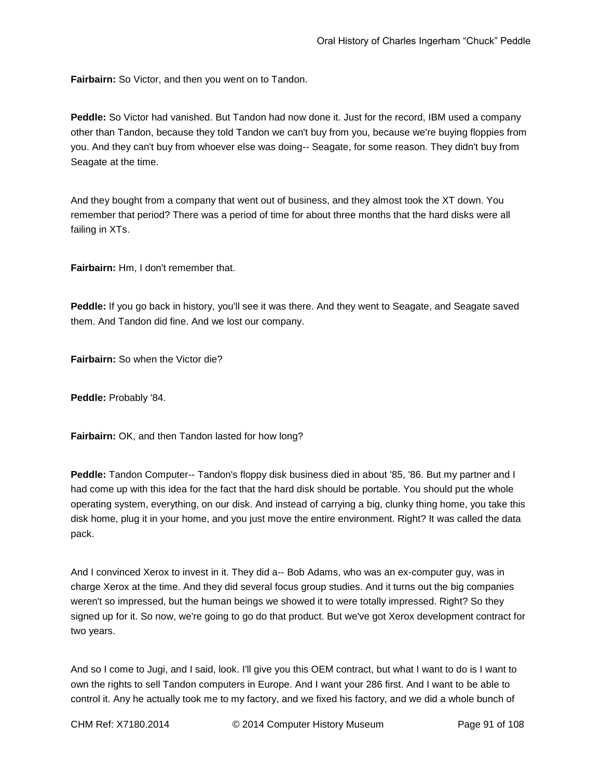**Fairbairn:** So Victor, and then you went on to Tandon.

**Peddle:** So Victor had vanished. But Tandon had now done it. Just for the record, IBM used a company other than Tandon, because they told Tandon we can't buy from you, because we're buying floppies from you. And they can't buy from whoever else was doing-- Seagate, for some reason. They didn't buy from Seagate at the time.

And they bought from a company that went out of business, and they almost took the XT down. You remember that period? There was a period of time for about three months that the hard disks were all failing in XTs.

**Fairbairn:** Hm, I don't remember that.

**Peddle:** If you go back in history, you'll see it was there. And they went to Seagate, and Seagate saved them. And Tandon did fine. And we lost our company.

**Fairbairn:** So when the Victor die?

**Peddle:** Probably '84.

**Fairbairn:** OK, and then Tandon lasted for how long?

**Peddle:** Tandon Computer-- Tandon's floppy disk business died in about '85, '86. But my partner and I had come up with this idea for the fact that the hard disk should be portable. You should put the whole operating system, everything, on our disk. And instead of carrying a big, clunky thing home, you take this disk home, plug it in your home, and you just move the entire environment. Right? It was called the data pack.

And I convinced Xerox to invest in it. They did a-- Bob Adams, who was an ex-computer guy, was in charge Xerox at the time. And they did several focus group studies. And it turns out the big companies weren't so impressed, but the human beings we showed it to were totally impressed. Right? So they signed up for it. So now, we're going to go do that product. But we've got Xerox development contract for two years.

And so I come to Jugi, and I said, look. I'll give you this OEM contract, but what I want to do is I want to own the rights to sell Tandon computers in Europe. And I want your 286 first. And I want to be able to control it. Any he actually took me to my factory, and we fixed his factory, and we did a whole bunch of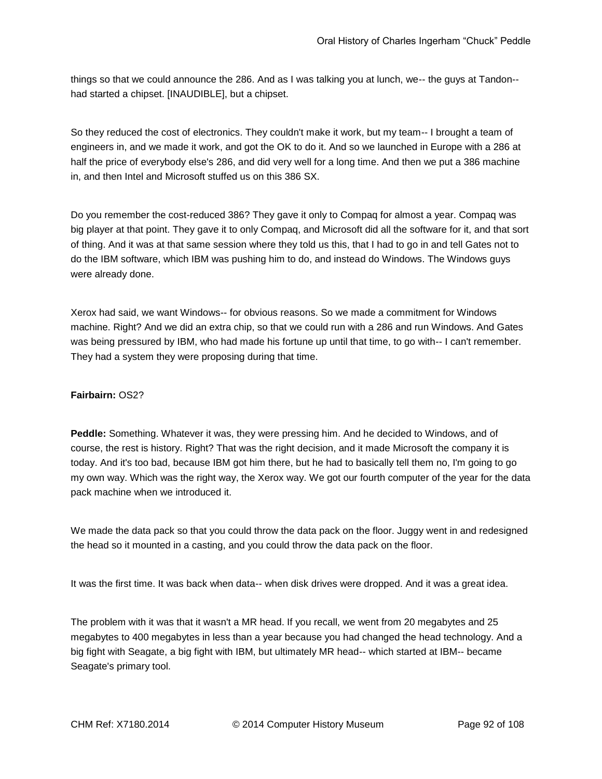things so that we could announce the 286. And as I was talking you at lunch, we-- the guys at Tandon- had started a chipset. [INAUDIBLE], but a chipset.

So they reduced the cost of electronics. They couldn't make it work, but my team-- I brought a team of engineers in, and we made it work, and got the OK to do it. And so we launched in Europe with a 286 at half the price of everybody else's 286, and did very well for a long time. And then we put a 386 machine in, and then Intel and Microsoft stuffed us on this 386 SX.

Do you remember the cost-reduced 386? They gave it only to Compaq for almost a year. Compaq was big player at that point. They gave it to only Compaq, and Microsoft did all the software for it, and that sort of thing. And it was at that same session where they told us this, that I had to go in and tell Gates not to do the IBM software, which IBM was pushing him to do, and instead do Windows. The Windows guys were already done.

Xerox had said, we want Windows-- for obvious reasons. So we made a commitment for Windows machine. Right? And we did an extra chip, so that we could run with a 286 and run Windows. And Gates was being pressured by IBM, who had made his fortune up until that time, to go with-- I can't remember. They had a system they were proposing during that time.

#### **Fairbairn:** OS2?

**Peddle:** Something. Whatever it was, they were pressing him. And he decided to Windows, and of course, the rest is history. Right? That was the right decision, and it made Microsoft the company it is today. And it's too bad, because IBM got him there, but he had to basically tell them no, I'm going to go my own way. Which was the right way, the Xerox way. We got our fourth computer of the year for the data pack machine when we introduced it.

We made the data pack so that you could throw the data pack on the floor. Juggy went in and redesigned the head so it mounted in a casting, and you could throw the data pack on the floor.

It was the first time. It was back when data-- when disk drives were dropped. And it was a great idea.

The problem with it was that it wasn't a MR head. If you recall, we went from 20 megabytes and 25 megabytes to 400 megabytes in less than a year because you had changed the head technology. And a big fight with Seagate, a big fight with IBM, but ultimately MR head-- which started at IBM-- became Seagate's primary tool.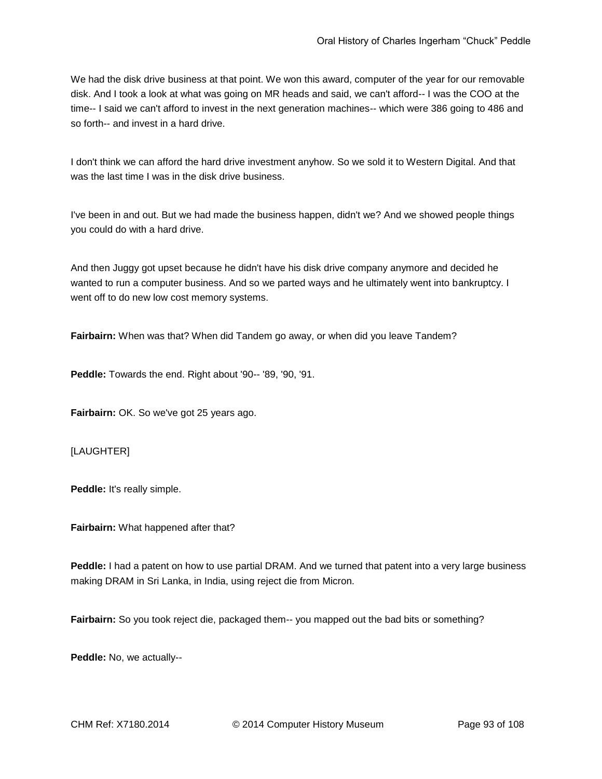We had the disk drive business at that point. We won this award, computer of the year for our removable disk. And I took a look at what was going on MR heads and said, we can't afford-- I was the COO at the time-- I said we can't afford to invest in the next generation machines-- which were 386 going to 486 and so forth-- and invest in a hard drive.

I don't think we can afford the hard drive investment anyhow. So we sold it to Western Digital. And that was the last time I was in the disk drive business.

I've been in and out. But we had made the business happen, didn't we? And we showed people things you could do with a hard drive.

And then Juggy got upset because he didn't have his disk drive company anymore and decided he wanted to run a computer business. And so we parted ways and he ultimately went into bankruptcy. I went off to do new low cost memory systems.

**Fairbairn:** When was that? When did Tandem go away, or when did you leave Tandem?

**Peddle:** Towards the end. Right about '90-- '89, '90, '91.

**Fairbairn:** OK. So we've got 25 years ago.

[LAUGHTER]

**Peddle:** It's really simple.

**Fairbairn:** What happened after that?

**Peddle:** I had a patent on how to use partial DRAM. And we turned that patent into a very large business making DRAM in Sri Lanka, in India, using reject die from Micron.

**Fairbairn:** So you took reject die, packaged them-- you mapped out the bad bits or something?

**Peddle:** No, we actually--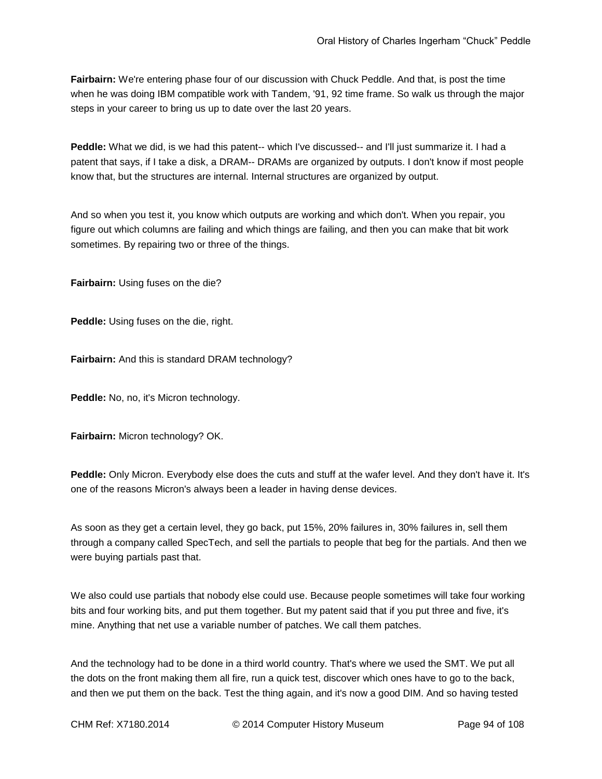**Fairbairn:** We're entering phase four of our discussion with Chuck Peddle. And that, is post the time when he was doing IBM compatible work with Tandem, '91, 92 time frame. So walk us through the major steps in your career to bring us up to date over the last 20 years.

**Peddle:** What we did, is we had this patent-- which I've discussed-- and I'll just summarize it. I had a patent that says, if I take a disk, a DRAM-- DRAMs are organized by outputs. I don't know if most people know that, but the structures are internal. Internal structures are organized by output.

And so when you test it, you know which outputs are working and which don't. When you repair, you figure out which columns are failing and which things are failing, and then you can make that bit work sometimes. By repairing two or three of the things.

**Fairbairn:** Using fuses on the die?

**Peddle:** Using fuses on the die, right.

**Fairbairn:** And this is standard DRAM technology?

**Peddle:** No, no, it's Micron technology.

**Fairbairn:** Micron technology? OK.

**Peddle:** Only Micron. Everybody else does the cuts and stuff at the wafer level. And they don't have it. It's one of the reasons Micron's always been a leader in having dense devices.

As soon as they get a certain level, they go back, put 15%, 20% failures in, 30% failures in, sell them through a company called SpecTech, and sell the partials to people that beg for the partials. And then we were buying partials past that.

We also could use partials that nobody else could use. Because people sometimes will take four working bits and four working bits, and put them together. But my patent said that if you put three and five, it's mine. Anything that net use a variable number of patches. We call them patches.

And the technology had to be done in a third world country. That's where we used the SMT. We put all the dots on the front making them all fire, run a quick test, discover which ones have to go to the back, and then we put them on the back. Test the thing again, and it's now a good DIM. And so having tested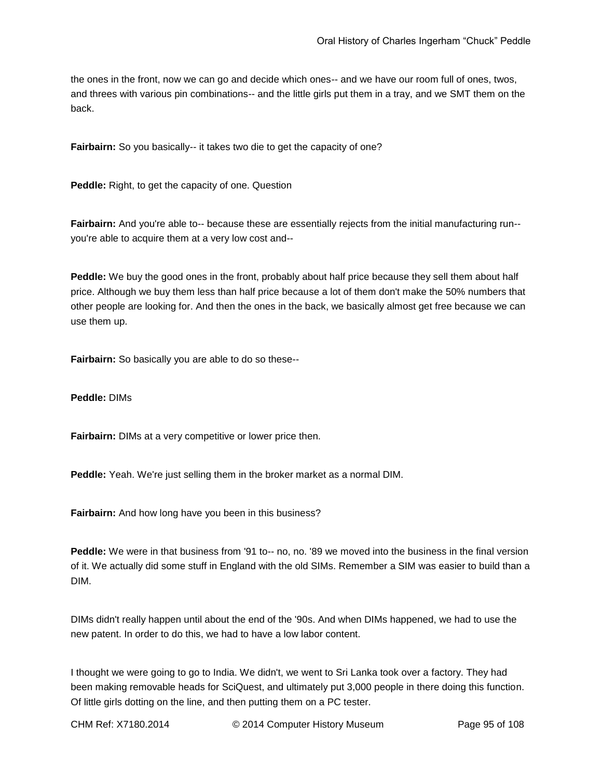the ones in the front, now we can go and decide which ones-- and we have our room full of ones, twos, and threes with various pin combinations-- and the little girls put them in a tray, and we SMT them on the back.

**Fairbairn:** So you basically-- it takes two die to get the capacity of one?

**Peddle:** Right, to get the capacity of one. Question

**Fairbairn:** And you're able to-- because these are essentially rejects from the initial manufacturing run-you're able to acquire them at a very low cost and--

**Peddle:** We buy the good ones in the front, probably about half price because they sell them about half price. Although we buy them less than half price because a lot of them don't make the 50% numbers that other people are looking for. And then the ones in the back, we basically almost get free because we can use them up.

**Fairbairn:** So basically you are able to do so these--

**Peddle:** DIMs

**Fairbairn:** DIMs at a very competitive or lower price then.

**Peddle:** Yeah. We're just selling them in the broker market as a normal DIM.

**Fairbairn:** And how long have you been in this business?

Peddle: We were in that business from '91 to-- no, no. '89 we moved into the business in the final version of it. We actually did some stuff in England with the old SIMs. Remember a SIM was easier to build than a DIM.

DIMs didn't really happen until about the end of the '90s. And when DIMs happened, we had to use the new patent. In order to do this, we had to have a low labor content.

I thought we were going to go to India. We didn't, we went to Sri Lanka took over a factory. They had been making removable heads for SciQuest, and ultimately put 3,000 people in there doing this function. Of little girls dotting on the line, and then putting them on a PC tester.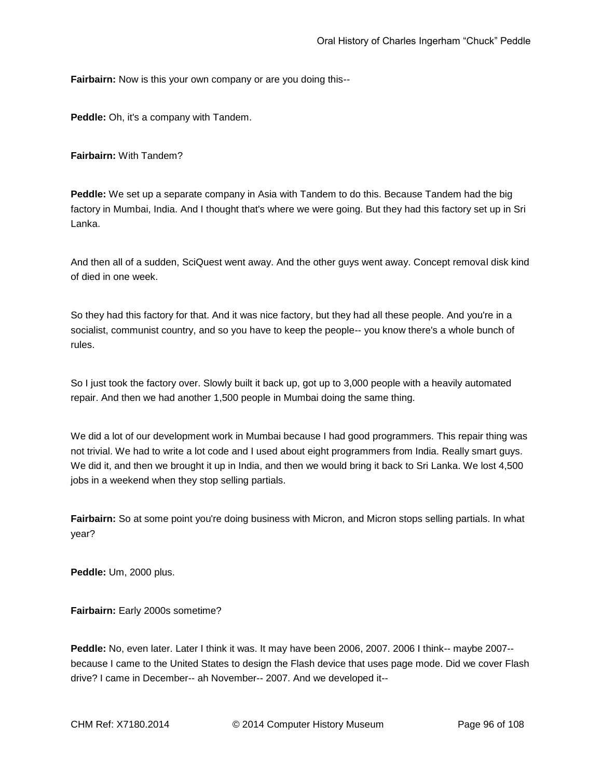**Fairbairn:** Now is this your own company or are you doing this--

**Peddle:** Oh, it's a company with Tandem.

**Fairbairn:** With Tandem?

**Peddle:** We set up a separate company in Asia with Tandem to do this. Because Tandem had the big factory in Mumbai, India. And I thought that's where we were going. But they had this factory set up in Sri Lanka.

And then all of a sudden, SciQuest went away. And the other guys went away. Concept removal disk kind of died in one week.

So they had this factory for that. And it was nice factory, but they had all these people. And you're in a socialist, communist country, and so you have to keep the people-- you know there's a whole bunch of rules.

So I just took the factory over. Slowly built it back up, got up to 3,000 people with a heavily automated repair. And then we had another 1,500 people in Mumbai doing the same thing.

We did a lot of our development work in Mumbai because I had good programmers. This repair thing was not trivial. We had to write a lot code and I used about eight programmers from India. Really smart guys. We did it, and then we brought it up in India, and then we would bring it back to Sri Lanka. We lost 4,500 jobs in a weekend when they stop selling partials.

**Fairbairn:** So at some point you're doing business with Micron, and Micron stops selling partials. In what year?

**Peddle:** Um, 2000 plus.

**Fairbairn:** Early 2000s sometime?

**Peddle:** No, even later. Later I think it was. It may have been 2006, 2007. 2006 I think-- maybe 2007- because I came to the United States to design the Flash device that uses page mode. Did we cover Flash drive? I came in December-- ah November-- 2007. And we developed it--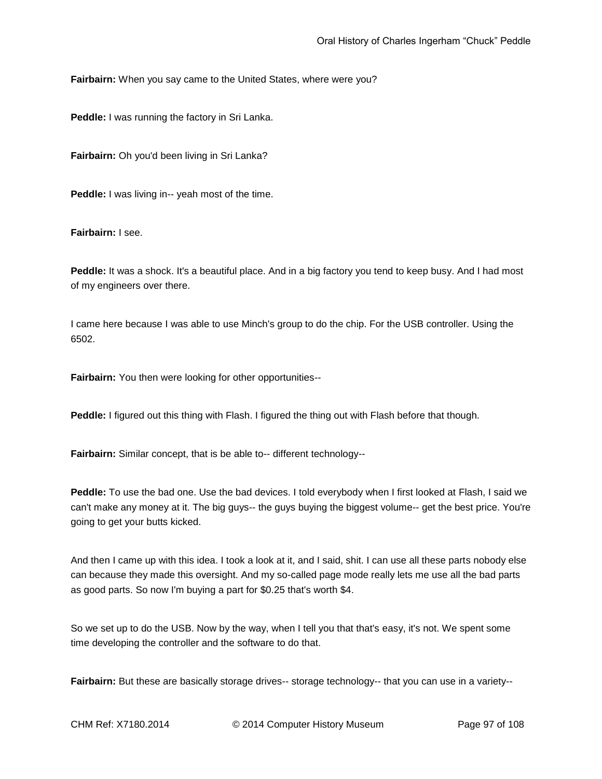**Fairbairn:** When you say came to the United States, where were you?

**Peddle:** I was running the factory in Sri Lanka.

**Fairbairn:** Oh you'd been living in Sri Lanka?

**Peddle:** I was living in-- yeah most of the time.

**Fairbairn:** I see.

**Peddle:** It was a shock. It's a beautiful place. And in a big factory you tend to keep busy. And I had most of my engineers over there.

I came here because I was able to use Minch's group to do the chip. For the USB controller. Using the 6502.

**Fairbairn:** You then were looking for other opportunities--

**Peddle:** I figured out this thing with Flash. I figured the thing out with Flash before that though.

**Fairbairn:** Similar concept, that is be able to-- different technology--

**Peddle:** To use the bad one. Use the bad devices. I told everybody when I first looked at Flash, I said we can't make any money at it. The big guys-- the guys buying the biggest volume-- get the best price. You're going to get your butts kicked.

And then I came up with this idea. I took a look at it, and I said, shit. I can use all these parts nobody else can because they made this oversight. And my so-called page mode really lets me use all the bad parts as good parts. So now I'm buying a part for \$0.25 that's worth \$4.

So we set up to do the USB. Now by the way, when I tell you that that's easy, it's not. We spent some time developing the controller and the software to do that.

Fairbairn: But these are basically storage drives-- storage technology-- that you can use in a variety--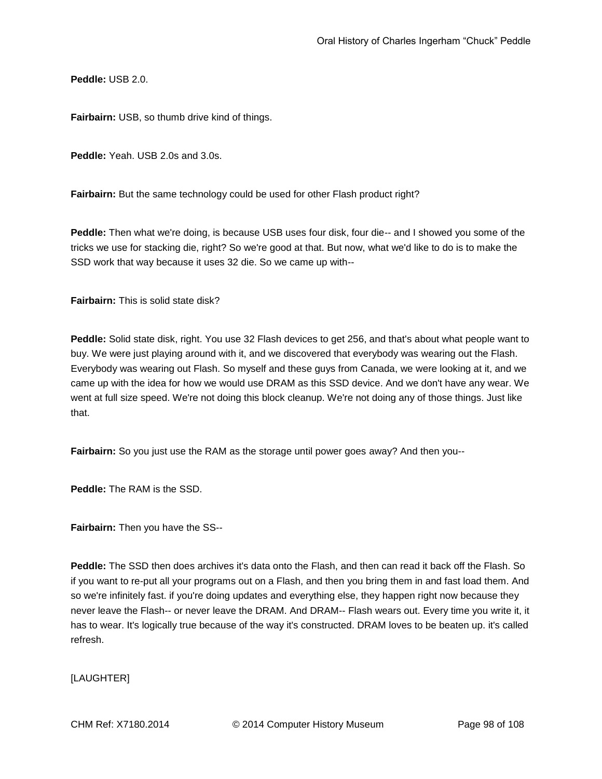**Peddle:** USB 2.0.

**Fairbairn:** USB, so thumb drive kind of things.

**Peddle:** Yeah. USB 2.0s and 3.0s.

**Fairbairn:** But the same technology could be used for other Flash product right?

**Peddle:** Then what we're doing, is because USB uses four disk, four die-- and I showed you some of the tricks we use for stacking die, right? So we're good at that. But now, what we'd like to do is to make the SSD work that way because it uses 32 die. So we came up with--

**Fairbairn:** This is solid state disk?

**Peddle:** Solid state disk, right. You use 32 Flash devices to get 256, and that's about what people want to buy. We were just playing around with it, and we discovered that everybody was wearing out the Flash. Everybody was wearing out Flash. So myself and these guys from Canada, we were looking at it, and we came up with the idea for how we would use DRAM as this SSD device. And we don't have any wear. We went at full size speed. We're not doing this block cleanup. We're not doing any of those things. Just like that.

**Fairbairn:** So you just use the RAM as the storage until power goes away? And then you--

**Peddle:** The RAM is the SSD.

**Fairbairn:** Then you have the SS--

**Peddle:** The SSD then does archives it's data onto the Flash, and then can read it back off the Flash. So if you want to re-put all your programs out on a Flash, and then you bring them in and fast load them. And so we're infinitely fast. if you're doing updates and everything else, they happen right now because they never leave the Flash-- or never leave the DRAM. And DRAM-- Flash wears out. Every time you write it, it has to wear. It's logically true because of the way it's constructed. DRAM loves to be beaten up. it's called refresh.

[LAUGHTER]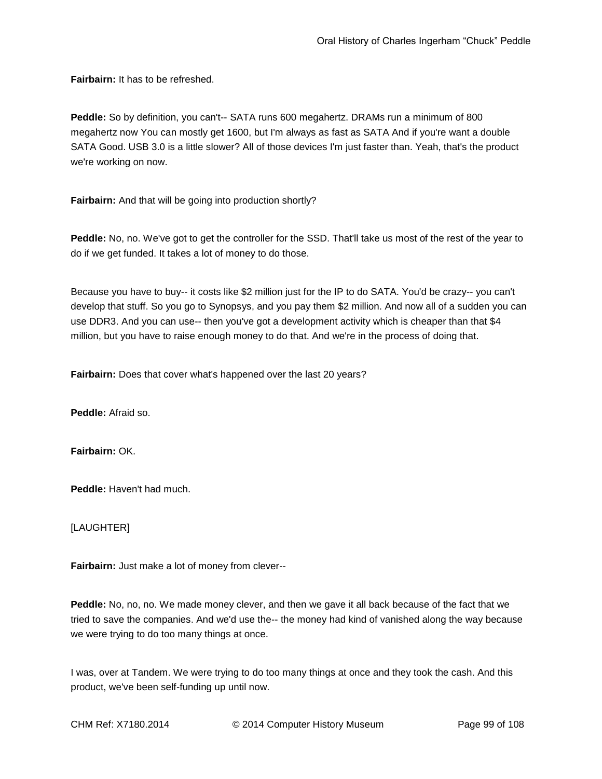**Fairbairn:** It has to be refreshed.

**Peddle:** So by definition, you can't-- SATA runs 600 megahertz. DRAMs run a minimum of 800 megahertz now You can mostly get 1600, but I'm always as fast as SATA And if you're want a double SATA Good. USB 3.0 is a little slower? All of those devices I'm just faster than. Yeah, that's the product we're working on now.

**Fairbairn:** And that will be going into production shortly?

**Peddle:** No, no. We've got to get the controller for the SSD. That'll take us most of the rest of the year to do if we get funded. It takes a lot of money to do those.

Because you have to buy-- it costs like \$2 million just for the IP to do SATA. You'd be crazy-- you can't develop that stuff. So you go to Synopsys, and you pay them \$2 million. And now all of a sudden you can use DDR3. And you can use-- then you've got a development activity which is cheaper than that \$4 million, but you have to raise enough money to do that. And we're in the process of doing that.

**Fairbairn:** Does that cover what's happened over the last 20 years?

**Peddle:** Afraid so.

**Fairbairn:** OK.

**Peddle:** Haven't had much.

[LAUGHTER]

**Fairbairn:** Just make a lot of money from clever--

**Peddle:** No, no, no. We made money clever, and then we gave it all back because of the fact that we tried to save the companies. And we'd use the-- the money had kind of vanished along the way because we were trying to do too many things at once.

I was, over at Tandem. We were trying to do too many things at once and they took the cash. And this product, we've been self-funding up until now.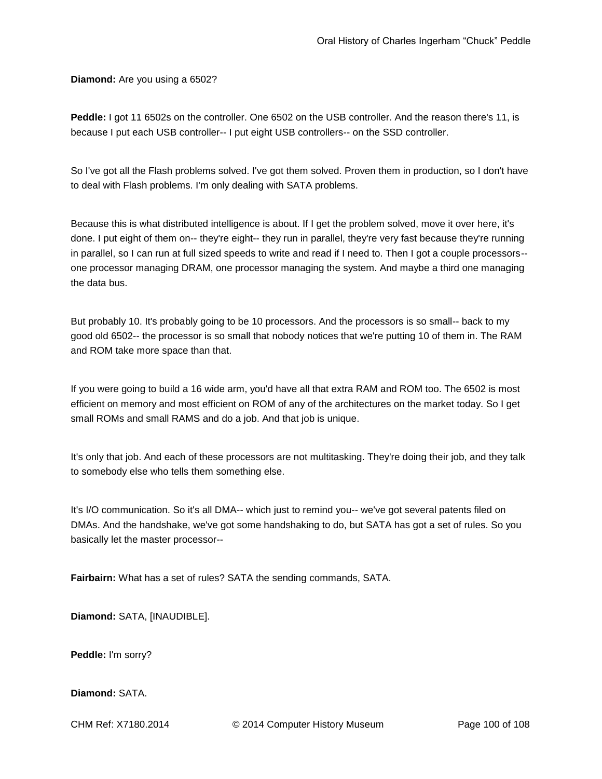**Diamond:** Are you using a 6502?

**Peddle:** I got 11 6502s on the controller. One 6502 on the USB controller. And the reason there's 11, is because I put each USB controller-- I put eight USB controllers-- on the SSD controller.

So I've got all the Flash problems solved. I've got them solved. Proven them in production, so I don't have to deal with Flash problems. I'm only dealing with SATA problems.

Because this is what distributed intelligence is about. If I get the problem solved, move it over here, it's done. I put eight of them on-- they're eight-- they run in parallel, they're very fast because they're running in parallel, so I can run at full sized speeds to write and read if I need to. Then I got a couple processors- one processor managing DRAM, one processor managing the system. And maybe a third one managing the data bus.

But probably 10. It's probably going to be 10 processors. And the processors is so small-- back to my good old 6502-- the processor is so small that nobody notices that we're putting 10 of them in. The RAM and ROM take more space than that.

If you were going to build a 16 wide arm, you'd have all that extra RAM and ROM too. The 6502 is most efficient on memory and most efficient on ROM of any of the architectures on the market today. So I get small ROMs and small RAMS and do a job. And that job is unique.

It's only that job. And each of these processors are not multitasking. They're doing their job, and they talk to somebody else who tells them something else.

It's I/O communication. So it's all DMA-- which just to remind you-- we've got several patents filed on DMAs. And the handshake, we've got some handshaking to do, but SATA has got a set of rules. So you basically let the master processor--

**Fairbairn:** What has a set of rules? SATA the sending commands, SATA.

**Diamond:** SATA, [INAUDIBLE].

**Peddle:** I'm sorry?

**Diamond:** SATA.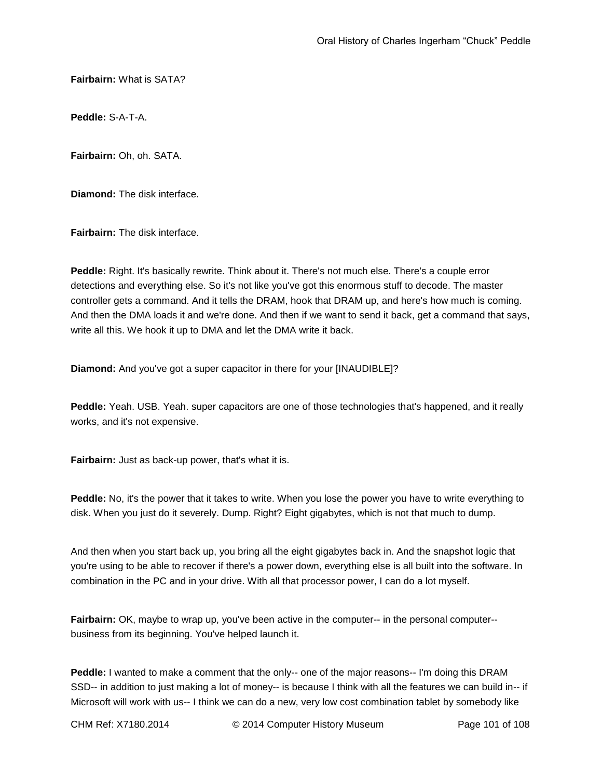**Fairbairn:** What is SATA?

**Peddle:** S-A-T-A.

**Fairbairn:** Oh, oh. SATA.

**Diamond:** The disk interface.

**Fairbairn:** The disk interface.

**Peddle:** Right. It's basically rewrite. Think about it. There's not much else. There's a couple error detections and everything else. So it's not like you've got this enormous stuff to decode. The master controller gets a command. And it tells the DRAM, hook that DRAM up, and here's how much is coming. And then the DMA loads it and we're done. And then if we want to send it back, get a command that says, write all this. We hook it up to DMA and let the DMA write it back.

**Diamond:** And you've got a super capacitor in there for your [INAUDIBLE]?

**Peddle:** Yeah. USB. Yeah. super capacitors are one of those technologies that's happened, and it really works, and it's not expensive.

**Fairbairn:** Just as back-up power, that's what it is.

**Peddle:** No, it's the power that it takes to write. When you lose the power you have to write everything to disk. When you just do it severely. Dump. Right? Eight gigabytes, which is not that much to dump.

And then when you start back up, you bring all the eight gigabytes back in. And the snapshot logic that you're using to be able to recover if there's a power down, everything else is all built into the software. In combination in the PC and in your drive. With all that processor power, I can do a lot myself.

**Fairbairn:** OK, maybe to wrap up, you've been active in the computer-- in the personal computer- business from its beginning. You've helped launch it.

**Peddle:** I wanted to make a comment that the only-- one of the major reasons-- I'm doing this DRAM SSD-- in addition to just making a lot of money-- is because I think with all the features we can build in-- if Microsoft will work with us-- I think we can do a new, very low cost combination tablet by somebody like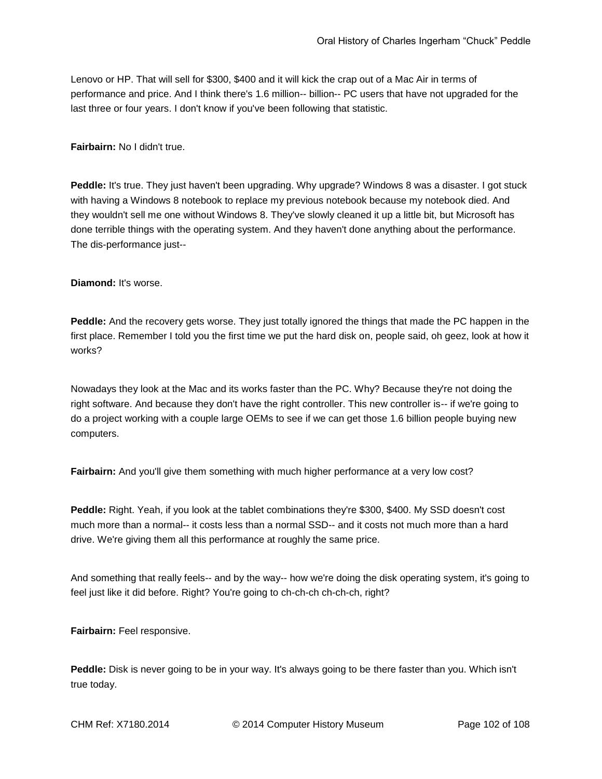Lenovo or HP. That will sell for \$300, \$400 and it will kick the crap out of a Mac Air in terms of performance and price. And I think there's 1.6 million-- billion-- PC users that have not upgraded for the last three or four years. I don't know if you've been following that statistic.

**Fairbairn:** No I didn't true.

**Peddle:** It's true. They just haven't been upgrading. Why upgrade? Windows 8 was a disaster. I got stuck with having a Windows 8 notebook to replace my previous notebook because my notebook died. And they wouldn't sell me one without Windows 8. They've slowly cleaned it up a little bit, but Microsoft has done terrible things with the operating system. And they haven't done anything about the performance. The dis-performance just--

**Diamond:** It's worse.

**Peddle:** And the recovery gets worse. They just totally ignored the things that made the PC happen in the first place. Remember I told you the first time we put the hard disk on, people said, oh geez, look at how it works?

Nowadays they look at the Mac and its works faster than the PC. Why? Because they're not doing the right software. And because they don't have the right controller. This new controller is-- if we're going to do a project working with a couple large OEMs to see if we can get those 1.6 billion people buying new computers.

**Fairbairn:** And you'll give them something with much higher performance at a very low cost?

**Peddle:** Right. Yeah, if you look at the tablet combinations they're \$300, \$400. My SSD doesn't cost much more than a normal-- it costs less than a normal SSD-- and it costs not much more than a hard drive. We're giving them all this performance at roughly the same price.

And something that really feels-- and by the way-- how we're doing the disk operating system, it's going to feel just like it did before. Right? You're going to ch-ch-ch ch-ch-ch, right?

**Fairbairn:** Feel responsive.

**Peddle:** Disk is never going to be in your way. It's always going to be there faster than you. Which isn't true today.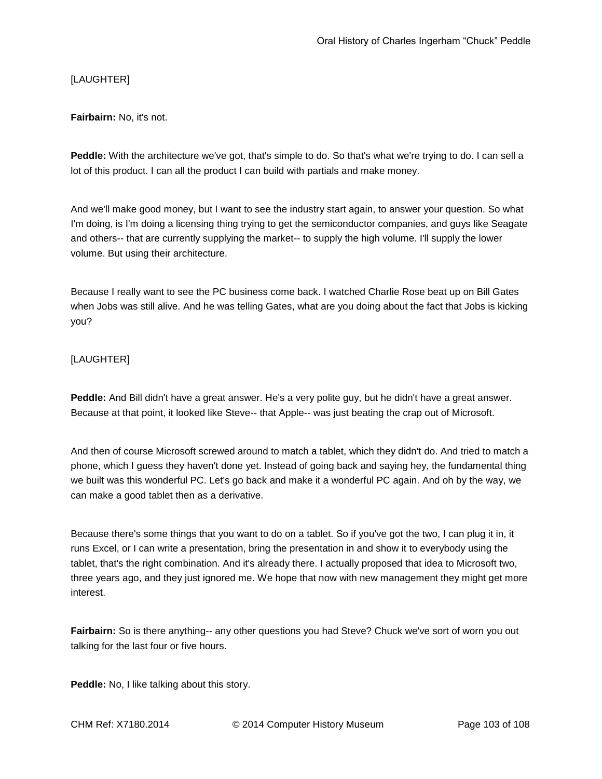# [LAUGHTER]

## **Fairbairn:** No, it's not.

**Peddle:** With the architecture we've got, that's simple to do. So that's what we're trying to do. I can sell a lot of this product. I can all the product I can build with partials and make money.

And we'll make good money, but I want to see the industry start again, to answer your question. So what I'm doing, is I'm doing a licensing thing trying to get the semiconductor companies, and guys like Seagate and others-- that are currently supplying the market-- to supply the high volume. I'll supply the lower volume. But using their architecture.

Because I really want to see the PC business come back. I watched Charlie Rose beat up on Bill Gates when Jobs was still alive. And he was telling Gates, what are you doing about the fact that Jobs is kicking you?

## [LAUGHTER]

**Peddle:** And Bill didn't have a great answer. He's a very polite guy, but he didn't have a great answer. Because at that point, it looked like Steve-- that Apple-- was just beating the crap out of Microsoft.

And then of course Microsoft screwed around to match a tablet, which they didn't do. And tried to match a phone, which I guess they haven't done yet. Instead of going back and saying hey, the fundamental thing we built was this wonderful PC. Let's go back and make it a wonderful PC again. And oh by the way, we can make a good tablet then as a derivative.

Because there's some things that you want to do on a tablet. So if you've got the two, I can plug it in, it runs Excel, or I can write a presentation, bring the presentation in and show it to everybody using the tablet, that's the right combination. And it's already there. I actually proposed that idea to Microsoft two, three years ago, and they just ignored me. We hope that now with new management they might get more interest.

**Fairbairn:** So is there anything-- any other questions you had Steve? Chuck we've sort of worn you out talking for the last four or five hours.

**Peddle:** No, I like talking about this story.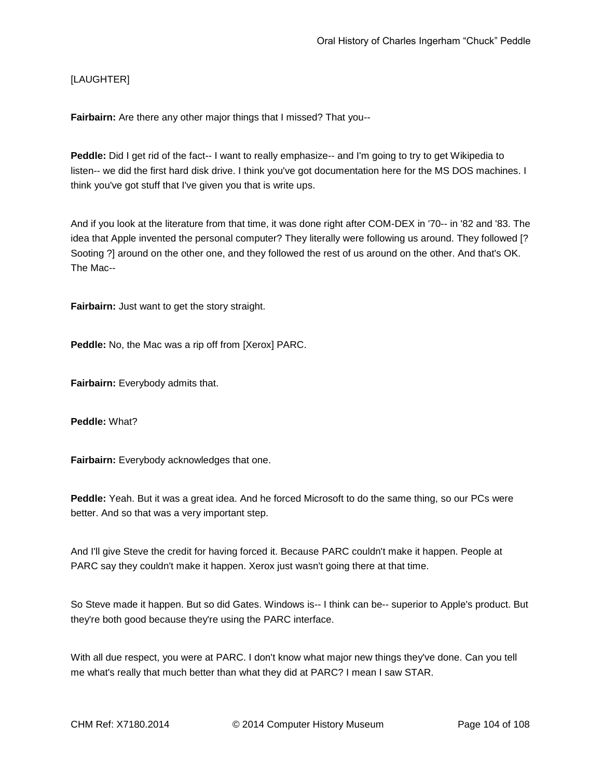# [LAUGHTER]

**Fairbairn:** Are there any other major things that I missed? That you--

**Peddle:** Did I get rid of the fact-- I want to really emphasize-- and I'm going to try to get Wikipedia to listen-- we did the first hard disk drive. I think you've got documentation here for the MS DOS machines. I think you've got stuff that I've given you that is write ups.

And if you look at the literature from that time, it was done right after COM-DEX in '70-- in '82 and '83. The idea that Apple invented the personal computer? They literally were following us around. They followed [? Sooting ?] around on the other one, and they followed the rest of us around on the other. And that's OK. The Mac--

**Fairbairn:** Just want to get the story straight.

**Peddle:** No, the Mac was a rip off from [Xerox] PARC.

**Fairbairn:** Everybody admits that.

**Peddle:** What?

**Fairbairn:** Everybody acknowledges that one.

**Peddle:** Yeah. But it was a great idea. And he forced Microsoft to do the same thing, so our PCs were better. And so that was a very important step.

And I'll give Steve the credit for having forced it. Because PARC couldn't make it happen. People at PARC say they couldn't make it happen. Xerox just wasn't going there at that time.

So Steve made it happen. But so did Gates. Windows is-- I think can be-- superior to Apple's product. But they're both good because they're using the PARC interface.

With all due respect, you were at PARC. I don't know what major new things they've done. Can you tell me what's really that much better than what they did at PARC? I mean I saw STAR.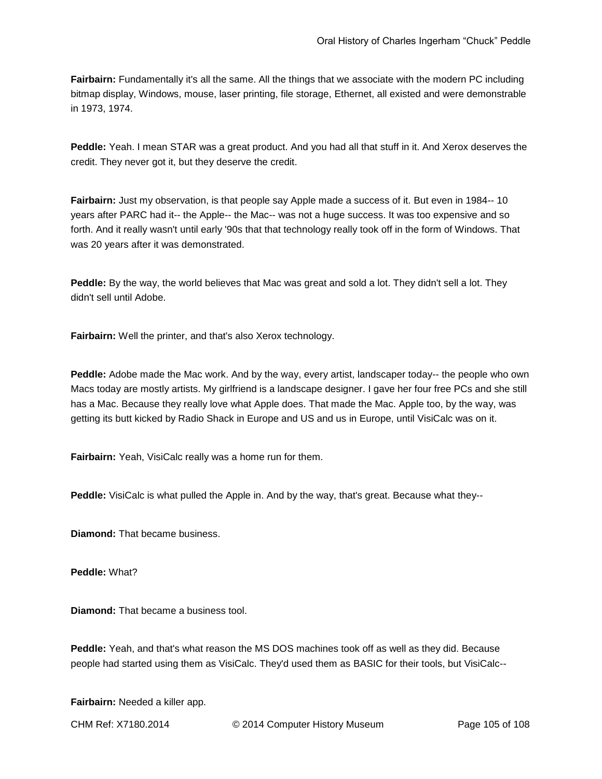**Fairbairn:** Fundamentally it's all the same. All the things that we associate with the modern PC including bitmap display, Windows, mouse, laser printing, file storage, Ethernet, all existed and were demonstrable in 1973, 1974.

**Peddle:** Yeah. I mean STAR was a great product. And you had all that stuff in it. And Xerox deserves the credit. They never got it, but they deserve the credit.

**Fairbairn:** Just my observation, is that people say Apple made a success of it. But even in 1984-- 10 years after PARC had it-- the Apple-- the Mac-- was not a huge success. It was too expensive and so forth. And it really wasn't until early '90s that that technology really took off in the form of Windows. That was 20 years after it was demonstrated.

**Peddle:** By the way, the world believes that Mac was great and sold a lot. They didn't sell a lot. They didn't sell until Adobe.

**Fairbairn:** Well the printer, and that's also Xerox technology.

**Peddle:** Adobe made the Mac work. And by the way, every artist, landscaper today-- the people who own Macs today are mostly artists. My girlfriend is a landscape designer. I gave her four free PCs and she still has a Mac. Because they really love what Apple does. That made the Mac. Apple too, by the way, was getting its butt kicked by Radio Shack in Europe and US and us in Europe, until VisiCalc was on it.

**Fairbairn:** Yeah, VisiCalc really was a home run for them.

**Peddle:** VisiCalc is what pulled the Apple in. And by the way, that's great. Because what they--

**Diamond:** That became business.

**Peddle:** What?

**Diamond:** That became a business tool.

**Peddle:** Yeah, and that's what reason the MS DOS machines took off as well as they did. Because people had started using them as VisiCalc. They'd used them as BASIC for their tools, but VisiCalc--

**Fairbairn:** Needed a killer app.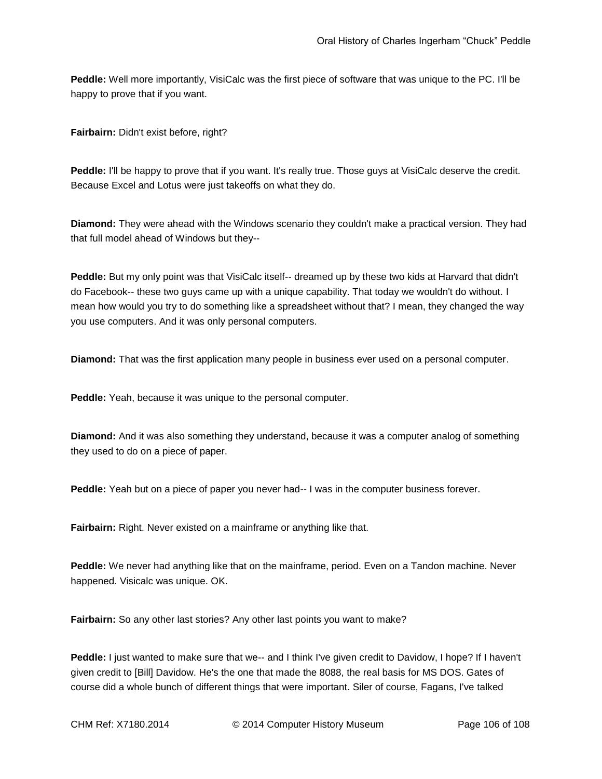**Peddle:** Well more importantly, VisiCalc was the first piece of software that was unique to the PC. I'll be happy to prove that if you want.

**Fairbairn:** Didn't exist before, right?

**Peddle:** I'll be happy to prove that if you want. It's really true. Those guys at VisiCalc deserve the credit. Because Excel and Lotus were just takeoffs on what they do.

**Diamond:** They were ahead with the Windows scenario they couldn't make a practical version. They had that full model ahead of Windows but they--

**Peddle:** But my only point was that VisiCalc itself-- dreamed up by these two kids at Harvard that didn't do Facebook-- these two guys came up with a unique capability. That today we wouldn't do without. I mean how would you try to do something like a spreadsheet without that? I mean, they changed the way you use computers. And it was only personal computers.

**Diamond:** That was the first application many people in business ever used on a personal computer.

**Peddle:** Yeah, because it was unique to the personal computer.

**Diamond:** And it was also something they understand, because it was a computer analog of something they used to do on a piece of paper.

**Peddle:** Yeah but on a piece of paper you never had-- I was in the computer business forever.

**Fairbairn:** Right. Never existed on a mainframe or anything like that.

**Peddle:** We never had anything like that on the mainframe, period. Even on a Tandon machine. Never happened. Visicalc was unique. OK.

**Fairbairn:** So any other last stories? Any other last points you want to make?

**Peddle:** I just wanted to make sure that we-- and I think I've given credit to Davidow, I hope? If I haven't given credit to [Bill] Davidow. He's the one that made the 8088, the real basis for MS DOS. Gates of course did a whole bunch of different things that were important. Siler of course, Fagans, I've talked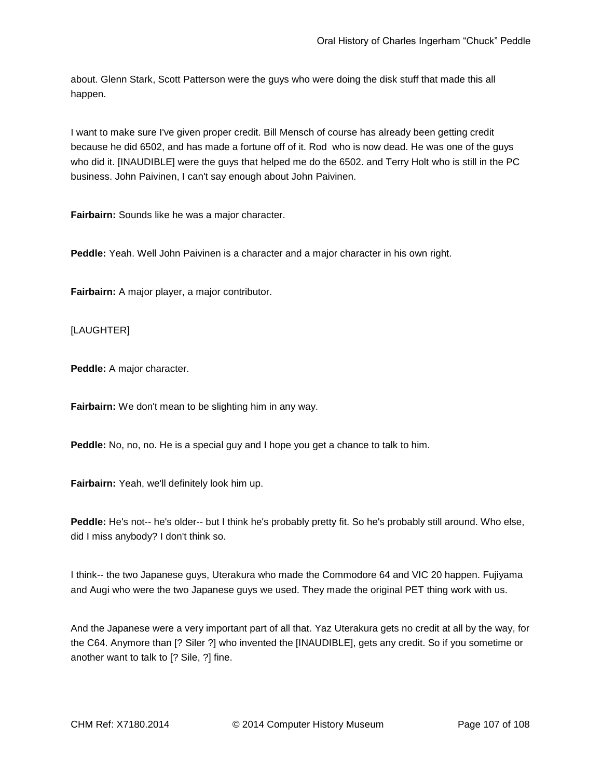about. Glenn Stark, Scott Patterson were the guys who were doing the disk stuff that made this all happen.

I want to make sure I've given proper credit. Bill Mensch of course has already been getting credit because he did 6502, and has made a fortune off of it. Rod who is now dead. He was one of the guys who did it. [INAUDIBLE] were the guys that helped me do the 6502. and Terry Holt who is still in the PC business. John Paivinen, I can't say enough about John Paivinen.

**Fairbairn:** Sounds like he was a major character.

**Peddle:** Yeah. Well John Paivinen is a character and a major character in his own right.

**Fairbairn:** A major player, a major contributor.

[LAUGHTER]

**Peddle:** A major character.

**Fairbairn:** We don't mean to be slighting him in any way.

**Peddle:** No, no, no. He is a special guy and I hope you get a chance to talk to him.

**Fairbairn:** Yeah, we'll definitely look him up.

**Peddle:** He's not-- he's older-- but I think he's probably pretty fit. So he's probably still around. Who else, did I miss anybody? I don't think so.

I think-- the two Japanese guys, Uterakura who made the Commodore 64 and VIC 20 happen. Fujiyama and Augi who were the two Japanese guys we used. They made the original PET thing work with us.

And the Japanese were a very important part of all that. Yaz Uterakura gets no credit at all by the way, for the C64. Anymore than [? Siler ?] who invented the [INAUDIBLE], gets any credit. So if you sometime or another want to talk to [? Sile, ?] fine.